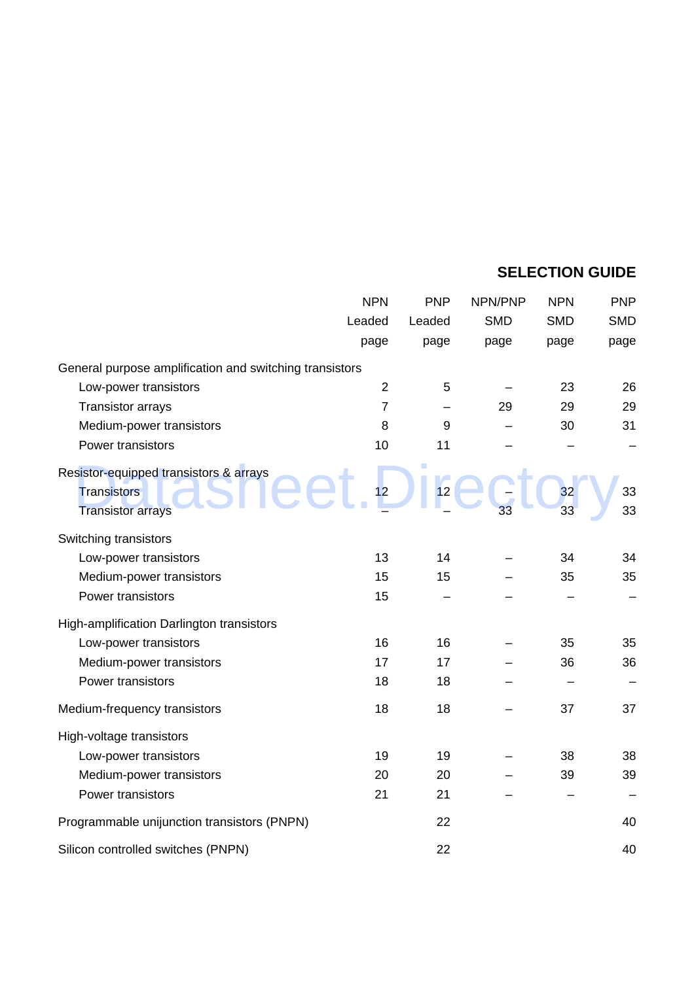## **SELECTION GUIDE**

|                                                                                          | <b>NPN</b>     | <b>PNP</b> | NPN/PNP    | <b>NPN</b> | <b>PNP</b> |
|------------------------------------------------------------------------------------------|----------------|------------|------------|------------|------------|
|                                                                                          | Leaded         | Leaded     | <b>SMD</b> | <b>SMD</b> | <b>SMD</b> |
|                                                                                          | page           | page       | page       | page       | page       |
| General purpose amplification and switching transistors                                  |                |            |            |            |            |
| Low-power transistors                                                                    | $\sqrt{2}$     | 5          |            | 23         | 26         |
| <b>Transistor arrays</b>                                                                 | $\overline{7}$ |            | 29         | 29         | 29         |
| Medium-power transistors                                                                 | 8              | 9          |            | 30         | 31         |
| Power transistors                                                                        | 10             | 11         |            |            |            |
| Resistor-equipped transistors & arrays<br><b>Transistors</b><br><b>Transistor arrays</b> | 12             | 12         |            | 32<br>33   | 33<br>33   |
| Switching transistors                                                                    |                |            |            |            |            |
| Low-power transistors                                                                    | 13             | 14         |            | 34         | 34         |
| Medium-power transistors                                                                 | 15             | 15         |            | 35         | 35         |
| Power transistors                                                                        | 15             |            |            |            |            |
| High-amplification Darlington transistors                                                |                |            |            |            |            |
| Low-power transistors                                                                    | 16             | 16         |            | 35         | 35         |
| Medium-power transistors                                                                 | 17             | 17         |            | 36         | 36         |
| Power transistors                                                                        | 18             | 18         |            |            |            |
| Medium-frequency transistors                                                             | 18             | 18         |            | 37         | 37         |
| High-voltage transistors                                                                 |                |            |            |            |            |
| Low-power transistors                                                                    | 19             | 19         |            | 38         | 38         |
| Medium-power transistors                                                                 | 20             | 20         |            | 39         | 39         |
| Power transistors                                                                        | 21             | 21         |            |            |            |
| Programmable unijunction transistors (PNPN)                                              |                | 22         |            |            | 40         |
| Silicon controlled switches (PNPN)                                                       |                | 22         |            |            | 40         |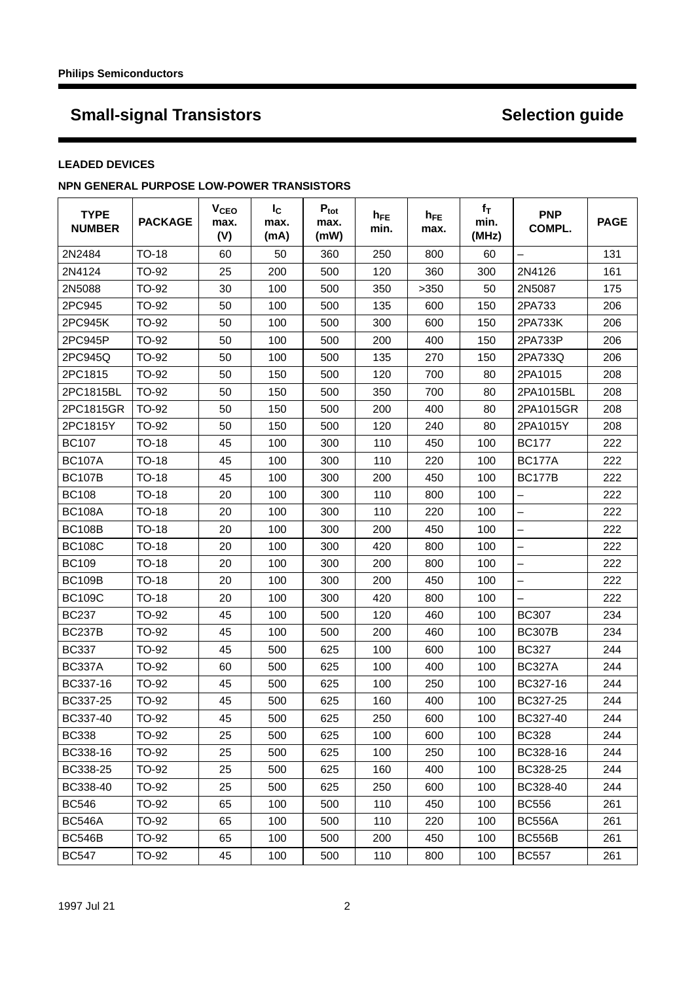### **LEADED DEVICES**

## **NPN GENERAL PURPOSE LOW-POWER TRANSISTORS**

| <b>TYPE</b><br><b>NUMBER</b> | <b>PACKAGE</b> | <b>V<sub>CEO</sub></b><br>max.<br>(V) | $I_{\rm C}$<br>max.<br>(mA) | $P_{\text{tot}}$<br>max.<br>(mW) | $h_{FE}$<br>min. | $h_{FE}$<br>max. | $f_T$<br>min.<br>(MHz) | <b>PNP</b><br>COMPL.     | <b>PAGE</b> |
|------------------------------|----------------|---------------------------------------|-----------------------------|----------------------------------|------------------|------------------|------------------------|--------------------------|-------------|
| 2N2484                       | TO-18          | 60                                    | 50                          | 360                              | 250              | 800              | 60                     |                          | 131         |
| 2N4124                       | TO-92          | 25                                    | 200                         | 500                              | 120              | 360              | 300                    | 2N4126                   | 161         |
| 2N5088                       | TO-92          | 30                                    | 100                         | 500                              | 350              | >350             | 50                     | 2N5087                   | 175         |
| 2PC945                       | TO-92          | 50                                    | 100                         | 500                              | 135              | 600              | 150                    | 2PA733                   | 206         |
| 2PC945K                      | TO-92          | 50                                    | 100                         | 500                              | 300              | 600              | 150                    | 2PA733K                  | 206         |
| 2PC945P                      | TO-92          | 50                                    | 100                         | 500                              | 200              | 400              | 150                    | 2PA733P                  | 206         |
| 2PC945Q                      | TO-92          | 50                                    | 100                         | 500                              | 135              | 270              | 150                    | 2PA733Q                  | 206         |
| 2PC1815                      | TO-92          | 50                                    | 150                         | 500                              | 120              | 700              | 80                     | 2PA1015                  | 208         |
| 2PC1815BL                    | TO-92          | 50                                    | 150                         | 500                              | 350              | 700              | 80                     | 2PA1015BL                | 208         |
| 2PC1815GR                    | TO-92          | 50                                    | 150                         | 500                              | 200              | 400              | 80                     | 2PA1015GR                | 208         |
| 2PC1815Y                     | TO-92          | 50                                    | 150                         | 500                              | 120              | 240              | 80                     | 2PA1015Y                 | 208         |
| <b>BC107</b>                 | TO-18          | 45                                    | 100                         | 300                              | 110              | 450              | 100                    | <b>BC177</b>             | 222         |
| <b>BC107A</b>                | TO-18          | 45                                    | 100                         | 300                              | 110              | 220              | 100                    | <b>BC177A</b>            | 222         |
| <b>BC107B</b>                | <b>TO-18</b>   | 45                                    | 100                         | 300                              | 200              | 450              | 100                    | <b>BC177B</b>            | 222         |
| <b>BC108</b>                 | TO-18          | 20                                    | 100                         | 300                              | 110              | 800              | 100                    | $\overline{\phantom{0}}$ | 222         |
| <b>BC108A</b>                | <b>TO-18</b>   | 20                                    | 100                         | 300                              | 110              | 220              | 100                    | $\equiv$                 | 222         |
| <b>BC108B</b>                | TO-18          | 20                                    | 100                         | 300                              | 200              | 450              | 100                    | $\overline{\phantom{0}}$ | 222         |
| <b>BC108C</b>                | <b>TO-18</b>   | 20                                    | 100                         | 300                              | 420              | 800              | 100                    |                          | 222         |
| <b>BC109</b>                 | TO-18          | 20                                    | 100                         | 300                              | 200              | 800              | 100                    | -                        | 222         |
| <b>BC109B</b>                | TO-18          | 20                                    | 100                         | 300                              | 200              | 450              | 100                    | -                        | 222         |
| <b>BC109C</b>                | TO-18          | 20                                    | 100                         | 300                              | 420              | 800              | 100                    |                          | 222         |
| <b>BC237</b>                 | TO-92          | 45                                    | 100                         | 500                              | 120              | 460              | 100                    | <b>BC307</b>             | 234         |
| <b>BC237B</b>                | TO-92          | 45                                    | 100                         | 500                              | 200              | 460              | 100                    | <b>BC307B</b>            | 234         |
| <b>BC337</b>                 | TO-92          | 45                                    | 500                         | 625                              | 100              | 600              | 100                    | <b>BC327</b>             | 244         |
| <b>BC337A</b>                | TO-92          | 60                                    | 500                         | 625                              | 100              | 400              | 100                    | <b>BC327A</b>            | 244         |
| BC337-16                     | TO-92          | 45                                    | 500                         | 625                              | 100              | 250              | 100                    | BC327-16                 | 244         |
| BC337-25                     | TO-92          | 45                                    | 500                         | 625                              | 160              | 400              | 100                    | BC327-25                 | 244         |
| BC337-40                     | TO-92          | 45                                    | 500                         | 625                              | 250              | 600              | 100                    | BC327-40                 | 244         |
| <b>BC338</b>                 | TO-92          | 25                                    | 500                         | 625                              | 100              | 600              | 100                    | <b>BC328</b>             | 244         |
| BC338-16                     | TO-92          | 25                                    | 500                         | 625                              | 100              | 250              | 100                    | BC328-16                 | 244         |
| BC338-25                     | TO-92          | 25                                    | 500                         | 625                              | 160              | 400              | 100                    | BC328-25                 | 244         |
| BC338-40                     | TO-92          | 25                                    | 500                         | 625                              | 250              | 600              | 100                    | BC328-40                 | 244         |
| <b>BC546</b>                 | TO-92          | 65                                    | 100                         | 500                              | 110              | 450              | 100                    | <b>BC556</b>             | 261         |
| <b>BC546A</b>                | TO-92          | 65                                    | 100                         | 500                              | 110              | 220              | 100                    | <b>BC556A</b>            | 261         |
| <b>BC546B</b>                | TO-92          | 65                                    | 100                         | 500                              | 200              | 450              | 100                    | <b>BC556B</b>            | 261         |
| <b>BC547</b>                 | TO-92          | 45                                    | 100                         | 500                              | 110              | 800              | 100                    | <b>BC557</b>             | 261         |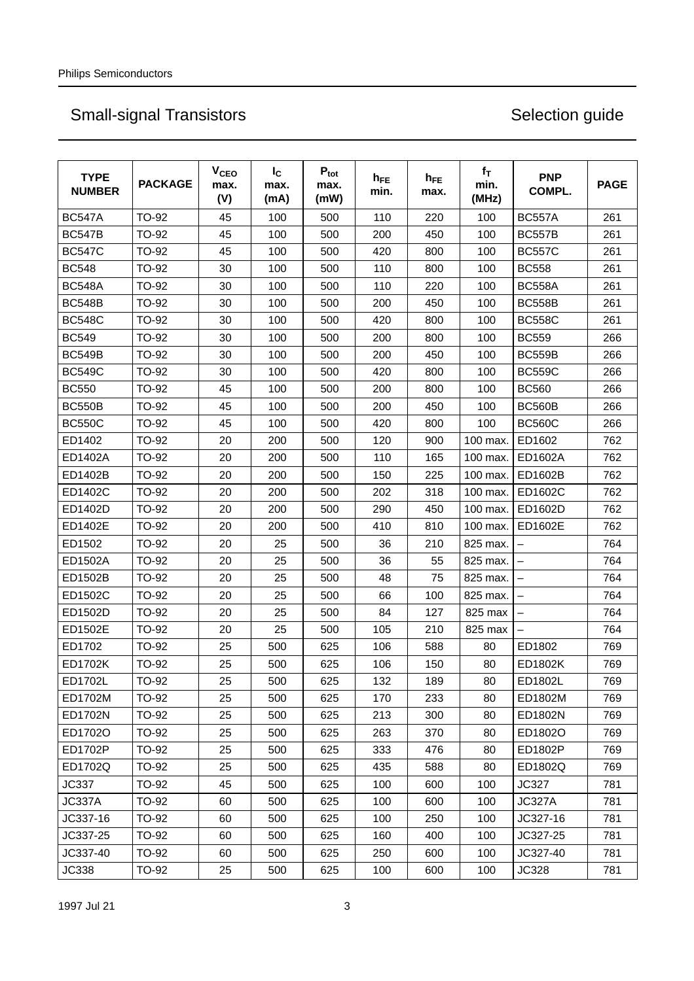| <b>TYPE</b><br><b>NUMBER</b> | <b>PACKAGE</b> | <b>V<sub>CEO</sub></b><br>max.<br>(V) | $I_{\rm C}$<br>max.<br>(mA) | $P_{\text{tot}}$<br>max.<br>(mW) | $h_{FE}$<br>min. | $h_{FE}$<br>max. | $f_T$<br>min.<br>(MHz) | <b>PNP</b><br>COMPL.     | <b>PAGE</b> |
|------------------------------|----------------|---------------------------------------|-----------------------------|----------------------------------|------------------|------------------|------------------------|--------------------------|-------------|
| <b>BC547A</b>                | TO-92          | 45                                    | 100                         | 500                              | 110              | 220              | 100                    | <b>BC557A</b>            | 261         |
| <b>BC547B</b>                | TO-92          | 45                                    | 100                         | 500                              | 200              | 450              | 100                    | <b>BC557B</b>            | 261         |
| <b>BC547C</b>                | TO-92          | 45                                    | 100                         | 500                              | 420              | 800              | 100                    | <b>BC557C</b>            | 261         |
| <b>BC548</b>                 | TO-92          | 30                                    | 100                         | 500                              | 110              | 800              | 100                    | <b>BC558</b>             | 261         |
| <b>BC548A</b>                | TO-92          | 30                                    | 100                         | 500                              | 110              | 220              | 100                    | <b>BC558A</b>            | 261         |
| <b>BC548B</b>                | TO-92          | 30                                    | 100                         | 500                              | 200              | 450              | 100                    | <b>BC558B</b>            | 261         |
| <b>BC548C</b>                | TO-92          | 30                                    | 100                         | 500                              | 420              | 800              | 100                    | <b>BC558C</b>            | 261         |
| <b>BC549</b>                 | TO-92          | 30                                    | 100                         | 500                              | 200              | 800              | 100                    | <b>BC559</b>             | 266         |
| <b>BC549B</b>                | TO-92          | 30                                    | 100                         | 500                              | 200              | 450              | 100                    | <b>BC559B</b>            | 266         |
| <b>BC549C</b>                | TO-92          | 30                                    | 100                         | 500                              | 420              | 800              | 100                    | <b>BC559C</b>            | 266         |
| <b>BC550</b>                 | TO-92          | 45                                    | 100                         | 500                              | 200              | 800              | 100                    | <b>BC560</b>             | 266         |
| <b>BC550B</b>                | TO-92          | 45                                    | 100                         | 500                              | 200              | 450              | 100                    | <b>BC560B</b>            | 266         |
| <b>BC550C</b>                | TO-92          | 45                                    | 100                         | 500                              | 420              | 800              | 100                    | <b>BC560C</b>            | 266         |
| ED1402                       | TO-92          | 20                                    | 200                         | 500                              | 120              | 900              | 100 max.               | ED1602                   | 762         |
| ED1402A                      | TO-92          | 20                                    | 200                         | 500                              | 110              | 165              | 100 max.               | ED1602A                  | 762         |
| ED1402B                      | TO-92          | 20                                    | 200                         | 500                              | 150              | 225              | 100 max.               | ED1602B                  | 762         |
| ED1402C                      | TO-92          | 20                                    | 200                         | 500                              | 202              | 318              | 100 max.               | ED1602C                  | 762         |
| ED1402D                      | TO-92          | 20                                    | 200                         | 500                              | 290              | 450              | 100 max.               | ED1602D                  | 762         |
| ED1402E                      | TO-92          | 20                                    | 200                         | 500                              | 410              | 810              | 100 max.               | ED1602E                  | 762         |
| ED1502                       | TO-92          | 20                                    | 25                          | 500                              | 36               | 210              | 825 max.               | $\overline{\phantom{0}}$ | 764         |
| ED1502A                      | TO-92          | 20                                    | 25                          | 500                              | 36               | 55               | 825 max.               |                          | 764         |
| ED1502B                      | TO-92          | 20                                    | 25                          | 500                              | 48               | 75               | 825 max.               |                          | 764         |
| ED1502C                      | TO-92          | 20                                    | 25                          | 500                              | 66               | 100              | 825 max.               | $\overline{\phantom{0}}$ | 764         |
| ED1502D                      | TO-92          | 20                                    | 25                          | 500                              | 84               | 127              | 825 max                |                          | 764         |
| ED1502E                      | TO-92          | 20                                    | 25                          | 500                              | 105              | 210              | 825 max                |                          | 764         |
| ED1702                       | TO-92          | 25                                    | 500                         | 625                              | 106              | 588              | 80                     | ED1802                   | 769         |
| ED1702K                      | TO-92          | 25                                    | 500                         | 625                              | 106              | 150              | 80                     | ED1802K                  | 769         |
| ED1702L                      | TO-92          | 25                                    | 500                         | 625                              | 132              | 189              | 80                     | ED1802L                  | 769         |
| ED1702M                      | TO-92          | 25                                    | 500                         | 625                              | 170              | 233              | 80                     | ED1802M                  | 769         |
| ED1702N                      | TO-92          | 25                                    | 500                         | 625                              | 213              | 300              | 80                     | ED1802N                  | 769         |
| ED1702O                      | TO-92          | 25                                    | 500                         | 625                              | 263              | 370              | 80                     | ED1802O                  | 769         |
| ED1702P                      | TO-92          | 25                                    | 500                         | 625                              | 333              | 476              | 80                     | ED1802P                  | 769         |
| ED1702Q                      | TO-92          | 25                                    | 500                         | 625                              | 435              | 588              | 80                     | ED1802Q                  | 769         |
| JC337                        | TO-92          | 45                                    | 500                         | 625                              | 100              | 600              | 100                    | <b>JC327</b>             | 781         |
| <b>JC337A</b>                | TO-92          | 60                                    | 500                         | 625                              | 100              | 600              | 100                    | <b>JC327A</b>            | 781         |
| JC337-16                     | TO-92          | 60                                    | 500                         | 625                              | 100              | 250              | 100                    | JC327-16                 | 781         |
| JC337-25                     | TO-92          | 60                                    | 500                         | 625                              | 160              | 400              | 100                    | JC327-25                 | 781         |
| JC337-40                     | TO-92          | 60                                    | 500                         | 625                              | 250              | 600              | 100                    | JC327-40                 | 781         |
| <b>JC338</b>                 | TO-92          | 25                                    | 500                         | 625                              | 100              | 600              | 100                    | JC328                    | 781         |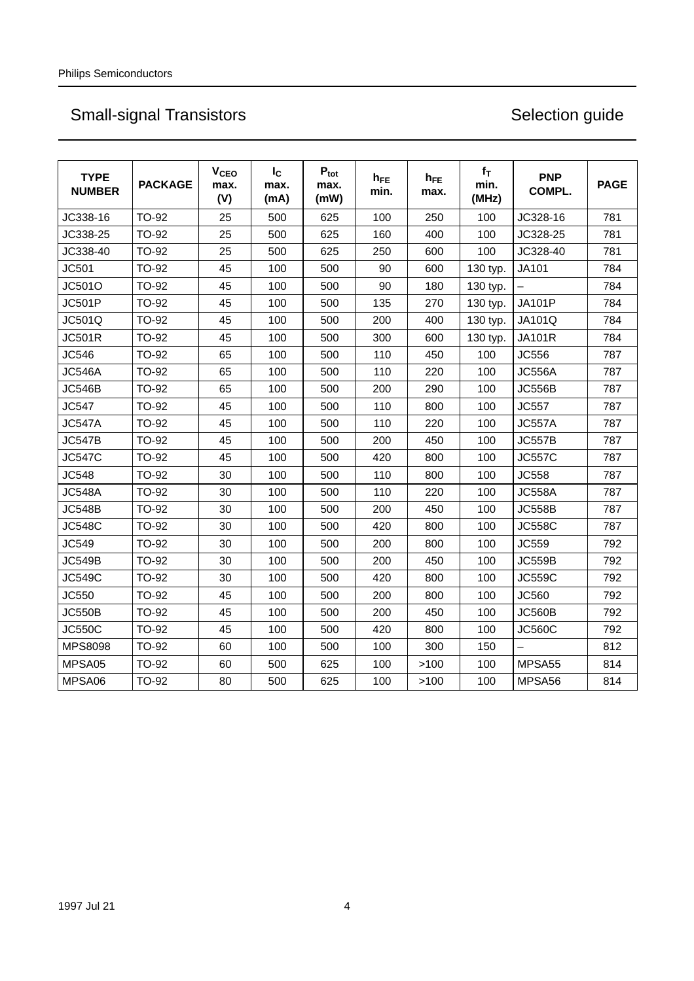| <b>TYPE</b><br><b>NUMBER</b> | <b>PACKAGE</b> | <b>V<sub>CEO</sub></b><br>max.<br>(V) | $I_{\rm C}$<br>max.<br>(mA) | $P_{\text{tot}}$<br>max.<br>(mW) | $h_{FE}$<br>min. | $h_{FE}$<br>max. | $f_T$<br>min.<br>(MHz) | <b>PNP</b><br>COMPL. | <b>PAGE</b> |
|------------------------------|----------------|---------------------------------------|-----------------------------|----------------------------------|------------------|------------------|------------------------|----------------------|-------------|
| JC338-16                     | TO-92          | 25                                    | 500                         | 625                              | 100              | 250              | 100                    | JC328-16             | 781         |
| JC338-25                     | TO-92          | 25                                    | 500                         | 625                              | 160              | 400              | 100                    | JC328-25             | 781         |
| JC338-40                     | TO-92          | 25                                    | 500                         | 625                              | 250              | 600              | 100                    | JC328-40             | 781         |
| JC501                        | TO-92          | 45                                    | 100                         | 500                              | 90               | 600              | 130 typ.               | <b>JA101</b>         | 784         |
| JC501O                       | TO-92          | 45                                    | 100                         | 500                              | 90               | 180              | 130 typ.               |                      | 784         |
| <b>JC501P</b>                | TO-92          | 45                                    | 100                         | 500                              | 135              | 270              | 130 typ.               | <b>JA101P</b>        | 784         |
| JC501Q                       | TO-92          | 45                                    | 100                         | 500                              | 200              | 400              | 130 typ.               | <b>JA101Q</b>        | 784         |
| <b>JC501R</b>                | TO-92          | 45                                    | 100                         | 500                              | 300              | 600              | 130 typ.               | <b>JA101R</b>        | 784         |
| JC546                        | TO-92          | 65                                    | 100                         | 500                              | 110              | 450              | 100                    | JC556                | 787         |
| <b>JC546A</b>                | <b>TO-92</b>   | 65                                    | 100                         | 500                              | 110              | 220              | 100                    | <b>JC556A</b>        | 787         |
| <b>JC546B</b>                | TO-92          | 65                                    | 100                         | 500                              | 200              | 290              | 100                    | <b>JC556B</b>        | 787         |
| <b>JC547</b>                 | <b>TO-92</b>   | 45                                    | 100                         | 500                              | 110              | 800              | 100                    | <b>JC557</b>         | 787         |
| <b>JC547A</b>                | TO-92          | 45                                    | 100                         | 500                              | 110              | 220              | 100                    | <b>JC557A</b>        | 787         |
| <b>JC547B</b>                | <b>TO-92</b>   | 45                                    | 100                         | 500                              | 200              | 450              | 100                    | <b>JC557B</b>        | 787         |
| <b>JC547C</b>                | TO-92          | 45                                    | 100                         | 500                              | 420              | 800              | 100                    | <b>JC557C</b>        | 787         |
| <b>JC548</b>                 | TO-92          | 30                                    | 100                         | 500                              | 110              | 800              | 100                    | <b>JC558</b>         | 787         |
| <b>JC548A</b>                | TO-92          | 30                                    | 100                         | 500                              | 110              | 220              | 100                    | <b>JC558A</b>        | 787         |
| <b>JC548B</b>                | TO-92          | 30                                    | 100                         | 500                              | 200              | 450              | 100                    | <b>JC558B</b>        | 787         |
| <b>JC548C</b>                | TO-92          | 30                                    | 100                         | 500                              | 420              | 800              | 100                    | <b>JC558C</b>        | 787         |
| JC549                        | TO-92          | 30                                    | 100                         | 500                              | 200              | 800              | 100                    | JC559                | 792         |
| <b>JC549B</b>                | TO-92          | 30                                    | 100                         | 500                              | 200              | 450              | 100                    | <b>JC559B</b>        | 792         |
| <b>JC549C</b>                | TO-92          | 30                                    | 100                         | 500                              | 420              | 800              | 100                    | <b>JC559C</b>        | 792         |
| JC550                        | TO-92          | 45                                    | 100                         | 500                              | 200              | 800              | 100                    | JC560                | 792         |
| <b>JC550B</b>                | <b>TO-92</b>   | 45                                    | 100                         | 500                              | 200              | 450              | 100                    | <b>JC560B</b>        | 792         |
| <b>JC550C</b>                | TO-92          | 45                                    | 100                         | 500                              | 420              | 800              | 100                    | <b>JC560C</b>        | 792         |
| <b>MPS8098</b>               | TO-92          | 60                                    | 100                         | 500                              | 100              | 300              | 150                    |                      | 812         |
| MPSA05                       | <b>TO-92</b>   | 60                                    | 500                         | 625                              | 100              | >100             | 100                    | MPSA55               | 814         |
| MPSA06                       | TO-92          | 80                                    | 500                         | 625                              | 100              | >100             | 100                    | MPSA56               | 814         |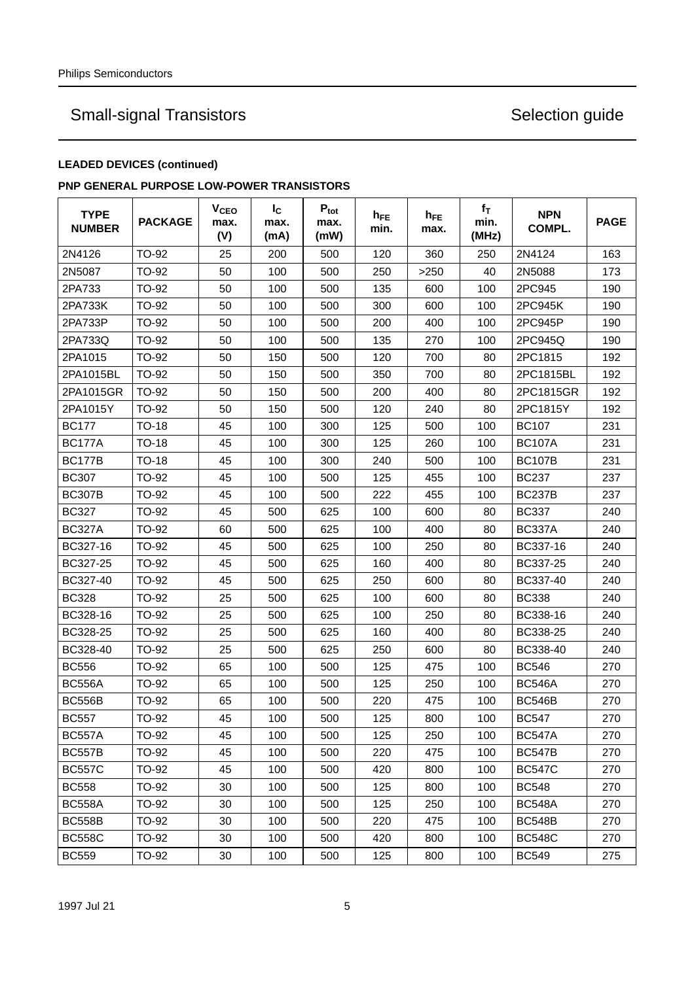## **LEADED DEVICES (continued)**

### **PNP GENERAL PURPOSE LOW-POWER TRANSISTORS**

| <b>TYPE</b><br><b>NUMBER</b> | <b>PACKAGE</b> | V <sub>CEO</sub><br>max.<br>(V) | $I_{\rm C}$<br>max.<br>(mA) | $P_{\text{tot}}$<br>max.<br>(mW) | h <sub>FE</sub><br>min. | $h_{FE}$<br>max. | $f_T$<br>min.<br>(MHz) | <b>NPN</b><br>COMPL. | <b>PAGE</b> |
|------------------------------|----------------|---------------------------------|-----------------------------|----------------------------------|-------------------------|------------------|------------------------|----------------------|-------------|
| 2N4126                       | TO-92          | 25                              | 200                         | 500                              | 120                     | 360              | 250                    | 2N4124               | 163         |
| 2N5087                       | TO-92          | 50                              | 100                         | 500                              | 250                     | >250             | 40                     | 2N5088               | 173         |
| 2PA733                       | TO-92          | 50                              | 100                         | 500                              | 135                     | 600              | 100                    | 2PC945               | 190         |
| 2PA733K                      | TO-92          | 50                              | 100                         | 500                              | 300                     | 600              | 100                    | 2PC945K              | 190         |
| 2PA733P                      | TO-92          | 50                              | 100                         | 500                              | 200                     | 400              | 100                    | 2PC945P              | 190         |
| 2PA733Q                      | TO-92          | 50                              | 100                         | 500                              | 135                     | 270              | 100                    | 2PC945Q              | 190         |
| 2PA1015                      | TO-92          | 50                              | 150                         | 500                              | 120                     | 700              | 80                     | 2PC1815              | 192         |
| 2PA1015BL                    | TO-92          | 50                              | 150                         | 500                              | 350                     | 700              | 80                     | 2PC1815BL            | 192         |
| 2PA1015GR                    | TO-92          | 50                              | 150                         | 500                              | 200                     | 400              | 80                     | 2PC1815GR            | 192         |
| 2PA1015Y                     | TO-92          | 50                              | 150                         | 500                              | 120                     | 240              | 80                     | 2PC1815Y             | 192         |
| <b>BC177</b>                 | TO-18          | 45                              | 100                         | 300                              | 125                     | 500              | 100                    | <b>BC107</b>         | 231         |
| <b>BC177A</b>                | TO-18          | 45                              | 100                         | 300                              | 125                     | 260              | 100                    | <b>BC107A</b>        | 231         |
| <b>BC177B</b>                | TO-18          | 45                              | 100                         | 300                              | 240                     | 500              | 100                    | <b>BC107B</b>        | 231         |
| <b>BC307</b>                 | TO-92          | 45                              | 100                         | 500                              | 125                     | 455              | 100                    | <b>BC237</b>         | 237         |
| <b>BC307B</b>                | TO-92          | 45                              | 100                         | 500                              | 222                     | 455              | 100                    | <b>BC237B</b>        | 237         |
| <b>BC327</b>                 | TO-92          | 45                              | 500                         | 625                              | 100                     | 600              | 80                     | <b>BC337</b>         | 240         |
| <b>BC327A</b>                | TO-92          | 60                              | 500                         | 625                              | 100                     | 400              | 80                     | <b>BC337A</b>        | 240         |
| BC327-16                     | TO-92          | 45                              | 500                         | 625                              | 100                     | 250              | 80                     | BC337-16             | 240         |
| BC327-25                     | TO-92          | 45                              | 500                         | 625                              | 160                     | 400              | 80                     | BC337-25             | 240         |
| BC327-40                     | TO-92          | 45                              | 500                         | 625                              | 250                     | 600              | 80                     | BC337-40             | 240         |
| <b>BC328</b>                 | TO-92          | 25                              | 500                         | 625                              | 100                     | 600              | 80                     | <b>BC338</b>         | 240         |
| BC328-16                     | TO-92          | 25                              | 500                         | 625                              | 100                     | 250              | 80                     | BC338-16             | 240         |
| BC328-25                     | TO-92          | 25                              | 500                         | 625                              | 160                     | 400              | 80                     | BC338-25             | 240         |
| BC328-40                     | TO-92          | 25                              | 500                         | 625                              | 250                     | 600              | 80                     | BC338-40             | 240         |
| <b>BC556</b>                 | TO-92          | 65                              | 100                         | 500                              | 125                     | 475              | 100                    | <b>BC546</b>         | 270         |
| <b>BC556A</b>                | TO-92          | 65                              | 100                         | 500                              | 125                     | 250              | 100                    | <b>BC546A</b>        | 270         |
| <b>BC556B</b>                | TO-92          | 65                              | 100                         | 500                              | 220                     | 475              | 100                    | <b>BC546B</b>        | 270         |
| <b>BC557</b>                 | <b>TO-92</b>   | 45                              | 100                         | 500                              | 125                     | 800              | 100                    | <b>BC547</b>         | 270         |
| <b>BC557A</b>                | TO-92          | 45                              | 100                         | 500                              | 125                     | 250              | 100                    | <b>BC547A</b>        | 270         |
| <b>BC557B</b>                | TO-92          | 45                              | 100                         | 500                              | 220                     | 475              | 100                    | <b>BC547B</b>        | 270         |
| <b>BC557C</b>                | TO-92          | 45                              | 100                         | 500                              | 420                     | 800              | 100                    | <b>BC547C</b>        | 270         |
| <b>BC558</b>                 | TO-92          | 30                              | 100                         | 500                              | 125                     | 800              | 100                    | <b>BC548</b>         | 270         |
| <b>BC558A</b>                | TO-92          | 30                              | 100                         | 500                              | 125                     | 250              | 100                    | <b>BC548A</b>        | 270         |
| <b>BC558B</b>                | TO-92          | 30                              | 100                         | 500                              | 220                     | 475              | 100                    | <b>BC548B</b>        | 270         |
| <b>BC558C</b>                | TO-92          | 30                              | 100                         | 500                              | 420                     | 800              | 100                    | <b>BC548C</b>        | 270         |
| <b>BC559</b>                 | TO-92          | 30                              | 100                         | 500                              | 125                     | 800              | 100                    | <b>BC549</b>         | 275         |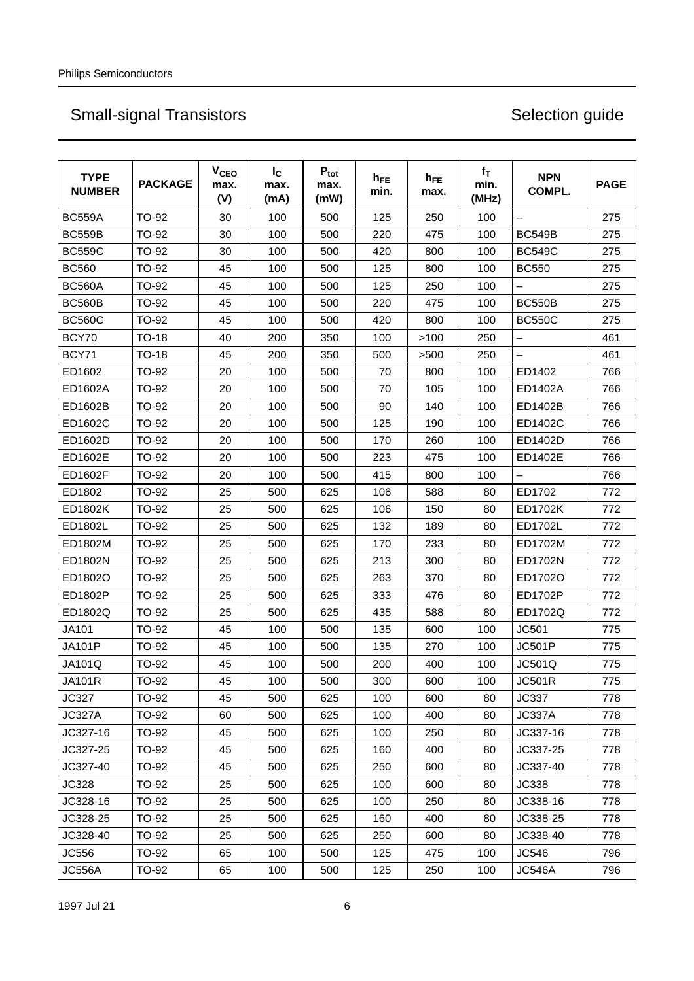| <b>TYPE</b><br><b>NUMBER</b> | <b>PACKAGE</b> | <b>V<sub>CEO</sub></b><br>max.<br>(V) | $I_{\rm C}$<br>max.<br>(mA) | $P_{\text{tot}}$<br>max.<br>(mW) | $h_{FE}$<br>min. | $h_{FE}$<br>max. | $f_T$<br>min.<br>(MHz) | <b>NPN</b><br>COMPL. | <b>PAGE</b> |
|------------------------------|----------------|---------------------------------------|-----------------------------|----------------------------------|------------------|------------------|------------------------|----------------------|-------------|
| <b>BC559A</b>                | TO-92          | 30                                    | 100                         | 500                              | 125              | 250              | 100                    | $\equiv$             | 275         |
| <b>BC559B</b>                | <b>TO-92</b>   | 30                                    | 100                         | 500                              | 220              | 475              | 100                    | <b>BC549B</b>        | 275         |
| <b>BC559C</b>                | TO-92          | 30                                    | 100                         | 500                              | 420              | 800              | 100                    | <b>BC549C</b>        | 275         |
| <b>BC560</b>                 | TO-92          | 45                                    | 100                         | 500                              | 125              | 800              | 100                    | <b>BC550</b>         | 275         |
| <b>BC560A</b>                | TO-92          | 45                                    | 100                         | 500                              | 125              | 250              | 100                    |                      | 275         |
| <b>BC560B</b>                | <b>TO-92</b>   | 45                                    | 100                         | 500                              | 220              | 475              | 100                    | <b>BC550B</b>        | 275         |
| <b>BC560C</b>                | TO-92          | 45                                    | 100                         | 500                              | 420              | 800              | 100                    | <b>BC550C</b>        | 275         |
| BCY70                        | <b>TO-18</b>   | 40                                    | 200                         | 350                              | 100              | >100             | 250                    |                      | 461         |
| BCY71                        | <b>TO-18</b>   | 45                                    | 200                         | 350                              | 500              | >500             | 250                    |                      | 461         |
| ED1602                       | TO-92          | 20                                    | 100                         | 500                              | 70               | 800              | 100                    | ED1402               | 766         |
| ED1602A                      | <b>TO-92</b>   | 20                                    | 100                         | 500                              | 70               | 105              | 100                    | ED1402A              | 766         |
| ED1602B                      | TO-92          | 20                                    | 100                         | 500                              | 90               | 140              | 100                    | ED1402B              | 766         |
| ED1602C                      | TO-92          | 20                                    | 100                         | 500                              | 125              | 190              | 100                    | ED1402C              | 766         |
| ED1602D                      | TO-92          | 20                                    | 100                         | 500                              | 170              | 260              | 100                    | ED1402D              | 766         |
| ED1602E                      | TO-92          | 20                                    | 100                         | 500                              | 223              | 475              | 100                    | ED1402E              | 766         |
| ED1602F                      | TO-92          | 20                                    | 100                         | 500                              | 415              | 800              | 100                    |                      | 766         |
| ED1802                       | TO-92          | 25                                    | 500                         | 625                              | 106              | 588              | 80                     | ED1702               | 772         |
| ED1802K                      | TO-92          | 25                                    | 500                         | 625                              | 106              | 150              | 80                     | ED1702K              | 772         |
| ED1802L                      | TO-92          | 25                                    | 500                         | 625                              | 132              | 189              | 80                     | ED1702L              | 772         |
| ED1802M                      | TO-92          | 25                                    | 500                         | 625                              | 170              | 233              | 80                     | ED1702M              | 772         |
| ED1802N                      | TO-92          | 25                                    | 500                         | 625                              | 213              | 300              | 80                     | ED1702N              | 772         |
| ED1802O                      | TO-92          | 25                                    | 500                         | 625                              | 263              | 370              | 80                     | ED1702O              | 772         |
| ED1802P                      | TO-92          | 25                                    | 500                         | 625                              | 333              | 476              | 80                     | ED1702P              | 772         |
| ED1802Q                      | TO-92          | 25                                    | 500                         | 625                              | 435              | 588              | 80                     | ED1702Q              | 772         |
| <b>JA101</b>                 | <b>TO-92</b>   | 45                                    | 100                         | 500                              | 135              | 600              | 100                    | JC501                | 775         |
| JA101P                       | <b>TO-92</b>   | 45                                    | 100                         | 500                              | 135              | 270              | 100                    | <b>JC501P</b>        | 775         |
| JA101Q                       | TO-92          | 45                                    | 100                         | 500                              | 200              | 400              | 100                    | <b>JC501Q</b>        | 775         |
| <b>JA101R</b>                | TO-92          | 45                                    | 100                         | 500                              | 300              | 600              | 100                    | <b>JC501R</b>        | 775         |
| JC327                        | TO-92          | 45                                    | 500                         | 625                              | 100              | 600              | 80                     | <b>JC337</b>         | 778         |
| <b>JC327A</b>                | TO-92          | 60                                    | 500                         | 625                              | 100              | 400              | 80                     | <b>JC337A</b>        | 778         |
| JC327-16                     | TO-92          | 45                                    | 500                         | 625                              | 100              | 250              | 80                     | JC337-16             | 778         |
| JC327-25                     | TO-92          | 45                                    | 500                         | 625                              | 160              | 400              | 80                     | JC337-25             | 778         |
| JC327-40                     | TO-92          | 45                                    | 500                         | 625                              | 250              | 600              | 80                     | JC337-40             | 778         |
| JC328                        | TO-92          | 25                                    | 500                         | 625                              | 100              | 600              | 80                     | <b>JC338</b>         | 778         |
| JC328-16                     | TO-92          | 25                                    | 500                         | 625                              | 100              | 250              | 80                     | JC338-16             | 778         |
| JC328-25                     | TO-92          | 25                                    | 500                         | 625                              | 160              | 400              | 80                     | JC338-25             | 778         |
| JC328-40                     | TO-92          | 25                                    | 500                         | 625                              | 250              | 600              | 80                     | JC338-40             | 778         |
| JC556                        | TO-92          | 65                                    | 100                         | 500                              | 125              | 475              | 100                    | JC546                | 796         |
| <b>JC556A</b>                | TO-92          | 65                                    | 100                         | 500                              | 125              | 250              | 100                    | <b>JC546A</b>        | 796         |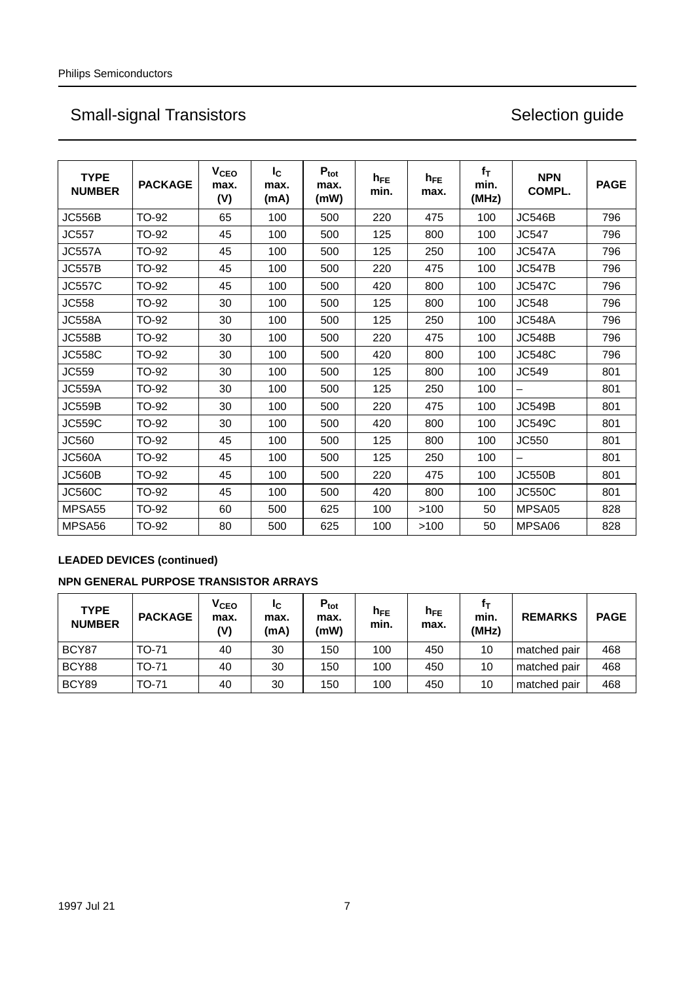| <b>TYPE</b><br><b>NUMBER</b> | <b>PACKAGE</b> | V <sub>CEO</sub><br>max.<br>(V) | $I_{\rm C}$<br>max.<br>(mA) | $P_{\text{tot}}$<br>max.<br>(mW) | $h_{FE}$<br>min. | $h_{FE}$<br>max. | $f_T$<br>min.<br>(MHz) | <b>NPN</b><br>COMPL.     | <b>PAGE</b> |
|------------------------------|----------------|---------------------------------|-----------------------------|----------------------------------|------------------|------------------|------------------------|--------------------------|-------------|
| <b>JC556B</b>                | TO-92          | 65                              | 100                         | 500                              | 220              | 475              | 100                    | <b>JC546B</b>            | 796         |
| <b>JC557</b>                 | TO-92          | 45                              | 100                         | 500                              | 125              | 800              | 100                    | <b>JC547</b>             | 796         |
| <b>JC557A</b>                | <b>TO-92</b>   | 45                              | 100                         | 500                              | 125              | 250              | 100                    | <b>JC547A</b>            | 796         |
| <b>JC557B</b>                | TO-92          | 45                              | 100                         | 500                              | 220              | 475              | 100                    | <b>JC547B</b>            | 796         |
| <b>JC557C</b>                | TO-92          | 45                              | 100                         | 500                              | 420              | 800              | 100                    | <b>JC547C</b>            | 796         |
| <b>JC558</b>                 | TO-92          | 30                              | 100                         | 500                              | 125              | 800              | 100                    | <b>JC548</b>             | 796         |
| <b>JC558A</b>                | <b>TO-92</b>   | 30                              | 100                         | 500                              | 125              | 250              | 100                    | <b>JC548A</b>            | 796         |
| <b>JC558B</b>                | <b>TO-92</b>   | 30                              | 100                         | 500                              | 220              | 475              | 100                    | <b>JC548B</b>            | 796         |
| <b>JC558C</b>                | TO-92          | 30                              | 100                         | 500                              | 420              | 800              | 100                    | <b>JC548C</b>            | 796         |
| JC559                        | <b>TO-92</b>   | 30                              | 100                         | 500                              | 125              | 800              | 100                    | JC549                    | 801         |
| <b>JC559A</b>                | <b>TO-92</b>   | 30                              | 100                         | 500                              | 125              | 250              | 100                    | $\overline{\phantom{0}}$ | 801         |
| <b>JC559B</b>                | TO-92          | 30                              | 100                         | 500                              | 220              | 475              | 100                    | <b>JC549B</b>            | 801         |
| <b>JC559C</b>                | <b>TO-92</b>   | 30                              | 100                         | 500                              | 420              | 800              | 100                    | <b>JC549C</b>            | 801         |
| JC560                        | TO-92          | 45                              | 100                         | 500                              | 125              | 800              | 100                    | JC550                    | 801         |
| <b>JC560A</b>                | TO-92          | 45                              | 100                         | 500                              | 125              | 250              | 100                    |                          | 801         |
| JC560B                       | <b>TO-92</b>   | 45                              | 100                         | 500                              | 220              | 475              | 100                    | <b>JC550B</b>            | 801         |
| <b>JC560C</b>                | TO-92          | 45                              | 100                         | 500                              | 420              | 800              | 100                    | <b>JC550C</b>            | 801         |
| MPSA <sub>55</sub>           | <b>TO-92</b>   | 60                              | 500                         | 625                              | 100              | >100             | 50                     | MPSA05                   | 828         |
| MPSA56                       | TO-92          | 80                              | 500                         | 625                              | 100              | >100             | 50                     | MPSA06                   | 828         |

## **LEADED DEVICES (continued)**

## **NPN GENERAL PURPOSE TRANSISTOR ARRAYS**

| <b>TYPE</b><br><b>NUMBER</b> | <b>PACKAGE</b> | <b>V<sub>CEO</sub></b><br>max.<br>(V) | Ιc<br>max.<br>(mA) | $P_{\text{tot}}$<br>max.<br>(mW) | $h_{\mathsf{FE}}$<br>min. | $h_{FE}$<br>max. | min.<br>(MHz) | <b>REMARKS</b> | <b>PAGE</b> |
|------------------------------|----------------|---------------------------------------|--------------------|----------------------------------|---------------------------|------------------|---------------|----------------|-------------|
| BCY87                        | TO-71          | 40                                    | 30                 | 150                              | 100                       | 450              | 10            | matched pair   | 468         |
| BCY88                        | <b>TO-71</b>   | 40                                    | 30                 | 150                              | 100                       | 450              | 10            | matched pair   | 468         |
| BCY89                        | <b>TO-71</b>   | 40                                    | 30                 | 150                              | 100                       | 450              | 10            | matched pair   | 468         |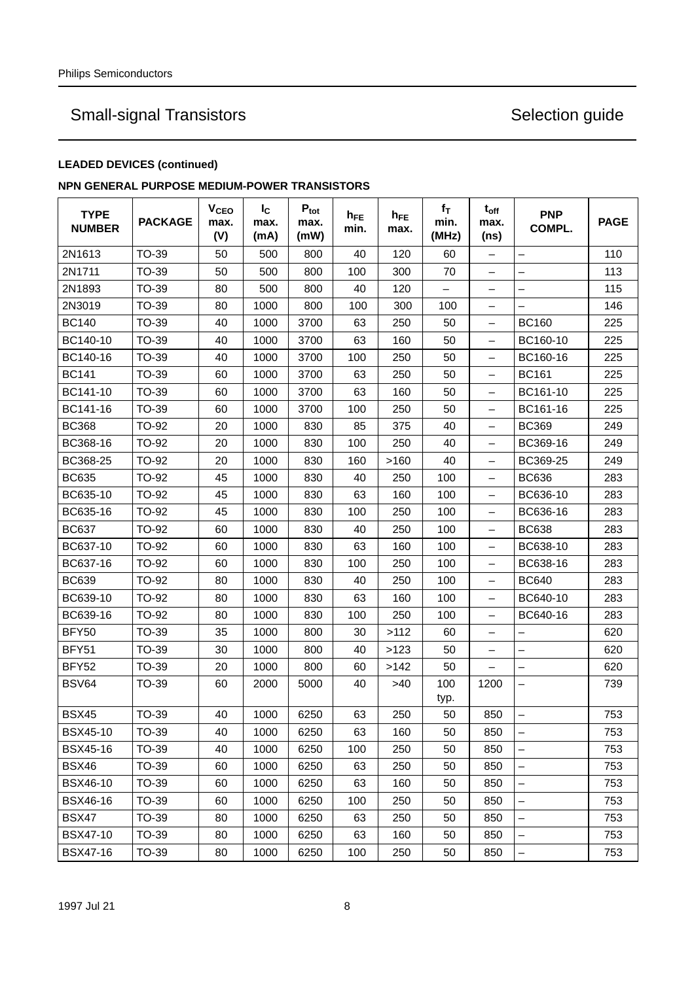## **LEADED DEVICES (continued)**

## **NPN GENERAL PURPOSE MEDIUM-POWER TRANSISTORS**

| <b>TYPE</b><br><b>NUMBER</b> | <b>PACKAGE</b> | <b>V<sub>CEO</sub></b><br>max.<br>(V) | $I_{\rm C}$<br>max.<br>(mA) | $P_{\text{tot}}$<br>max.<br>(mW) | $h_{FE}$<br>min. | $h_{FE}$<br>max. | $f_T$<br>min.<br>(MHz)   | $t_{off}$<br>max.<br>(ns) | <b>PNP</b><br>COMPL.     | <b>PAGE</b> |
|------------------------------|----------------|---------------------------------------|-----------------------------|----------------------------------|------------------|------------------|--------------------------|---------------------------|--------------------------|-------------|
| 2N1613                       | <b>TO-39</b>   | 50                                    | 500                         | 800                              | 40               | 120              | 60                       | $\qquad \qquad -$         | -                        | 110         |
| 2N1711                       | TO-39          | 50                                    | 500                         | 800                              | 100              | 300              | 70                       | $\overline{\phantom{0}}$  |                          | 113         |
| 2N1893                       | TO-39          | 80                                    | 500                         | 800                              | 40               | 120              | $\overline{\phantom{0}}$ | $\overline{\phantom{0}}$  |                          | 115         |
| 2N3019                       | TO-39          | 80                                    | 1000                        | 800                              | 100              | 300              | 100                      | -                         |                          | 146         |
| <b>BC140</b>                 | TO-39          | 40                                    | 1000                        | 3700                             | 63               | 250              | 50                       | -                         | <b>BC160</b>             | 225         |
| BC140-10                     | TO-39          | 40                                    | 1000                        | 3700                             | 63               | 160              | 50                       | -                         | BC160-10                 | 225         |
| BC140-16                     | TO-39          | 40                                    | 1000                        | 3700                             | 100              | 250              | 50                       | $\qquad \qquad -$         | BC160-16                 | 225         |
| <b>BC141</b>                 | TO-39          | 60                                    | 1000                        | 3700                             | 63               | 250              | 50                       | -                         | <b>BC161</b>             | 225         |
| BC141-10                     | TO-39          | 60                                    | 1000                        | 3700                             | 63               | 160              | 50                       | -                         | BC161-10                 | 225         |
| BC141-16                     | TO-39          | 60                                    | 1000                        | 3700                             | 100              | 250              | 50                       | -                         | BC161-16                 | 225         |
| <b>BC368</b>                 | TO-92          | 20                                    | 1000                        | 830                              | 85               | 375              | 40                       | -                         | <b>BC369</b>             | 249         |
| BC368-16                     | <b>TO-92</b>   | 20                                    | 1000                        | 830                              | 100              | 250              | 40                       | —                         | BC369-16                 | 249         |
| BC368-25                     | <b>TO-92</b>   | 20                                    | 1000                        | 830                              | 160              | >160             | 40                       | $\qquad \qquad -$         | BC369-25                 | 249         |
| <b>BC635</b>                 | TO-92          | 45                                    | 1000                        | 830                              | 40               | 250              | 100                      | $\qquad \qquad -$         | <b>BC636</b>             | 283         |
| BC635-10                     | TO-92          | 45                                    | 1000                        | 830                              | 63               | 160              | 100                      | $\qquad \qquad -$         | BC636-10                 | 283         |
| BC635-16                     | TO-92          | 45                                    | 1000                        | 830                              | 100              | 250              | 100                      | $\overline{\phantom{0}}$  | BC636-16                 | 283         |
| <b>BC637</b>                 | <b>TO-92</b>   | 60                                    | 1000                        | 830                              | 40               | 250              | 100                      | -                         | <b>BC638</b>             | 283         |
| BC637-10                     | TO-92          | 60                                    | 1000                        | 830                              | 63               | 160              | 100                      | $\overline{\phantom{0}}$  | BC638-10                 | 283         |
| BC637-16                     | TO-92          | 60                                    | 1000                        | 830                              | 100              | 250              | 100                      | -                         | BC638-16                 | 283         |
| <b>BC639</b>                 | TO-92          | 80                                    | 1000                        | 830                              | 40               | 250              | 100                      | $\overline{\phantom{0}}$  | <b>BC640</b>             | 283         |
| BC639-10                     | TO-92          | 80                                    | 1000                        | 830                              | 63               | 160              | 100                      | $\overline{\phantom{0}}$  | BC640-10                 | 283         |
| BC639-16                     | TO-92          | 80                                    | 1000                        | 830                              | 100              | 250              | 100                      | -                         | BC640-16                 | 283         |
| BFY50                        | TO-39          | 35                                    | 1000                        | 800                              | 30               | >112             | 60                       |                           |                          | 620         |
| BFY51                        | TO-39          | 30                                    | 1000                        | 800                              | 40               | >123             | 50                       | -                         | —                        | 620         |
| BFY52                        | TO-39          | 20                                    | 1000                        | 800                              | 60               | >142             | 50                       | $\overline{\phantom{0}}$  |                          | 620         |
| <b>BSV64</b>                 | TO-39          | 60                                    | 2000                        | 5000                             | 40               | >40              | 100<br>typ.              | 1200                      | -                        | 739         |
| <b>BSX45</b>                 | TO-39          | 40                                    | 1000                        | 6250                             | 63               | 250              | 50                       | 850                       |                          | 753         |
| <b>BSX45-10</b>              | TO-39          | 40                                    | 1000                        | 6250                             | 63               | 160              | 50                       | 850                       | -                        | 753         |
| <b>BSX45-16</b>              | TO-39          | 40                                    | 1000                        | 6250                             | 100              | 250              | 50                       | 850                       | -                        | 753         |
| <b>BSX46</b>                 | TO-39          | 60                                    | 1000                        | 6250                             | 63               | 250              | 50                       | 850                       |                          | 753         |
| <b>BSX46-10</b>              | <b>TO-39</b>   | 60                                    | 1000                        | 6250                             | 63               | 160              | 50                       | 850                       | $\overline{\phantom{0}}$ | 753         |
| <b>BSX46-16</b>              | TO-39          | 60                                    | 1000                        | 6250                             | 100              | 250              | 50                       | 850                       | $\equiv$                 | 753         |
| <b>BSX47</b>                 | TO-39          | 80                                    | 1000                        | 6250                             | 63               | 250              | 50                       | 850                       | -                        | 753         |
| <b>BSX47-10</b>              | TO-39          | 80                                    | 1000                        | 6250                             | 63               | 160              | 50                       | 850                       | -                        | 753         |
| <b>BSX47-16</b>              | <b>TO-39</b>   | 80                                    | 1000                        | 6250                             | 100              | 250              | 50                       | 850                       | -                        | 753         |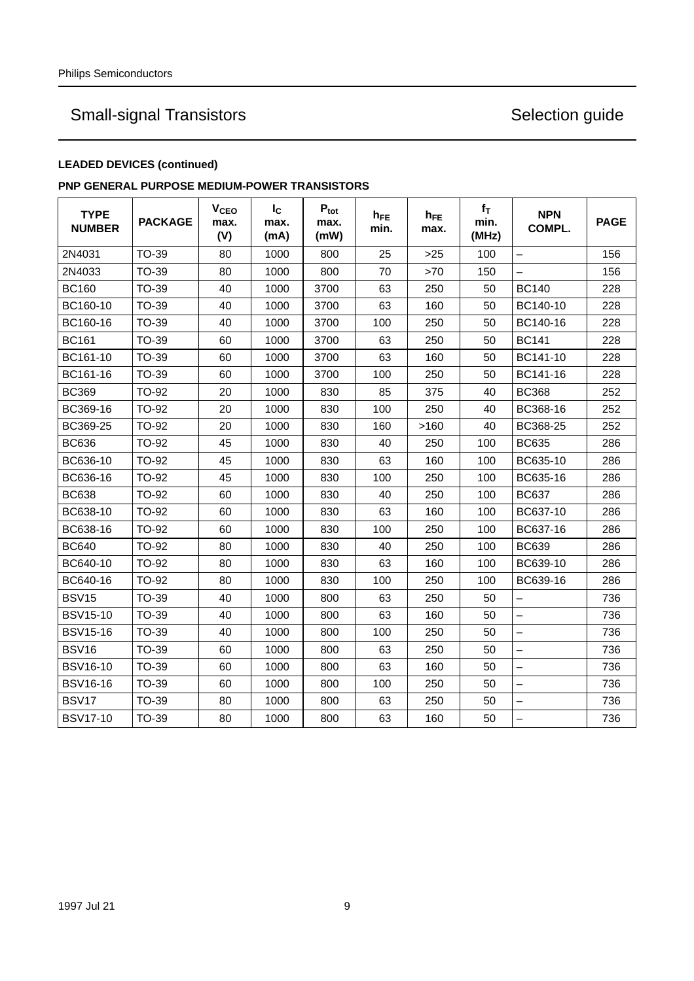## **LEADED DEVICES (continued)**

## **PNP GENERAL PURPOSE MEDIUM-POWER TRANSISTORS**

| <b>TYPE</b><br><b>NUMBER</b> | <b>PACKAGE</b> | V <sub>CEO</sub><br>max.<br>(V) | $I_{\rm C}$<br>max.<br>(mA) | $P_{\text{tot}}$<br>max.<br>(mW) | $h_{FE}$<br>min. | $h_{FE}$<br>max. | $f_T$<br>min.<br>(MHz) | <b>NPN</b><br>COMPL.     | <b>PAGE</b> |
|------------------------------|----------------|---------------------------------|-----------------------------|----------------------------------|------------------|------------------|------------------------|--------------------------|-------------|
| 2N4031                       | <b>TO-39</b>   | 80                              | 1000                        | 800                              | 25               | $>25$            | 100                    |                          | 156         |
| 2N4033                       | TO-39          | 80                              | 1000                        | 800                              | 70               | >70              | 150                    |                          | 156         |
| <b>BC160</b>                 | TO-39          | 40                              | 1000                        | 3700                             | 63               | 250              | 50                     | <b>BC140</b>             | 228         |
| BC160-10                     | TO-39          | 40                              | 1000                        | 3700                             | 63               | 160              | 50                     | BC140-10                 | 228         |
| BC160-16                     | TO-39          | 40                              | 1000                        | 3700                             | 100              | 250              | 50                     | BC140-16                 | 228         |
| <b>BC161</b>                 | TO-39          | 60                              | 1000                        | 3700                             | 63               | 250              | 50                     | <b>BC141</b>             | 228         |
| BC161-10                     | TO-39          | 60                              | 1000                        | 3700                             | 63               | 160              | 50                     | BC141-10                 | 228         |
| BC161-16                     | TO-39          | 60                              | 1000                        | 3700                             | 100              | 250              | 50                     | BC141-16                 | 228         |
| <b>BC369</b>                 | TO-92          | 20                              | 1000                        | 830                              | 85               | 375              | 40                     | <b>BC368</b>             | 252         |
| BC369-16                     | TO-92          | 20                              | 1000                        | 830                              | 100              | 250              | 40                     | BC368-16                 | 252         |
| BC369-25                     | TO-92          | 20                              | 1000                        | 830                              | 160              | >160             | 40                     | BC368-25                 | 252         |
| <b>BC636</b>                 | TO-92          | 45                              | 1000                        | 830                              | 40               | 250              | 100                    | <b>BC635</b>             | 286         |
| BC636-10                     | <b>TO-92</b>   | 45                              | 1000                        | 830                              | 63               | 160              | 100                    | BC635-10                 | 286         |
| BC636-16                     | TO-92          | 45                              | 1000                        | 830                              | 100              | 250              | 100                    | BC635-16                 | 286         |
| <b>BC638</b>                 | <b>TO-92</b>   | 60                              | 1000                        | 830                              | 40               | 250              | 100                    | <b>BC637</b>             | 286         |
| BC638-10                     | TO-92          | 60                              | 1000                        | 830                              | 63               | 160              | 100                    | BC637-10                 | 286         |
| BC638-16                     | <b>TO-92</b>   | 60                              | 1000                        | 830                              | 100              | 250              | 100                    | BC637-16                 | 286         |
| <b>BC640</b>                 | TO-92          | 80                              | 1000                        | 830                              | 40               | 250              | 100                    | <b>BC639</b>             | 286         |
| BC640-10                     | TO-92          | 80                              | 1000                        | 830                              | 63               | 160              | 100                    | BC639-10                 | 286         |
| BC640-16                     | TO-92          | 80                              | 1000                        | 830                              | 100              | 250              | 100                    | BC639-16                 | 286         |
| <b>BSV15</b>                 | <b>TO-39</b>   | 40                              | 1000                        | 800                              | 63               | 250              | 50                     | —                        | 736         |
| <b>BSV15-10</b>              | <b>TO-39</b>   | 40                              | 1000                        | 800                              | 63               | 160              | 50                     | $\overline{\phantom{0}}$ | 736         |
| <b>BSV15-16</b>              | TO-39          | 40                              | 1000                        | 800                              | 100              | 250              | 50                     | $\overline{\phantom{0}}$ | 736         |
| <b>BSV16</b>                 | TO-39          | 60                              | 1000                        | 800                              | 63               | 250              | 50                     | $\overline{\phantom{0}}$ | 736         |
| <b>BSV16-10</b>              | TO-39          | 60                              | 1000                        | 800                              | 63               | 160              | 50                     |                          | 736         |
| <b>BSV16-16</b>              | TO-39          | 60                              | 1000                        | 800                              | 100              | 250              | 50                     | -                        | 736         |
| BSV17                        | TO-39          | 80                              | 1000                        | 800                              | 63               | 250              | 50                     |                          | 736         |
| <b>BSV17-10</b>              | TO-39          | 80                              | 1000                        | 800                              | 63               | 160              | 50                     | —                        | 736         |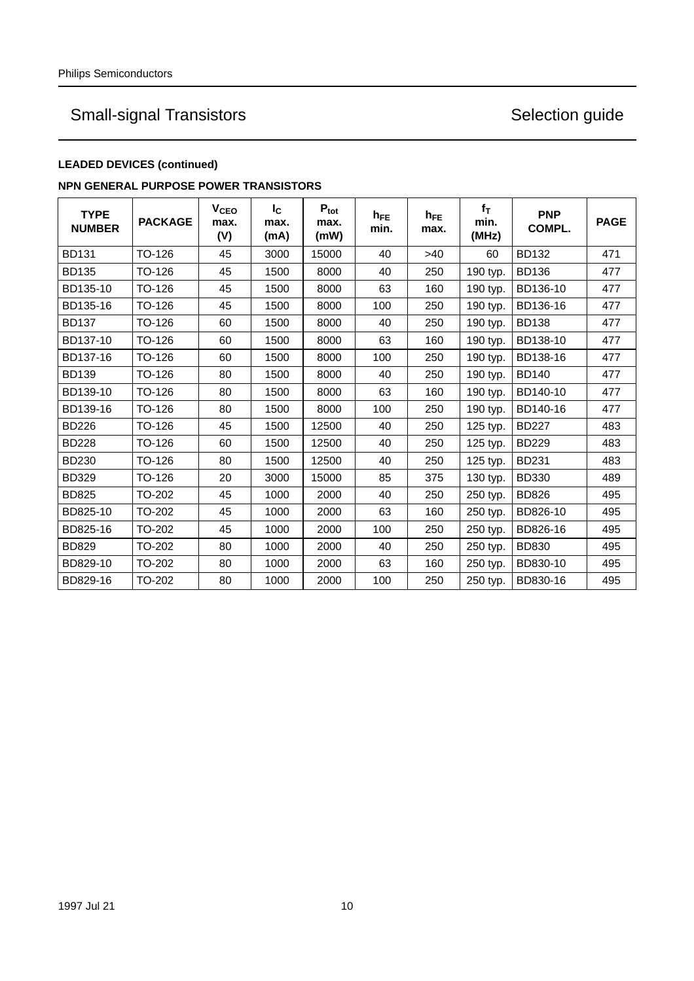## **LEADED DEVICES (continued)**

### **NPN GENERAL PURPOSE POWER TRANSISTORS**

| <b>TYPE</b><br><b>NUMBER</b> | <b>PACKAGE</b> | <b>V<sub>CEO</sub></b><br>max.<br>(V) | $I_{\rm C}$<br>max.<br>(mA) | $P_{\text{tot}}$<br>max.<br>(mW) | $h_{FE}$<br>min. | $h_{FE}$<br>max. | $f_T$<br>min.<br>(MHz) | <b>PNP</b><br><b>COMPL.</b> | <b>PAGE</b> |
|------------------------------|----------------|---------------------------------------|-----------------------------|----------------------------------|------------------|------------------|------------------------|-----------------------------|-------------|
| <b>BD131</b>                 | TO-126         | 45                                    | 3000                        | 15000                            | 40               | >40              | 60                     | <b>BD132</b>                | 471         |
| <b>BD135</b>                 | TO-126         | 45                                    | 1500                        | 8000                             | 40               | 250              | 190 typ.               | <b>BD136</b>                | 477         |
| BD135-10                     | TO-126         | 45                                    | 1500                        | 8000                             | 63               | 160              | 190 typ.               | BD136-10                    | 477         |
| BD135-16                     | TO-126         | 45                                    | 1500                        | 8000                             | 100              | 250              | 190 typ.               | BD136-16                    | 477         |
| <b>BD137</b>                 | TO-126         | 60                                    | 1500                        | 8000                             | 40               | 250              | 190 typ.               | <b>BD138</b>                | 477         |
| BD137-10                     | TO-126         | 60                                    | 1500                        | 8000                             | 63               | 160              | 190 typ.               | BD138-10                    | 477         |
| BD137-16                     | TO-126         | 60                                    | 1500                        | 8000                             | 100              | 250              | 190 typ.               | BD138-16                    | 477         |
| <b>BD139</b>                 | TO-126         | 80                                    | 1500                        | 8000                             | 40               | 250              | 190 typ.               | <b>BD140</b>                | 477         |
| BD139-10                     | TO-126         | 80                                    | 1500                        | 8000                             | 63               | 160              | 190 typ.               | BD140-10                    | 477         |
| BD139-16                     | TO-126         | 80                                    | 1500                        | 8000                             | 100              | 250              | 190 typ.               | BD140-16                    | 477         |
| <b>BD226</b>                 | TO-126         | 45                                    | 1500                        | 12500                            | 40               | 250              | 125 typ.               | <b>BD227</b>                | 483         |
| <b>BD228</b>                 | TO-126         | 60                                    | 1500                        | 12500                            | 40               | 250              | 125 typ.               | <b>BD229</b>                | 483         |
| <b>BD230</b>                 | TO-126         | 80                                    | 1500                        | 12500                            | 40               | 250              | 125 typ.               | <b>BD231</b>                | 483         |
| <b>BD329</b>                 | TO-126         | 20                                    | 3000                        | 15000                            | 85               | 375              | 130 typ.               | <b>BD330</b>                | 489         |
| <b>BD825</b>                 | TO-202         | 45                                    | 1000                        | 2000                             | 40               | 250              | 250 typ.               | <b>BD826</b>                | 495         |
| BD825-10                     | TO-202         | 45                                    | 1000                        | 2000                             | 63               | 160              | 250 typ.               | BD826-10                    | 495         |
| BD825-16                     | TO-202         | 45                                    | 1000                        | 2000                             | 100              | 250              | 250 typ.               | BD826-16                    | 495         |
| <b>BD829</b>                 | TO-202         | 80                                    | 1000                        | 2000                             | 40               | 250              | 250 typ.               | <b>BD830</b>                | 495         |
| BD829-10                     | TO-202         | 80                                    | 1000                        | 2000                             | 63               | 160              | 250 typ.               | BD830-10                    | 495         |
| BD829-16                     | TO-202         | 80                                    | 1000                        | 2000                             | 100              | 250              | 250 typ.               | BD830-16                    | 495         |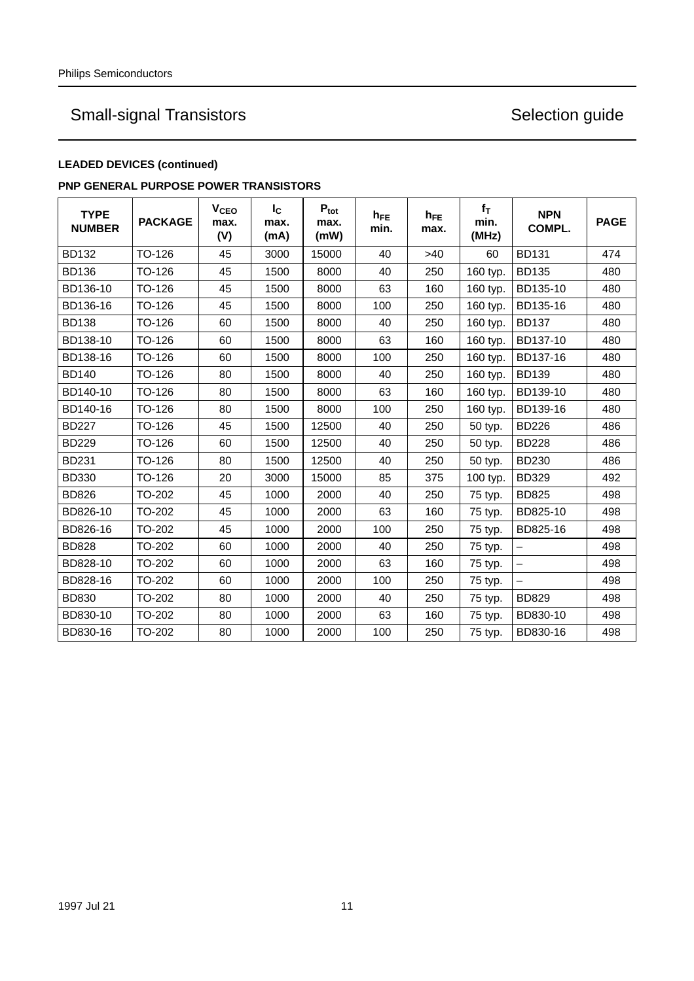## **LEADED DEVICES (continued)**

### **PNP GENERAL PURPOSE POWER TRANSISTORS**

| <b>TYPE</b><br><b>NUMBER</b> | <b>PACKAGE</b> | <b>V<sub>CEO</sub></b><br>max.<br>(V) | $I_{\rm C}$<br>max.<br>(mA) | $P_{\text{tot}}$<br>max.<br>(mW) | $h_{FE}$<br>min. | $h_{FE}$<br>max. | $f_T$<br>min.<br>(MHz) | <b>NPN</b><br><b>COMPL.</b> | <b>PAGE</b> |
|------------------------------|----------------|---------------------------------------|-----------------------------|----------------------------------|------------------|------------------|------------------------|-----------------------------|-------------|
| <b>BD132</b>                 | TO-126         | 45                                    | 3000                        | 15000                            | 40               | >40              | 60                     | <b>BD131</b>                | 474         |
| <b>BD136</b>                 | TO-126         | 45                                    | 1500                        | 8000                             | 40               | 250              | 160 typ.               | <b>BD135</b>                | 480         |
| BD136-10                     | TO-126         | 45                                    | 1500                        | 8000                             | 63               | 160              | 160 typ.               | BD135-10                    | 480         |
| BD136-16                     | TO-126         | 45                                    | 1500                        | 8000                             | 100              | 250              | 160 typ.               | BD135-16                    | 480         |
| <b>BD138</b>                 | TO-126         | 60                                    | 1500                        | 8000                             | 40               | 250              | 160 typ.               | <b>BD137</b>                | 480         |
| BD138-10                     | TO-126         | 60                                    | 1500                        | 8000                             | 63               | 160              | 160 typ.               | BD137-10                    | 480         |
| BD138-16                     | TO-126         | 60                                    | 1500                        | 8000                             | 100              | 250              | 160 typ.               | BD137-16                    | 480         |
| <b>BD140</b>                 | TO-126         | 80                                    | 1500                        | 8000                             | 40               | 250              | 160 typ.               | <b>BD139</b>                | 480         |
| BD140-10                     | TO-126         | 80                                    | 1500                        | 8000                             | 63               | 160              | 160 typ.               | BD139-10                    | 480         |
| BD140-16                     | TO-126         | 80                                    | 1500                        | 8000                             | 100              | 250              | 160 typ.               | BD139-16                    | 480         |
| <b>BD227</b>                 | TO-126         | 45                                    | 1500                        | 12500                            | 40               | 250              | 50 typ.                | <b>BD226</b>                | 486         |
| <b>BD229</b>                 | TO-126         | 60                                    | 1500                        | 12500                            | 40               | 250              | 50 typ.                | <b>BD228</b>                | 486         |
| <b>BD231</b>                 | TO-126         | 80                                    | 1500                        | 12500                            | 40               | 250              | 50 typ.                | <b>BD230</b>                | 486         |
| <b>BD330</b>                 | TO-126         | 20                                    | 3000                        | 15000                            | 85               | 375              | 100 typ.               | <b>BD329</b>                | 492         |
| <b>BD826</b>                 | TO-202         | 45                                    | 1000                        | 2000                             | 40               | 250              | 75 typ.                | <b>BD825</b>                | 498         |
| BD826-10                     | <b>TO-202</b>  | 45                                    | 1000                        | 2000                             | 63               | 160              | 75 typ.                | BD825-10                    | 498         |
| BD826-16                     | <b>TO-202</b>  | 45                                    | 1000                        | 2000                             | 100              | 250              | 75 typ.                | BD825-16                    | 498         |
| <b>BD828</b>                 | <b>TO-202</b>  | 60                                    | 1000                        | 2000                             | 40               | 250              | 75 typ.                | $\qquad \qquad -$           | 498         |
| BD828-10                     | TO-202         | 60                                    | 1000                        | 2000                             | 63               | 160              | 75 typ.                | -                           | 498         |
| BD828-16                     | TO-202         | 60                                    | 1000                        | 2000                             | 100              | 250              | 75 typ.                |                             | 498         |
| <b>BD830</b>                 | TO-202         | 80                                    | 1000                        | 2000                             | 40               | 250              | 75 typ.                | <b>BD829</b>                | 498         |
| BD830-10                     | <b>TO-202</b>  | 80                                    | 1000                        | 2000                             | 63               | 160              | 75 typ.                | BD830-10                    | 498         |
| BD830-16                     | <b>TO-202</b>  | 80                                    | 1000                        | 2000                             | 100              | 250              | 75 typ.                | BD830-16                    | 498         |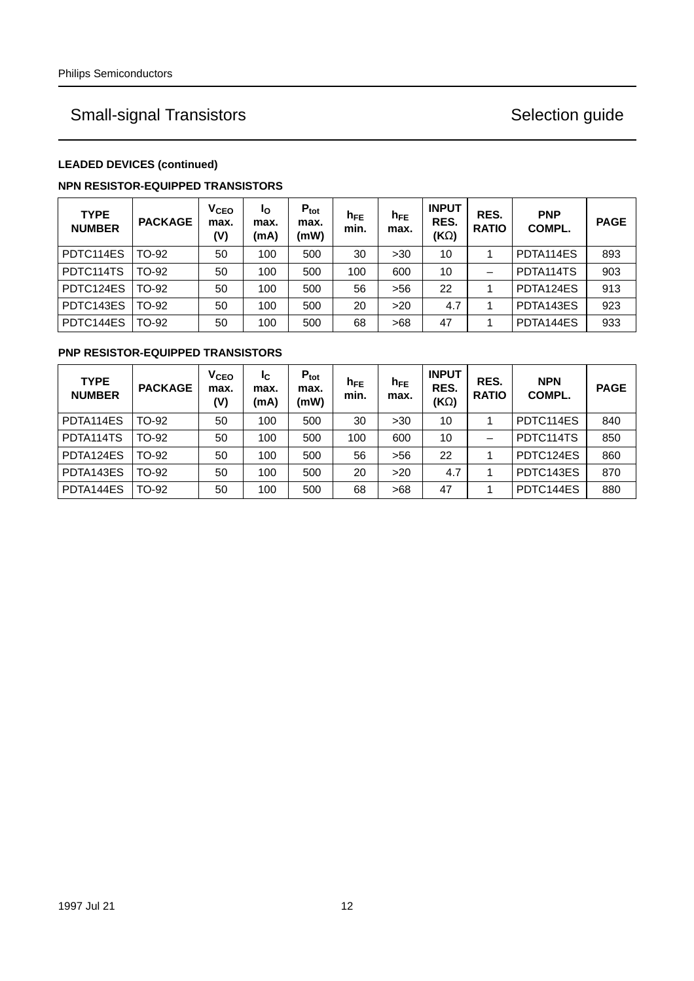## **LEADED DEVICES (continued)**

### **NPN RESISTOR-EQUIPPED TRANSISTORS**

| <b>TYPE</b><br><b>NUMBER</b> | <b>PACKAGE</b> | V <sub>CEO</sub><br>max.<br>(V) | Ιo<br>max.<br>(mA) | $P_{\text{tot}}$<br>max.<br>(mW) | $h_{FE}$<br>min. | $h_{FE}$<br>max. | <b>INPUT</b><br>RES.<br>(ΚΩ) | RES.<br><b>RATIO</b> | <b>PNP</b><br>COMPL. | <b>PAGE</b> |
|------------------------------|----------------|---------------------------------|--------------------|----------------------------------|------------------|------------------|------------------------------|----------------------|----------------------|-------------|
| PDTC114ES                    | TO-92          | 50                              | 100                | 500                              | 30               | >30              | 10                           |                      | PDTA114ES            | 893         |
| PDTC114TS                    | TO-92          | 50                              | 100                | 500                              | 100              | 600              | 10                           |                      | PDTA114TS            | 903         |
| PDTC124ES                    | TO-92          | 50                              | 100                | 500                              | 56               | $>56$            | 22                           |                      | PDTA124ES            | 913         |
| PDTC143ES                    | TO-92          | 50                              | 100                | 500                              | 20               | >20              | 4.7                          |                      | PDTA143ES            | 923         |
| PDTC144ES                    | TO-92          | 50                              | 100                | 500                              | 68               | >68              | 47                           |                      | PDTA144ES            | 933         |

## **PNP RESISTOR-EQUIPPED TRANSISTORS**

| <b>TYPE</b><br><b>NUMBER</b> | <b>PACKAGE</b> | <b>V<sub>CEO</sub></b><br>max.<br>(V) | IC.<br>max.<br>(mA) | $P_{\text{tot}}$<br>max.<br>(mW) | $h_{FE}$<br>min. | $h_{FE}$<br>max. | <b>INPUT</b><br>RES.<br>(ΚΩ) | RES.<br><b>RATIO</b> | <b>NPN</b><br>COMPL. | <b>PAGE</b> |
|------------------------------|----------------|---------------------------------------|---------------------|----------------------------------|------------------|------------------|------------------------------|----------------------|----------------------|-------------|
| PDTA114ES                    | TO-92          | 50                                    | 100                 | 500                              | 30               | >30              | 10                           |                      | PDTC114ES            | 840         |
| PDTA114TS                    | TO-92          | 50                                    | 100                 | 500                              | 100              | 600              | 10                           |                      | PDTC114TS            | 850         |
| PDTA124ES                    | TO-92          | 50                                    | 100                 | 500                              | 56               | >56              | 22                           |                      | PDTC124ES            | 860         |
| PDTA143ES                    | TO-92          | 50                                    | 100                 | 500                              | 20               | >20              | 4.7                          |                      | PDTC143ES            | 870         |
| PDTA144ES                    | TO-92          | 50                                    | 100                 | 500                              | 68               | >68              | 47                           |                      | PDTC144ES            | 880         |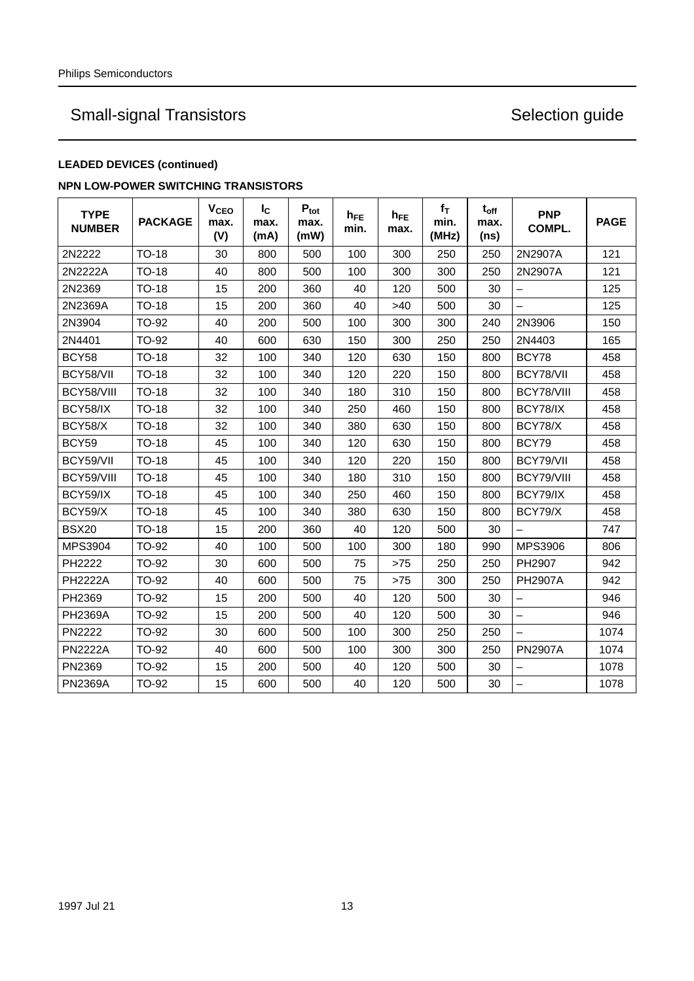## **LEADED DEVICES (continued)**

### **NPN LOW-POWER SWITCHING TRANSISTORS**

| <b>TYPE</b><br><b>NUMBER</b> | <b>PACKAGE</b> | V <sub>CEO</sub><br>max.<br>(V) | $I_{\rm C}$<br>max.<br>(mA) | $P_{\text{tot}}$<br>max.<br>(mW) | $h_{FE}$<br>min. | $h_{FE}$<br>max. | $f_T$<br>min.<br>(MHz) | $t_{off}$<br>max.<br>(ns) | <b>PNP</b><br>COMPL.     | <b>PAGE</b> |
|------------------------------|----------------|---------------------------------|-----------------------------|----------------------------------|------------------|------------------|------------------------|---------------------------|--------------------------|-------------|
| 2N2222                       | <b>TO-18</b>   | 30                              | 800                         | 500                              | 100              | 300              | 250                    | 250                       | 2N2907A                  | 121         |
| 2N2222A                      | <b>TO-18</b>   | 40                              | 800                         | 500                              | 100              | 300              | 300                    | 250                       | 2N2907A                  | 121         |
| 2N2369                       | <b>TO-18</b>   | 15                              | 200                         | 360                              | 40               | 120              | 500                    | 30                        |                          | 125         |
| 2N2369A                      | <b>TO-18</b>   | 15                              | 200                         | 360                              | 40               | >40              | 500                    | 30                        | $\overline{\phantom{0}}$ | 125         |
| 2N3904                       | TO-92          | 40                              | 200                         | 500                              | 100              | 300              | 300                    | 240                       | 2N3906                   | 150         |
| 2N4401                       | TO-92          | 40                              | 600                         | 630                              | 150              | 300              | 250                    | 250                       | 2N4403                   | 165         |
| BCY58                        | <b>TO-18</b>   | 32                              | 100                         | 340                              | 120              | 630              | 150                    | 800                       | BCY78                    | 458         |
| BCY58/VII                    | <b>TO-18</b>   | 32                              | 100                         | 340                              | 120              | 220              | 150                    | 800                       | BCY78/VII                | 458         |
| BCY58/VIII                   | <b>TO-18</b>   | 32                              | 100                         | 340                              | 180              | 310              | 150                    | 800                       | BCY78/VIII               | 458         |
| BCY58/IX                     | <b>TO-18</b>   | 32                              | 100                         | 340                              | 250              | 460              | 150                    | 800                       | BCY78/IX                 | 458         |
| BCY58/X                      | <b>TO-18</b>   | 32                              | 100                         | 340                              | 380              | 630              | 150                    | 800                       | BCY78/X                  | 458         |
| BCY59                        | <b>TO-18</b>   | 45                              | 100                         | 340                              | 120              | 630              | 150                    | 800                       | BCY79                    | 458         |
| BCY59/VII                    | <b>TO-18</b>   | 45                              | 100                         | 340                              | 120              | 220              | 150                    | 800                       | BCY79/VII                | 458         |
| BCY59/VIII                   | <b>TO-18</b>   | 45                              | 100                         | 340                              | 180              | 310              | 150                    | 800                       | BCY79/VIII               | 458         |
| BCY59/IX                     | <b>TO-18</b>   | 45                              | 100                         | 340                              | 250              | 460              | 150                    | 800                       | BCY79/IX                 | 458         |
| BCY59/X                      | TO-18          | 45                              | 100                         | 340                              | 380              | 630              | 150                    | 800                       | BCY79/X                  | 458         |
| <b>BSX20</b>                 | <b>TO-18</b>   | 15                              | 200                         | 360                              | 40               | 120              | 500                    | 30                        |                          | 747         |
| <b>MPS3904</b>               | TO-92          | 40                              | 100                         | 500                              | 100              | 300              | 180                    | 990                       | MPS3906                  | 806         |
| PH2222                       | TO-92          | 30                              | 600                         | 500                              | 75               | >75              | 250                    | 250                       | PH2907                   | 942         |
| <b>PH2222A</b>               | TO-92          | 40                              | 600                         | 500                              | 75               | >75              | 300                    | 250                       | <b>PH2907A</b>           | 942         |
| PH2369                       | TO-92          | 15                              | 200                         | 500                              | 40               | 120              | 500                    | 30                        | $\qquad \qquad -$        | 946         |
| <b>PH2369A</b>               | TO-92          | 15                              | 200                         | 500                              | 40               | 120              | 500                    | 30                        |                          | 946         |
| <b>PN2222</b>                | TO-92          | 30                              | 600                         | 500                              | 100              | 300              | 250                    | 250                       |                          | 1074        |
| <b>PN2222A</b>               | TO-92          | 40                              | 600                         | 500                              | 100              | 300              | 300                    | 250                       | <b>PN2907A</b>           | 1074        |
| PN2369                       | TO-92          | 15                              | 200                         | 500                              | 40               | 120              | 500                    | 30                        | $\overline{\phantom{0}}$ | 1078        |
| <b>PN2369A</b>               | <b>TO-92</b>   | 15                              | 600                         | 500                              | 40               | 120              | 500                    | 30                        | $\overline{\phantom{0}}$ | 1078        |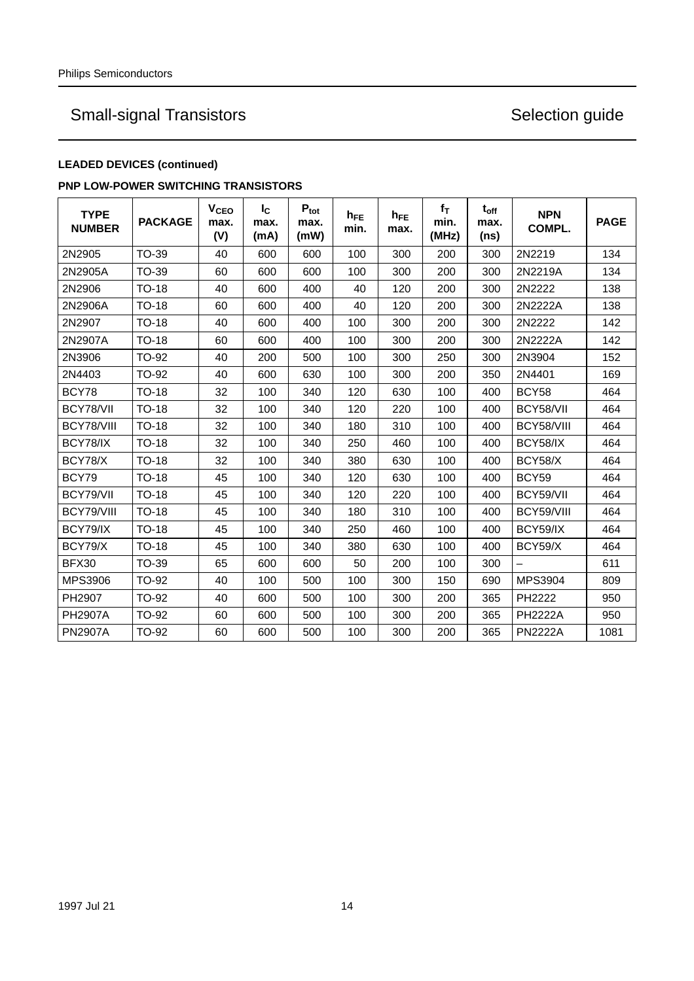## **LEADED DEVICES (continued)**

### **PNP LOW-POWER SWITCHING TRANSISTORS**

| <b>TYPE</b><br><b>NUMBER</b> | <b>PACKAGE</b> | V <sub>CEO</sub><br>max.<br>(V) | $I_{\rm C}$<br>max.<br>(mA) | $P_{\text{tot}}$<br>max.<br>(mW) | $h_{FE}$<br>min. | $h_{FE}$<br>max. | $f_T$<br>min.<br>(MHz) | $t_{off}$<br>max.<br>(ns) | <b>NPN</b><br>COMPL. | <b>PAGE</b> |
|------------------------------|----------------|---------------------------------|-----------------------------|----------------------------------|------------------|------------------|------------------------|---------------------------|----------------------|-------------|
| 2N2905                       | TO-39          | 40                              | 600                         | 600                              | 100              | 300              | 200                    | 300                       | 2N2219               | 134         |
| 2N2905A                      | <b>TO-39</b>   | 60                              | 600                         | 600                              | 100              | 300              | 200                    | 300                       | 2N2219A              | 134         |
| 2N2906                       | <b>TO-18</b>   | 40                              | 600                         | 400                              | 40               | 120              | 200                    | 300                       | 2N2222               | 138         |
| 2N2906A                      | <b>TO-18</b>   | 60                              | 600                         | 400                              | 40               | 120              | 200                    | 300                       | 2N2222A              | 138         |
| 2N2907                       | <b>TO-18</b>   | 40                              | 600                         | 400                              | 100              | 300              | 200                    | 300                       | 2N2222               | 142         |
| 2N2907A                      | <b>TO-18</b>   | 60                              | 600                         | 400                              | 100              | 300              | 200                    | 300                       | 2N2222A              | 142         |
| 2N3906                       | <b>TO-92</b>   | 40                              | 200                         | 500                              | 100              | 300              | 250                    | 300                       | 2N3904               | 152         |
| 2N4403                       | <b>TO-92</b>   | 40                              | 600                         | 630                              | 100              | 300              | 200                    | 350                       | 2N4401               | 169         |
| BCY78                        | <b>TO-18</b>   | 32                              | 100                         | 340                              | 120              | 630              | 100                    | 400                       | <b>BCY58</b>         | 464         |
| BCY78/VII                    | <b>TO-18</b>   | 32                              | 100                         | 340                              | 120              | 220              | 100                    | 400                       | BCY58/VII            | 464         |
| BCY78/VIII                   | <b>TO-18</b>   | 32                              | 100                         | 340                              | 180              | 310              | 100                    | 400                       | BCY58/VIII           | 464         |
| BCY78/IX                     | <b>TO-18</b>   | 32                              | 100                         | 340                              | 250              | 460              | 100                    | 400                       | <b>BCY58/IX</b>      | 464         |
| BCY78/X                      | <b>TO-18</b>   | 32                              | 100                         | 340                              | 380              | 630              | 100                    | 400                       | BCY58/X              | 464         |
| BCY79                        | <b>TO-18</b>   | 45                              | 100                         | 340                              | 120              | 630              | 100                    | 400                       | BCY59                | 464         |
| BCY79/VII                    | <b>TO-18</b>   | 45                              | 100                         | 340                              | 120              | 220              | 100                    | 400                       | BCY59/VII            | 464         |
| BCY79/VIII                   | <b>TO-18</b>   | 45                              | 100                         | 340                              | 180              | 310              | 100                    | 400                       | BCY59/VIII           | 464         |
| BCY79/IX                     | <b>TO-18</b>   | 45                              | 100                         | 340                              | 250              | 460              | 100                    | 400                       | BCY59/IX             | 464         |
| BCY79/X                      | <b>TO-18</b>   | 45                              | 100                         | 340                              | 380              | 630              | 100                    | 400                       | BCY59/X              | 464         |
| BFX30                        | <b>TO-39</b>   | 65                              | 600                         | 600                              | 50               | 200              | 100                    | 300                       |                      | 611         |
| MPS3906                      | <b>TO-92</b>   | 40                              | 100                         | 500                              | 100              | 300              | 150                    | 690                       | <b>MPS3904</b>       | 809         |
| PH2907                       | <b>TO-92</b>   | 40                              | 600                         | 500                              | 100              | 300              | 200                    | 365                       | PH2222               | 950         |
| <b>PH2907A</b>               | TO-92          | 60                              | 600                         | 500                              | 100              | 300              | 200                    | 365                       | <b>PH2222A</b>       | 950         |
| <b>PN2907A</b>               | TO-92          | 60                              | 600                         | 500                              | 100              | 300              | 200                    | 365                       | <b>PN2222A</b>       | 1081        |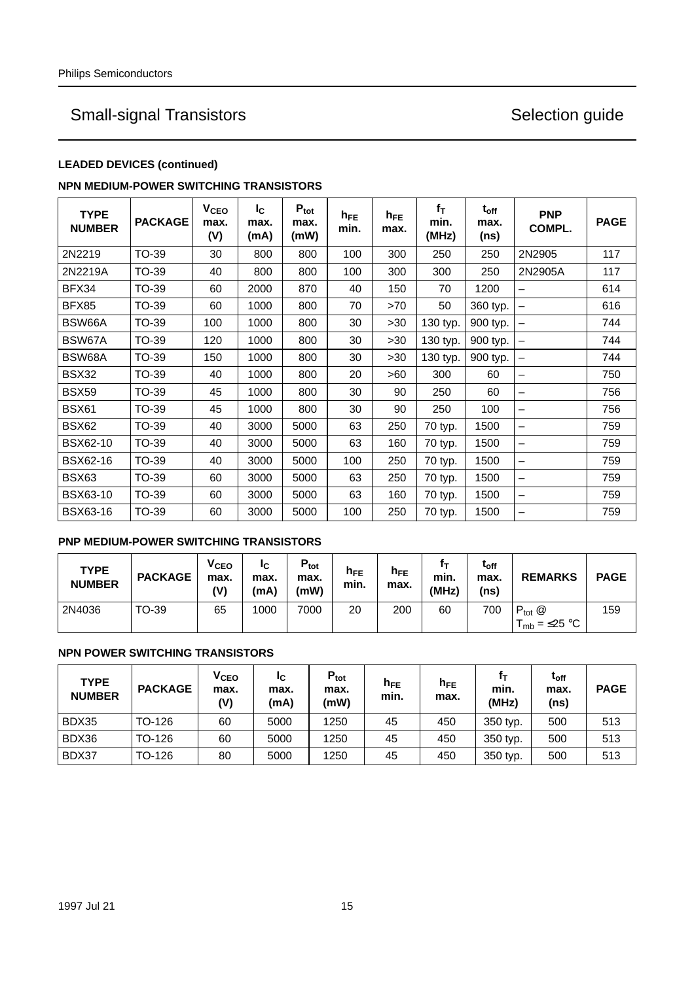### **LEADED DEVICES (continued)**

### **NPN MEDIUM-POWER SWITCHING TRANSISTORS**

| <b>TYPE</b><br><b>NUMBER</b> | <b>PACKAGE</b> | <b>V<sub>CEO</sub></b><br>max.<br>(V) | $I_{\rm C}$<br>max.<br>(mA) | $P_{\text{tot}}$<br>max.<br>(mW) | $h_{FE}$<br>min. | $h_{FE}$<br>max. | $f_T$<br>min.<br>(MHz) | $t_{off}$<br>max.<br>(ns) | <b>PNP</b><br><b>COMPL.</b> | <b>PAGE</b> |
|------------------------------|----------------|---------------------------------------|-----------------------------|----------------------------------|------------------|------------------|------------------------|---------------------------|-----------------------------|-------------|
| 2N2219                       | TO-39          | 30                                    | 800                         | 800                              | 100              | 300              | 250                    | 250                       | 2N2905                      | 117         |
| 2N2219A                      | <b>TO-39</b>   | 40                                    | 800                         | 800                              | 100              | 300              | 300                    | 250                       | 2N2905A                     | 117         |
| BFX34                        | TO-39          | 60                                    | 2000                        | 870                              | 40               | 150              | 70                     | 1200                      | —                           | 614         |
| BFX85                        | TO-39          | 60                                    | 1000                        | 800                              | 70               | >70              | 50                     | 360 typ.                  | —                           | 616         |
| BSW66A                       | TO-39          | 100                                   | 1000                        | 800                              | 30               | >30              | 130 typ.               | 900 typ.                  | —                           | 744         |
| BSW67A                       | <b>TO-39</b>   | 120                                   | 1000                        | 800                              | 30               | >30              | 130 typ.               | 900 typ.                  | -                           | 744         |
| BSW68A                       | TO-39          | 150                                   | 1000                        | 800                              | 30               | >30              | 130 typ.               | 900 typ.                  | -                           | 744         |
| BSX32                        | TO-39          | 40                                    | 1000                        | 800                              | 20               | >60              | 300                    | 60                        | -                           | 750         |
| <b>BSX59</b>                 | <b>TO-39</b>   | 45                                    | 1000                        | 800                              | 30               | 90               | 250                    | 60                        | —                           | 756         |
| <b>BSX61</b>                 | TO-39          | 45                                    | 1000                        | 800                              | 30               | 90               | 250                    | 100                       | —                           | 756         |
| <b>BSX62</b>                 | TO-39          | 40                                    | 3000                        | 5000                             | 63               | 250              | 70 typ.                | 1500                      | -                           | 759         |
| <b>BSX62-10</b>              | TO-39          | 40                                    | 3000                        | 5000                             | 63               | 160              | 70 typ.                | 1500                      | —                           | 759         |
| <b>BSX62-16</b>              | TO-39          | 40                                    | 3000                        | 5000                             | 100              | 250              | 70 typ.                | 1500                      | —                           | 759         |
| BSX63                        | <b>TO-39</b>   | 60                                    | 3000                        | 5000                             | 63               | 250              | 70 typ.                | 1500                      | —                           | 759         |
| <b>BSX63-10</b>              | TO-39          | 60                                    | 3000                        | 5000                             | 63               | 160              | 70 typ.                | 1500                      | —                           | 759         |
| <b>BSX63-16</b>              | TO-39          | 60                                    | 3000                        | 5000                             | 100              | 250              | 70 typ.                | 1500                      | -                           | 759         |

## **PNP MEDIUM-POWER SWITCHING TRANSISTORS**

| <b>TYPE</b><br><b>NUMBER</b> | <b>PACKAGE</b> | <b>V<sub>CEO</sub></b><br>max.<br>(V) | ΙC<br>max.<br>(mA) | $P_{\text{tot}}$<br>max.<br>(mW) | $h_{FE}$<br>min. | $h_{FE}$<br>max. | min.<br>(MHz) | $\tau_{\rm off}$<br>max.<br>(ns) | <b>REMARKS</b>                         | <b>PAGE</b> |
|------------------------------|----------------|---------------------------------------|--------------------|----------------------------------|------------------|------------------|---------------|----------------------------------|----------------------------------------|-------------|
| 2N4036                       | TO-39          | 65                                    | 1000               | 7000                             | 20               | 200              | 60            | 700                              | $P_{tot}$ $@$<br>$T_{mb} = \leq 25$ °C | 159         |

### **NPN POWER SWITCHING TRANSISTORS**

| <b>TYPE</b><br><b>NUMBER</b> | <b>PACKAGE</b> | <b>V<sub>CEO</sub></b><br>max.<br>(V) | ΙC<br>max.<br>(mA) | $P_{\text{tot}}$<br>max.<br>(mW) | $h_{FE}$<br>min. | $h_{FE}$<br>max. | min.<br>(MHz) | $t_{\rm off}$<br>max.<br>(ns) | <b>PAGE</b> |
|------------------------------|----------------|---------------------------------------|--------------------|----------------------------------|------------------|------------------|---------------|-------------------------------|-------------|
| BDX35                        | TO-126         | 60                                    | 5000               | 1250                             | 45               | 450              | 350 typ.      | 500                           | 513         |
| BDX36                        | TO-126         | 60                                    | 5000               | 1250                             | 45               | 450              | 350 typ.      | 500                           | 513         |
| BDX37                        | TO-126         | 80                                    | 5000               | 1250                             | 45               | 450              | 350 typ.      | 500                           | 513         |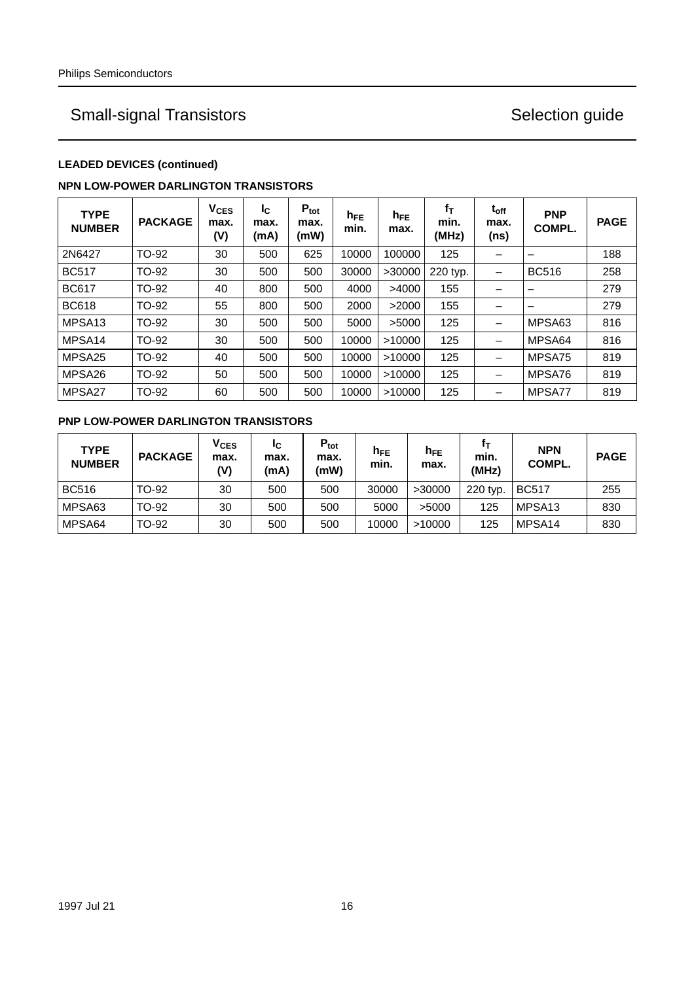## **LEADED DEVICES (continued)**

### **NPN LOW-POWER DARLINGTON TRANSISTORS**

| <b>TYPE</b><br><b>NUMBER</b> | <b>PACKAGE</b> | $V_{CES}$<br>max.<br>(V) | Ic.<br>max.<br>(mA) | $P_{\text{tot}}$<br>max.<br>(mW) | $h_{FE}$<br>min. | $h_{FE}$<br>max. | $f_T$<br>min.<br>(MHz) | $t_{off}$<br>max.<br>(ns) | <b>PNP</b><br>COMPL. | <b>PAGE</b> |
|------------------------------|----------------|--------------------------|---------------------|----------------------------------|------------------|------------------|------------------------|---------------------------|----------------------|-------------|
| 2N6427                       | TO-92          | 30                       | 500                 | 625                              | 10000            | 100000           | 125                    |                           |                      | 188         |
| <b>BC517</b>                 | TO-92          | 30                       | 500                 | 500                              | 30000            | >30000           | 220 typ.               |                           | <b>BC516</b>         | 258         |
| <b>BC617</b>                 | TO-92          | 40                       | 800                 | 500                              | 4000             | >4000            | 155                    |                           |                      | 279         |
| <b>BC618</b>                 | TO-92          | 55                       | 800                 | 500                              | 2000             | >2000            | 155                    |                           |                      | 279         |
| MPSA <sub>13</sub>           | TO-92          | 30                       | 500                 | 500                              | 5000             | >5000            | 125                    |                           | MPSA63               | 816         |
| MPSA <sub>14</sub>           | TO-92          | 30                       | 500                 | 500                              | 10000            | >10000           | 125                    |                           | MPSA64               | 816         |
| MPSA25                       | TO-92          | 40                       | 500                 | 500                              | 10000            | >10000           | 125                    |                           | MPSA75               | 819         |
| MPSA26                       | TO-92          | 50                       | 500                 | 500                              | 10000            | >10000           | 125                    |                           | MPSA76               | 819         |
| MPSA27                       | TO-92          | 60                       | 500                 | 500                              | 10000            | >10000           | 125                    |                           | MPSA77               | 819         |

### **PNP LOW-POWER DARLINGTON TRANSISTORS**

| <b>TYPE</b><br><b>NUMBER</b> | <b>PACKAGE</b> | <b>V<sub>CES</sub></b><br>max.<br>(V) | Ιc<br>max.<br>(mA) | $P_{\rm tot}$<br>max.<br>(mW) | $h_{\mathsf{FE}}$<br>min. | $h_{FE}$<br>max. | min.<br>(MHz) | <b>NPN</b><br>COMPL. | <b>PAGE</b> |
|------------------------------|----------------|---------------------------------------|--------------------|-------------------------------|---------------------------|------------------|---------------|----------------------|-------------|
| <b>BC516</b>                 | TO-92          | 30                                    | 500                | 500                           | 30000                     | >30000           | 220 typ.      | <b>BC517</b>         | 255         |
| MPSA63                       | TO-92          | 30                                    | 500                | 500                           | 5000                      | >5000            | 125           | MPSA <sub>13</sub>   | 830         |
| MPSA64                       | TO-92          | 30                                    | 500                | 500                           | 10000                     | >10000           | 125           | MPSA <sub>14</sub>   | 830         |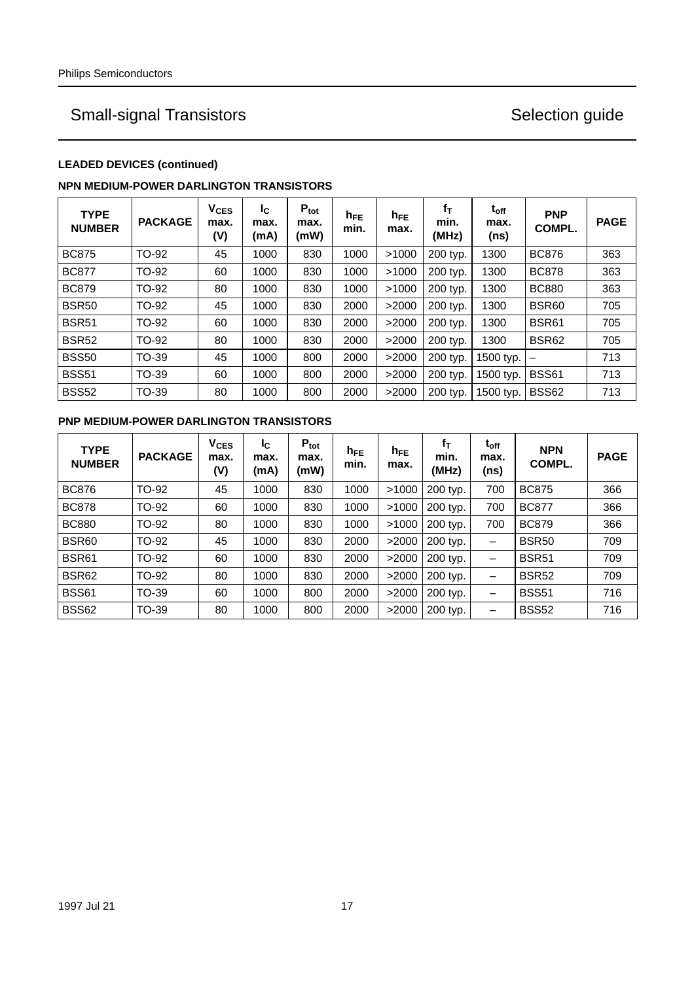## **LEADED DEVICES (continued)**

### **NPN MEDIUM-POWER DARLINGTON TRANSISTORS**

| <b>TYPE</b><br><b>NUMBER</b> | <b>PACKAGE</b> | $V_{CES}$<br>max.<br>(V) | Ic.<br>max.<br>(mA) | $P_{\text{tot}}$<br>max.<br>(mW) | $h_{FE}$<br>min. | $h_{FE}$<br>max. | $f_T$<br>min.<br>(MHz) | $\mathfrak{t}_{\mathsf{off}}$<br>max.<br>(ns) | <b>PNP</b><br>COMPL. | <b>PAGE</b> |
|------------------------------|----------------|--------------------------|---------------------|----------------------------------|------------------|------------------|------------------------|-----------------------------------------------|----------------------|-------------|
| <b>BC875</b>                 | TO-92          | 45                       | 1000                | 830                              | 1000             | >1000            | 200 typ.               | 1300                                          | <b>BC876</b>         | 363         |
| <b>BC877</b>                 | TO-92          | 60                       | 1000                | 830                              | 1000             | >1000            | 200 typ.               | 1300                                          | <b>BC878</b>         | 363         |
| <b>BC879</b>                 | TO-92          | 80                       | 1000                | 830                              | 1000             | >1000            | 200 typ.               | 1300                                          | <b>BC880</b>         | 363         |
| <b>BSR50</b>                 | TO-92          | 45                       | 1000                | 830                              | 2000             | >2000            | 200 typ.               | 1300                                          | BSR60                | 705         |
| <b>BSR51</b>                 | TO-92          | 60                       | 1000                | 830                              | 2000             | >2000            | 200 typ.               | 1300                                          | <b>BSR61</b>         | 705         |
| <b>BSR52</b>                 | TO-92          | 80                       | 1000                | 830                              | 2000             | >2000            | 200 typ.               | 1300                                          | <b>BSR62</b>         | 705         |
| <b>BSS50</b>                 | TO-39          | 45                       | 1000                | 800                              | 2000             | >2000            | 200 typ.               | 1500 typ.                                     | -                    | 713         |
| <b>BSS51</b>                 | TO-39          | 60                       | 1000                | 800                              | 2000             | >2000            | 200 typ.               | 1500 typ.                                     | <b>BSS61</b>         | 713         |
| <b>BSS52</b>                 | TO-39          | 80                       | 1000                | 800                              | 2000             | >2000            | 200 typ.               | 1500 typ.                                     | <b>BSS62</b>         | 713         |

## **PNP MEDIUM-POWER DARLINGTON TRANSISTORS**

| <b>TYPE</b><br><b>NUMBER</b> | <b>PACKAGE</b> | <b>V<sub>CES</sub></b><br>max.<br>(V) | Ic.<br>max.<br>(mA) | $P_{\text{tot}}$<br>max.<br>(mW) | $h_{FE}$<br>min. | $h_{FE}$<br>max. | fτ<br>min.<br>(MHz) | $t_{off}$<br>max.<br>(ns)    | <b>NPN</b><br>COMPL. | <b>PAGE</b> |
|------------------------------|----------------|---------------------------------------|---------------------|----------------------------------|------------------|------------------|---------------------|------------------------------|----------------------|-------------|
| <b>BC876</b>                 | TO-92          | 45                                    | 1000                | 830                              | 1000             | >1000            | 200 typ.            | 700                          | <b>BC875</b>         | 366         |
| <b>BC878</b>                 | TO-92          | 60                                    | 1000                | 830                              | 1000             | >1000            | 200 typ.            | 700                          | <b>BC877</b>         | 366         |
| <b>BC880</b>                 | TO-92          | 80                                    | 1000                | 830                              | 1000             | >1000            | 200 typ.            | 700                          | <b>BC879</b>         | 366         |
| <b>BSR60</b>                 | TO-92          | 45                                    | 1000                | 830                              | 2000             | >2000            | 200 typ.            | -                            | <b>BSR50</b>         | 709         |
| <b>BSR61</b>                 | TO-92          | 60                                    | 1000                | 830                              | 2000             | >2000            | 200 typ.            | $\qquad \qquad \blacksquare$ | <b>BSR51</b>         | 709         |
| <b>BSR62</b>                 | TO-92          | 80                                    | 1000                | 830                              | 2000             | >2000            | 200 typ.            | —                            | <b>BSR52</b>         | 709         |
| <b>BSS61</b>                 | TO-39          | 60                                    | 1000                | 800                              | 2000             | >2000            | 200 typ.            | —                            | <b>BSS51</b>         | 716         |
| <b>BSS62</b>                 | TO-39          | 80                                    | 1000                | 800                              | 2000             | >2000            | 200 typ.            | -                            | <b>BSS52</b>         | 716         |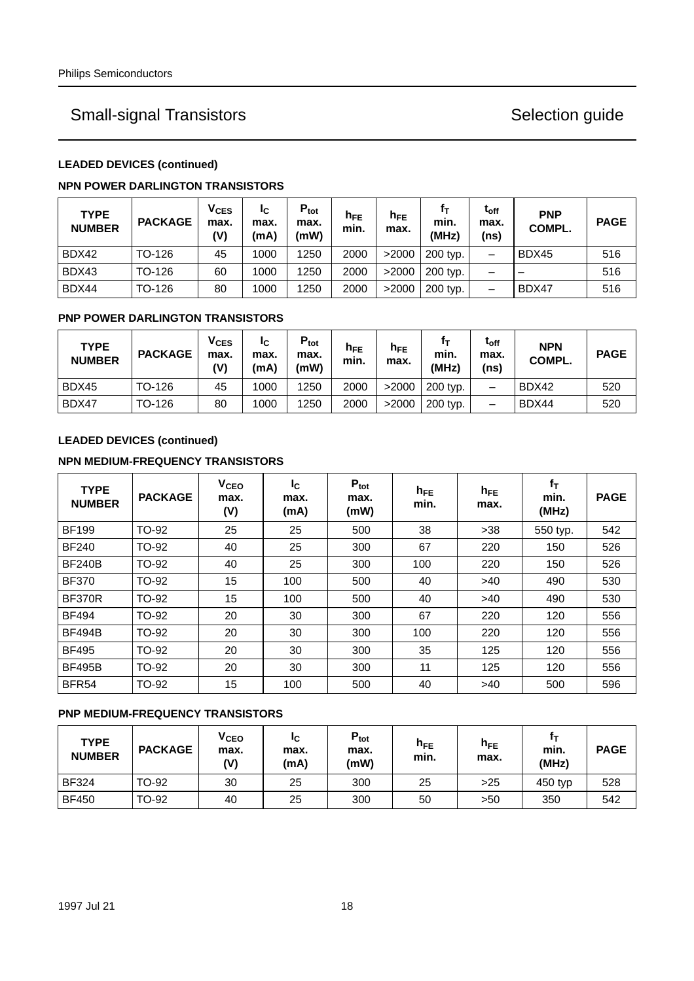### **LEADED DEVICES (continued)**

### **NPN POWER DARLINGTON TRANSISTORS**

| <b>TYPE</b><br><b>NUMBER</b> | <b>PACKAGE</b> | $V_{CES}$<br>max.<br>(V) | ΙC<br>max.<br>(mA) | $P_{\text{tot}}$<br>max.<br>(mW) | $h_{FE}$<br>min. | $h_{FE}$<br>max. | min.<br>(MHz) | $t_{off}$<br>max.<br>(ns) | <b>PNP</b><br>COMPL. | <b>PAGE</b> |
|------------------------------|----------------|--------------------------|--------------------|----------------------------------|------------------|------------------|---------------|---------------------------|----------------------|-------------|
| BDX42                        | TO-126         | 45                       | 1000               | 1250                             | 2000             | >2000            | 200 typ.      | —                         | BDX45                | 516         |
| BDX43                        | TO-126         | 60                       | 1000               | 1250                             | 2000             | >2000            | 200 typ.      | -                         | -                    | 516         |
| BDX44                        | TO-126         | 80                       | 1000               | 1250                             | 2000             | >2000            | 200 typ.      | $\overline{\phantom{0}}$  | BDX47                | 516         |

### **PNP POWER DARLINGTON TRANSISTORS**

| <b>TYPE</b><br><b>NUMBER</b> | <b>PACKAGE</b> | $V_{CES}$<br>max.<br>(V) | ΙC<br>max.<br>(mA) | $P_{\text{tot}}$<br>max.<br>(mW) | $h_{\mathsf{FE}}$<br>min. | $h_{FE}$<br>max. | min.<br>(MHz) | $\rm t_{off}$<br>max.<br>(ns) | <b>NPN</b><br>COMPL. | <b>PAGE</b> |
|------------------------------|----------------|--------------------------|--------------------|----------------------------------|---------------------------|------------------|---------------|-------------------------------|----------------------|-------------|
| BDX45                        | TO-126         | 45                       | 1000               | 1250                             | 2000                      | >2000            | 200 typ.      | –                             | BDX42                | 520         |
| BDX47                        | TO-126         | 80                       | 1000               | 1250                             | 2000                      | >2000            | 200 typ.      | -                             | BDX44                | 520         |

## **LEADED DEVICES (continued)**

### **NPN MEDIUM-FREQUENCY TRANSISTORS**

| <b>TYPE</b><br><b>NUMBER</b> | <b>PACKAGE</b> | <b>V<sub>CEO</sub></b><br>max.<br>(V) | I <sub>C</sub><br>max.<br>(mA) | $P_{\text{tot}}$<br>max.<br>(mW) | $h_{FE}$<br>min. | $h_{FE}$<br>max. | $f_T$<br>min.<br>(MHz) | <b>PAGE</b> |
|------------------------------|----------------|---------------------------------------|--------------------------------|----------------------------------|------------------|------------------|------------------------|-------------|
| <b>BF199</b>                 | TO-92          | 25                                    | 25                             | 500                              | 38               | $>38$            | 550 typ.               | 542         |
| <b>BF240</b>                 | TO-92          | 40                                    | 25                             | 300                              | 67               | 220              | 150                    | 526         |
| <b>BF240B</b>                | TO-92          | 40                                    | 25                             | 300                              | 100              | 220              | 150                    | 526         |
| <b>BF370</b>                 | TO-92          | 15                                    | 100                            | 500                              | 40               | $>40$            | 490                    | 530         |
| <b>BF370R</b>                | TO-92          | 15                                    | 100                            | 500                              | 40               | >40              | 490                    | 530         |
| <b>BF494</b>                 | TO-92          | 20                                    | 30                             | 300                              | 67               | 220              | 120                    | 556         |
| <b>BF494B</b>                | TO-92          | 20                                    | 30                             | 300                              | 100              | 220              | 120                    | 556         |
| <b>BF495</b>                 | TO-92          | 20                                    | 30                             | 300                              | 35               | 125              | 120                    | 556         |
| <b>BF495B</b>                | TO-92          | 20                                    | 30                             | 300                              | 11               | 125              | 120                    | 556         |
| BFR <sub>54</sub>            | TO-92          | 15                                    | 100                            | 500                              | 40               | >40              | 500                    | 596         |

### **PNP MEDIUM-FREQUENCY TRANSISTORS**

| <b>TYPE</b><br><b>NUMBER</b> | <b>PACKAGE</b> | <b>V<sub>CEO</sub></b><br>max.<br>(V) | ЧC<br>max.<br>(mA) | $P_{\rm tot}$<br>max.<br>(mW) | h <sub>FE</sub><br>min. | h <sub>FE</sub><br>max. | min.<br>(MHz) | <b>PAGE</b> |
|------------------------------|----------------|---------------------------------------|--------------------|-------------------------------|-------------------------|-------------------------|---------------|-------------|
| <b>BF324</b>                 | TO-92          | 30                                    | 25                 | 300                           | 25                      | >25                     | 450 typ       | 528         |
| <b>BF450</b>                 | TO-92          | 40                                    | 25                 | 300                           | 50                      | >50                     | 350           | 542         |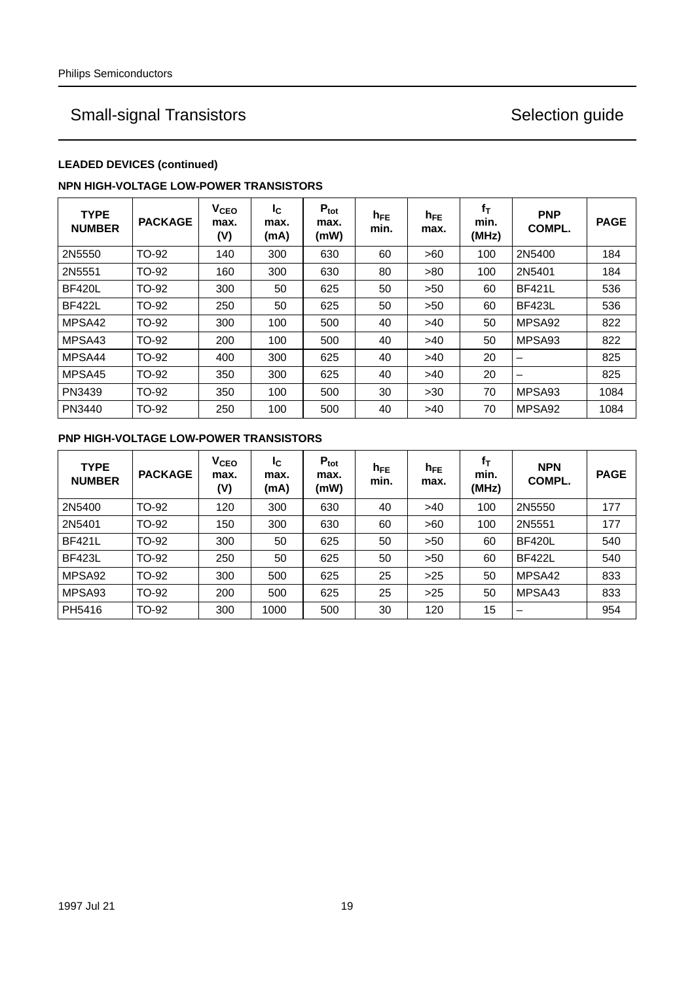## **LEADED DEVICES (continued)**

### **NPN HIGH-VOLTAGE LOW-POWER TRANSISTORS**

| <b>TYPE</b><br><b>NUMBER</b> | <b>PACKAGE</b> | V <sub>CEO</sub><br>max.<br>(V) | Ιc<br>max.<br>(mA) | $P_{\text{tot}}$<br>max.<br>(mW) | $h_{FE}$<br>min. | $h_{FE}$<br>max. | $f_T$<br>min.<br>(MHz) | <b>PNP</b><br>COMPL.     | <b>PAGE</b> |
|------------------------------|----------------|---------------------------------|--------------------|----------------------------------|------------------|------------------|------------------------|--------------------------|-------------|
| 2N5550                       | TO-92          | 140                             | 300                | 630                              | 60               | >60              | 100                    | 2N5400                   | 184         |
| 2N5551                       | TO-92          | 160                             | 300                | 630                              | 80               | >80              | 100                    | 2N5401                   | 184         |
| <b>BF420L</b>                | TO-92          | 300                             | 50                 | 625                              | 50               | >50              | 60                     | <b>BF421L</b>            | 536         |
| <b>BF422L</b>                | TO-92          | 250                             | 50                 | 625                              | 50               | >50              | 60                     | <b>BF423L</b>            | 536         |
| MPSA42                       | TO-92          | 300                             | 100                | 500                              | 40               | >40              | 50                     | MPSA <sub>92</sub>       | 822         |
| MPSA43                       | TO-92          | 200                             | 100                | 500                              | 40               | >40              | 50                     | MPSA93                   | 822         |
| MPSA44                       | TO-92          | 400                             | 300                | 625                              | 40               | >40              | 20                     | -                        | 825         |
| MPSA45                       | TO-92          | 350                             | 300                | 625                              | 40               | >40              | 20                     | $\overline{\phantom{0}}$ | 825         |
| PN3439                       | TO-92          | 350                             | 100                | 500                              | 30               | >30              | 70                     | MPSA93                   | 1084        |
| PN3440                       | <b>TO-92</b>   | 250                             | 100                | 500                              | 40               | >40              | 70                     | MPSA92                   | 1084        |

### **PNP HIGH-VOLTAGE LOW-POWER TRANSISTORS**

| <b>TYPE</b><br><b>NUMBER</b> | <b>PACKAGE</b> | V <sub>CEO</sub><br>max.<br>(V) | I <sub>C</sub><br>max.<br>(mA) | $P_{\text{tot}}$<br>max.<br>(mW) | $h_{FE}$<br>min. | $h_{FE}$<br>max. | $f_{\mathsf{T}}$<br>min.<br>(MHz) | <b>NPN</b><br>COMPL. | <b>PAGE</b> |
|------------------------------|----------------|---------------------------------|--------------------------------|----------------------------------|------------------|------------------|-----------------------------------|----------------------|-------------|
| 2N5400                       | TO-92          | 120                             | 300                            | 630                              | 40               | >40              | 100                               | 2N5550               | 177         |
| 2N5401                       | TO-92          | 150                             | 300                            | 630                              | 60               | >60              | 100                               | 2N5551               | 177         |
| <b>BF421L</b>                | TO-92          | 300                             | 50                             | 625                              | 50               | >50              | 60                                | <b>BF420L</b>        | 540         |
| <b>BF423L</b>                | TO-92          | 250                             | 50                             | 625                              | 50               | >50              | 60                                | <b>BF422L</b>        | 540         |
| MPSA92                       | TO-92          | 300                             | 500                            | 625                              | 25               | $>25$            | 50                                | MPSA42               | 833         |
| MPSA93                       | TO-92          | 200                             | 500                            | 625                              | 25               | $>25$            | 50                                | MPSA43               | 833         |
| PH5416                       | TO-92          | 300                             | 1000                           | 500                              | 30               | 120              | 15                                | –                    | 954         |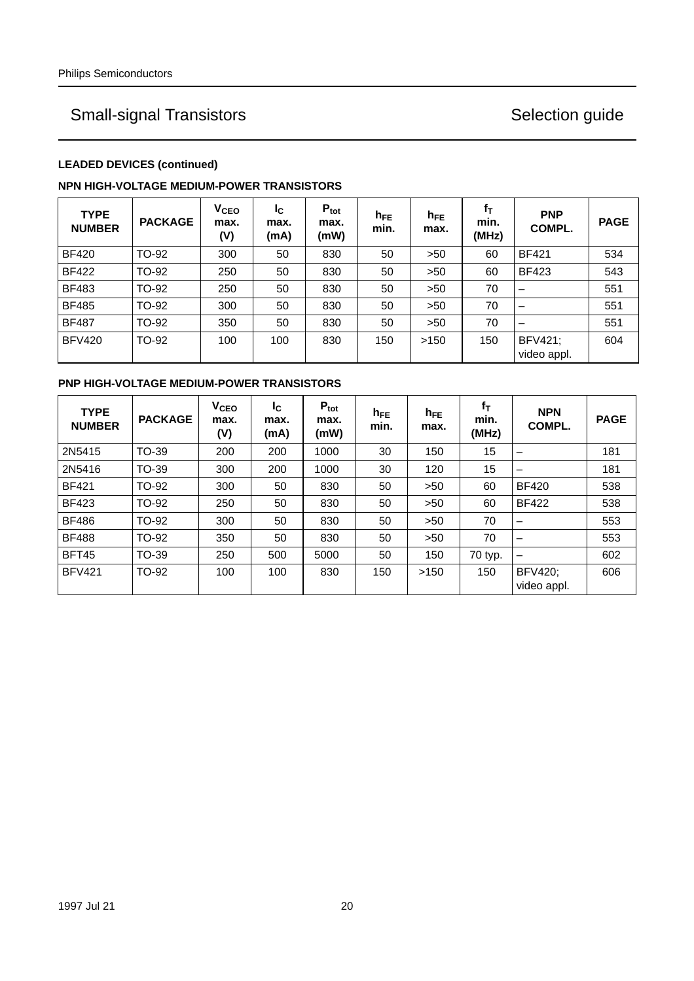## **LEADED DEVICES (continued)**

### **NPN HIGH-VOLTAGE MEDIUM-POWER TRANSISTORS**

| <b>TYPE</b><br><b>NUMBER</b> | <b>PACKAGE</b> | V <sub>CEO</sub><br>max.<br>(V) | I <sub>C</sub><br>max.<br>(mA) | $P_{\text{tot}}$<br>max.<br>(mW) | $h_{FE}$<br>min. | $h_{FE}$<br>max. | $f_T$<br>min.<br>(MHz) | <b>PNP</b><br>COMPL.   | <b>PAGE</b> |
|------------------------------|----------------|---------------------------------|--------------------------------|----------------------------------|------------------|------------------|------------------------|------------------------|-------------|
| <b>BF420</b>                 | TO-92          | 300                             | 50                             | 830                              | 50               | >50              | 60                     | <b>BF421</b>           | 534         |
| <b>BF422</b>                 | TO-92          | 250                             | 50                             | 830                              | 50               | >50              | 60                     | <b>BF423</b>           | 543         |
| <b>BF483</b>                 | TO-92          | 250                             | 50                             | 830                              | 50               | >50              | 70                     |                        | 551         |
| <b>BF485</b>                 | TO-92          | 300                             | 50                             | 830                              | 50               | >50              | 70                     | –                      | 551         |
| <b>BF487</b>                 | TO-92          | 350                             | 50                             | 830                              | 50               | >50              | 70                     |                        | 551         |
| <b>BFV420</b>                | TO-92          | 100                             | 100                            | 830                              | 150              | >150             | 150                    | BFV421;<br>video appl. | 604         |

### **PNP HIGH-VOLTAGE MEDIUM-POWER TRANSISTORS**

| <b>TYPE</b><br><b>NUMBER</b> | <b>PACKAGE</b> | V <sub>CEO</sub><br>max.<br>(V) | <b>I</b> c<br>max.<br>(mA) | $P_{\text{tot}}$<br>max.<br>(mW) | $h_{FE}$<br>min. | $h_{FE}$<br>max. | $f_T$<br>min.<br>(MHz) | <b>NPN</b><br>COMPL.          | <b>PAGE</b> |
|------------------------------|----------------|---------------------------------|----------------------------|----------------------------------|------------------|------------------|------------------------|-------------------------------|-------------|
| 2N5415                       | <b>TO-39</b>   | 200                             | 200                        | 1000                             | 30               | 150              | 15                     | -                             | 181         |
| 2N5416                       | <b>TO-39</b>   | 300                             | 200                        | 1000                             | 30               | 120              | 15                     | $\overline{\phantom{0}}$      | 181         |
| <b>BF421</b>                 | TO-92          | 300                             | 50                         | 830                              | 50               | >50              | 60                     | <b>BF420</b>                  | 538         |
| <b>BF423</b>                 | TO-92          | 250                             | 50                         | 830                              | 50               | >50              | 60                     | <b>BF422</b>                  | 538         |
| <b>BF486</b>                 | TO-92          | 300                             | 50                         | 830                              | 50               | >50              | 70                     | -                             | 553         |
| <b>BF488</b>                 | TO-92          | 350                             | 50                         | 830                              | 50               | >50              | 70                     | -                             | 553         |
| <b>BFT45</b>                 | <b>TO-39</b>   | 250                             | 500                        | 5000                             | 50               | 150              | 70 typ.                | $\qquad \qquad$               | 602         |
| <b>BFV421</b>                | <b>TO-92</b>   | 100                             | 100                        | 830                              | 150              | >150             | 150                    | <b>BFV420;</b><br>video appl. | 606         |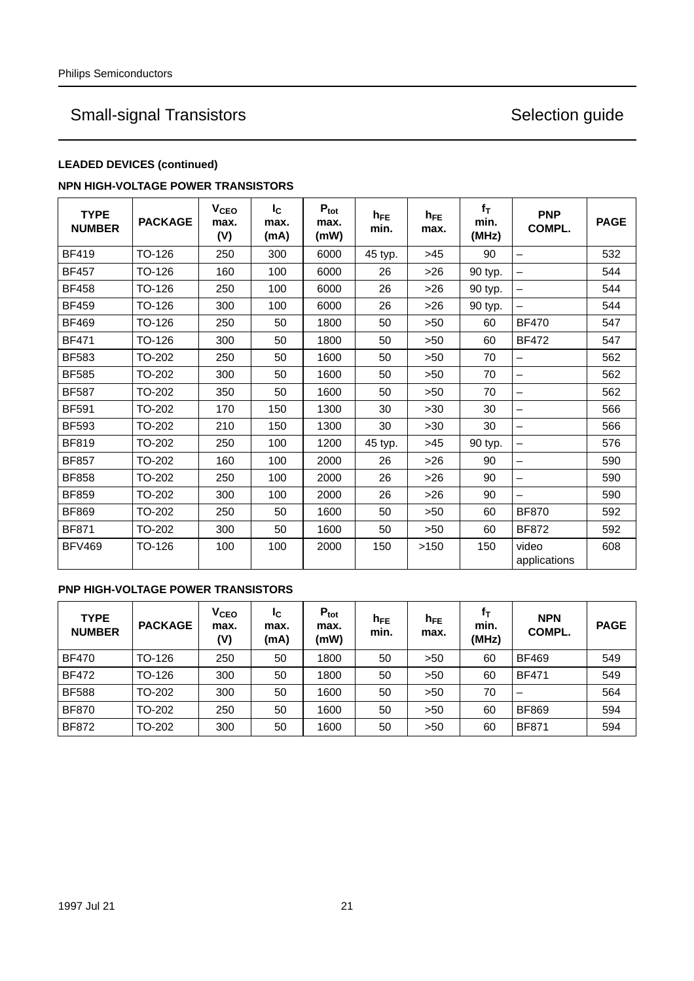## **LEADED DEVICES (continued)**

### **NPN HIGH-VOLTAGE POWER TRANSISTORS**

| <b>TYPE</b><br><b>NUMBER</b> | <b>PACKAGE</b> | V <sub>CEO</sub><br>max.<br>(V) | $I_{\rm C}$<br>max.<br>(mA) | $P_{\text{tot}}$<br>max.<br>(mW) | $h_{FE}$<br>min. | $h_{FE}$<br>max. | $f_T$<br>min.<br>(MHz) | <b>PNP</b><br>COMPL.  | <b>PAGE</b> |
|------------------------------|----------------|---------------------------------|-----------------------------|----------------------------------|------------------|------------------|------------------------|-----------------------|-------------|
| <b>BF419</b>                 | TO-126         | 250                             | 300                         | 6000                             | 45 typ.          | $>45$            | 90                     | —                     | 532         |
| <b>BF457</b>                 | TO-126         | 160                             | 100                         | 6000                             | 26               | >26              | 90 typ.                |                       | 544         |
| <b>BF458</b>                 | TO-126         | 250                             | 100                         | 6000                             | 26               | $>26$            | 90 typ.                | -                     | 544         |
| <b>BF459</b>                 | TO-126         | 300                             | 100                         | 6000                             | 26               | $>26$            | 90 typ.                | —                     | 544         |
| <b>BF469</b>                 | TO-126         | 250                             | 50                          | 1800                             | 50               | >50              | 60                     | <b>BF470</b>          | 547         |
| <b>BF471</b>                 | TO-126         | 300                             | 50                          | 1800                             | 50               | >50              | 60                     | <b>BF472</b>          | 547         |
| <b>BF583</b>                 | TO-202         | 250                             | 50                          | 1600                             | 50               | >50              | 70                     | —                     | 562         |
| <b>BF585</b>                 | TO-202         | 300                             | 50                          | 1600                             | 50               | >50              | 70                     | —                     | 562         |
| <b>BF587</b>                 | TO-202         | 350                             | 50                          | 1600                             | 50               | >50              | 70                     | —                     | 562         |
| <b>BF591</b>                 | TO-202         | 170                             | 150                         | 1300                             | 30               | $>30$            | 30                     | -                     | 566         |
| <b>BF593</b>                 | TO-202         | 210                             | 150                         | 1300                             | 30               | $>30$            | 30                     | —                     | 566         |
| <b>BF819</b>                 | TO-202         | 250                             | 100                         | 1200                             | 45 typ.          | >45              | 90 typ.                |                       | 576         |
| <b>BF857</b>                 | TO-202         | 160                             | 100                         | 2000                             | 26               | $>26$            | 90                     | —                     | 590         |
| <b>BF858</b>                 | TO-202         | 250                             | 100                         | 2000                             | 26               | $>26$            | 90                     | <u>.</u>              | 590         |
| <b>BF859</b>                 | TO-202         | 300                             | 100                         | 2000                             | 26               | $>26$            | 90                     |                       | 590         |
| <b>BF869</b>                 | TO-202         | 250                             | 50                          | 1600                             | 50               | >50              | 60                     | <b>BF870</b>          | 592         |
| <b>BF871</b>                 | TO-202         | 300                             | 50                          | 1600                             | 50               | >50              | 60                     | <b>BF872</b>          | 592         |
| <b>BFV469</b>                | TO-126         | 100                             | 100                         | 2000                             | 150              | >150             | 150                    | video<br>applications | 608         |

### **PNP HIGH-VOLTAGE POWER TRANSISTORS**

| <b>TYPE</b><br><b>NUMBER</b> | <b>PACKAGE</b> | $\mathsf{v}_{\mathsf{ceo}}$<br>max.<br>(V) | Ιc<br>max.<br>(mA) | $P_{\text{tot}}$<br>max.<br>(mW) | $h_{FE}$<br>min. | $n_{FE}$<br>max. | fт<br>min.<br>(MHz) | <b>NPN</b><br>COMPL. | <b>PAGE</b> |
|------------------------------|----------------|--------------------------------------------|--------------------|----------------------------------|------------------|------------------|---------------------|----------------------|-------------|
| <b>BF470</b>                 | TO-126         | 250                                        | 50                 | 1800                             | 50               | >50              | 60                  | <b>BF469</b>         | 549         |
| <b>BF472</b>                 | TO-126         | 300                                        | 50                 | 1800                             | 50               | >50              | 60                  | <b>BF471</b>         | 549         |
| <b>BF588</b>                 | TO-202         | 300                                        | 50                 | 1600                             | 50               | >50              | 70                  | –                    | 564         |
| <b>BF870</b>                 | TO-202         | 250                                        | 50                 | 1600                             | 50               | >50              | 60                  | <b>BF869</b>         | 594         |
| <b>BF872</b>                 | TO-202         | 300                                        | 50                 | 1600                             | 50               | >50              | 60                  | <b>BF871</b>         | 594         |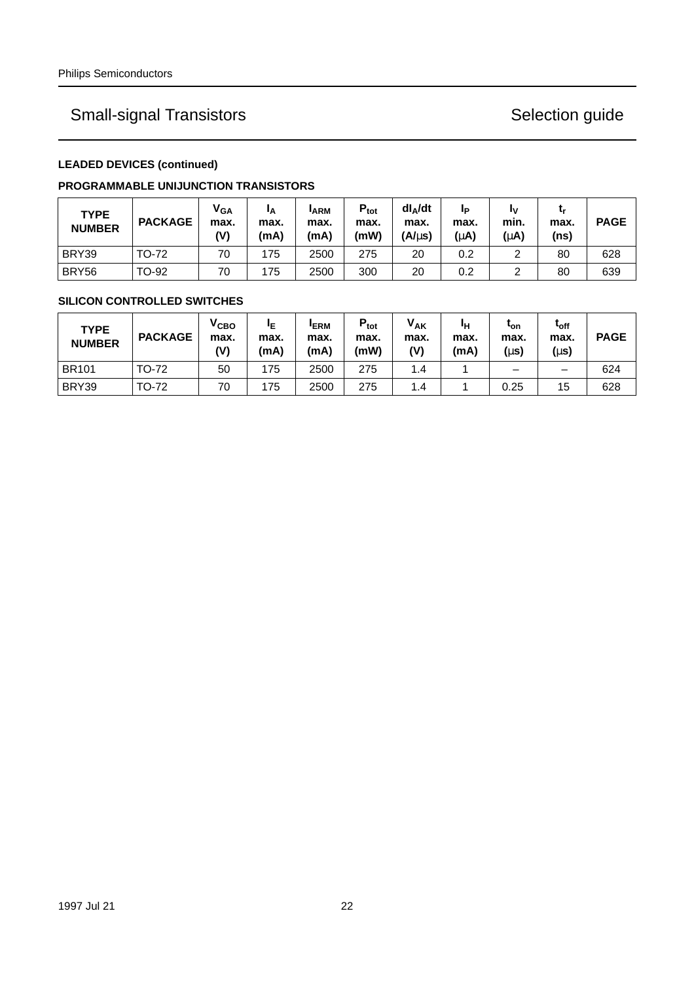## **LEADED DEVICES (continued)**

### **PROGRAMMABLE UNIJUNCTION TRANSISTORS**

| <b>TYPE</b><br><b>NUMBER</b> | <b>PACKAGE</b> | <b>V<sub>GA</sub></b><br>max.<br>(V) | ΙA<br>max.<br>(mA) | <b>ARM</b><br>max.<br>(mA) | $P_{\text{tot}}$<br>max.<br>(mW) | $dl$ <sub><math>\triangle</math></sub> /dt<br>max.<br>(A/us) | IP<br>max.<br>(μA) | I٧<br>min.<br>(μA) | max.<br>(ns) | <b>PAGE</b> |
|------------------------------|----------------|--------------------------------------|--------------------|----------------------------|----------------------------------|--------------------------------------------------------------|--------------------|--------------------|--------------|-------------|
| BRY39                        | TO-72          | 70                                   | 175                | 2500                       | 275                              | 20                                                           | 0.2                | ົ                  | 80           | 628         |
| BRY56                        | TO-92          | 70                                   | 175                | 2500                       | 300                              | 20                                                           | 0.2                |                    | 80           | 639         |

### **SILICON CONTROLLED SWITCHES**

| <b>TYPE</b><br><b>NUMBER</b> | <b>PACKAGE</b> | V <sub>CBO</sub><br>max.<br>(V) | IΕ<br>max.<br>(mA) | <b>IERM</b><br>max.<br>(mA) | $P_{\text{tot}}$<br>max.<br>(mW) | <b>VAK</b><br>max.<br>(V) | IΗ<br>max.<br>(mA) | ւ <sub>on</sub><br>max.<br>$(\mu s)$ | $t_{off}$<br>max.<br>(µs) | <b>PAGE</b> |
|------------------------------|----------------|---------------------------------|--------------------|-----------------------------|----------------------------------|---------------------------|--------------------|--------------------------------------|---------------------------|-------------|
| <b>BR101</b>                 | TO-72          | 50                              | 175                | 2500                        | 275                              | $1.4^{\circ}$             |                    | -                                    | -                         | 624         |
| BRY39                        | TO-72          | 70                              | 175                | 2500                        | 275                              | 1.4                       |                    | 0.25                                 | 15                        | 628         |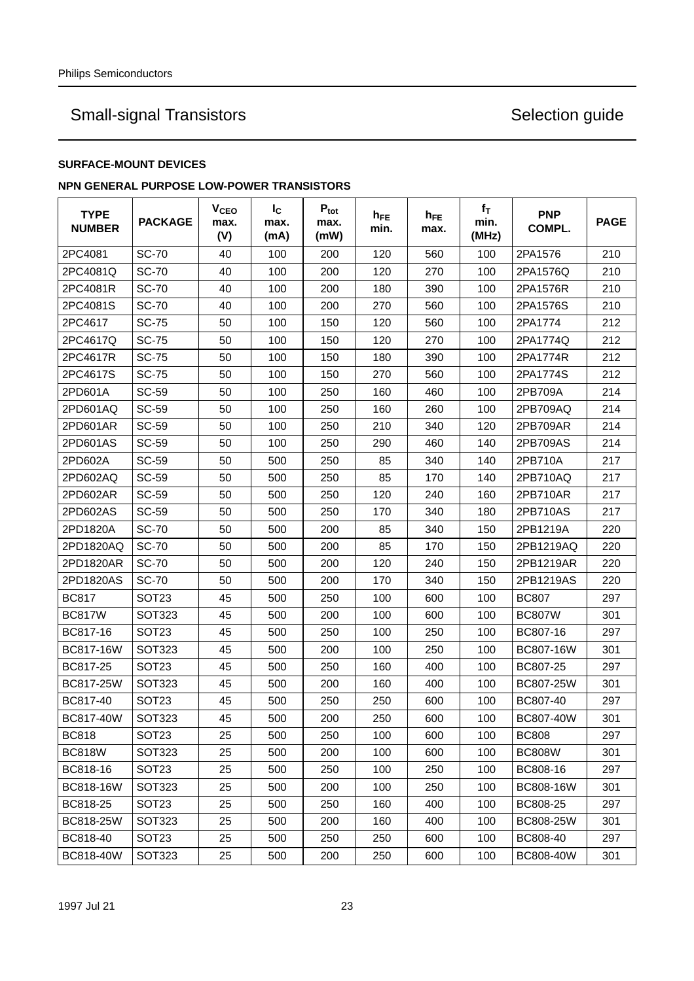### **SURFACE-MOUNT DEVICES**

### **NPN GENERAL PURPOSE LOW-POWER TRANSISTORS**

| <b>TYPE</b><br><b>NUMBER</b> | <b>PACKAGE</b>    | <b>V<sub>CEO</sub></b><br>max.<br>(V) | $I_{\rm C}$<br>max.<br>(mA) | $P_{\text{tot}}$<br>max.<br>(mW) | h <sub>FE</sub><br>min. | $h_{FE}$<br>max. | $f_T$<br>min.<br>(MHz) | <b>PNP</b><br>COMPL. | <b>PAGE</b> |
|------------------------------|-------------------|---------------------------------------|-----------------------------|----------------------------------|-------------------------|------------------|------------------------|----------------------|-------------|
| 2PC4081                      | <b>SC-70</b>      | 40                                    | 100                         | 200                              | 120                     | 560              | 100                    | 2PA1576              | 210         |
| 2PC4081Q                     | <b>SC-70</b>      | 40                                    | 100                         | 200                              | 120                     | 270              | 100                    | 2PA1576Q             | 210         |
| 2PC4081R                     | <b>SC-70</b>      | 40                                    | 100                         | 200                              | 180                     | 390              | 100                    | 2PA1576R             | 210         |
| 2PC4081S                     | <b>SC-70</b>      | 40                                    | 100                         | 200                              | 270                     | 560              | 100                    | 2PA1576S             | 210         |
| 2PC4617                      | <b>SC-75</b>      | 50                                    | 100                         | 150                              | 120                     | 560              | 100                    | 2PA1774              | 212         |
| 2PC4617Q                     | <b>SC-75</b>      | 50                                    | 100                         | 150                              | 120                     | 270              | 100                    | 2PA1774Q             | 212         |
| 2PC4617R                     | <b>SC-75</b>      | 50                                    | 100                         | 150                              | 180                     | 390              | 100                    | 2PA1774R             | 212         |
| 2PC4617S                     | <b>SC-75</b>      | 50                                    | 100                         | 150                              | 270                     | 560              | 100                    | 2PA1774S             | 212         |
| 2PD601A                      | SC-59             | 50                                    | 100                         | 250                              | 160                     | 460              | 100                    | 2PB709A              | 214         |
| 2PD601AQ                     | SC-59             | 50                                    | 100                         | 250                              | 160                     | 260              | 100                    | 2PB709AQ             | 214         |
| 2PD601AR                     | SC-59             | 50                                    | 100                         | 250                              | 210                     | 340              | 120                    | 2PB709AR             | 214         |
| 2PD601AS                     | SC-59             | 50                                    | 100                         | 250                              | 290                     | 460              | 140                    | 2PB709AS             | 214         |
| 2PD602A                      | SC-59             | 50                                    | 500                         | 250                              | 85                      | 340              | 140                    | 2PB710A              | 217         |
| 2PD602AQ                     | SC-59             | 50                                    | 500                         | 250                              | 85                      | 170              | 140                    | 2PB710AQ             | 217         |
| 2PD602AR                     | SC-59             | 50                                    | 500                         | 250                              | 120                     | 240              | 160                    | 2PB710AR             | 217         |
| 2PD602AS                     | SC-59             | 50                                    | 500                         | 250                              | 170                     | 340              | 180                    | 2PB710AS             | 217         |
| 2PD1820A                     | <b>SC-70</b>      | 50                                    | 500                         | 200                              | 85                      | 340              | 150                    | 2PB1219A             | 220         |
| 2PD1820AQ                    | <b>SC-70</b>      | 50                                    | 500                         | 200                              | 85                      | 170              | 150                    | 2PB1219AQ            | 220         |
| 2PD1820AR                    | <b>SC-70</b>      | 50                                    | 500                         | 200                              | 120                     | 240              | 150                    | 2PB1219AR            | 220         |
| 2PD1820AS                    | <b>SC-70</b>      | 50                                    | 500                         | 200                              | 170                     | 340              | 150                    | 2PB1219AS            | 220         |
| <b>BC817</b>                 | SOT <sub>23</sub> | 45                                    | 500                         | 250                              | 100                     | 600              | 100                    | <b>BC807</b>         | 297         |
| <b>BC817W</b>                | <b>SOT323</b>     | 45                                    | 500                         | 200                              | 100                     | 600              | 100                    | <b>BC807W</b>        | 301         |
| BC817-16                     | SOT <sub>23</sub> | 45                                    | 500                         | 250                              | 100                     | 250              | 100                    | BC807-16             | 297         |
| BC817-16W                    | <b>SOT323</b>     | 45                                    | 500                         | 200                              | 100                     | 250              | 100                    | BC807-16W            | 301         |
| BC817-25                     | SOT <sub>23</sub> | 45                                    | 500                         | 250                              | 160                     | 400              | 100                    | BC807-25             | 297         |
| BC817-25W                    | SOT323            | 45                                    | 500                         | 200                              | 160                     | 400              | 100                    | BC807-25W            | 301         |
| BC817-40                     | SOT <sub>23</sub> | 45                                    | 500                         | 250                              | 250                     | 600              | 100                    | BC807-40             | 297         |
| BC817-40W                    | SOT323            | 45                                    | 500                         | 200                              | 250                     | 600              | 100                    | BC807-40W            | 301         |
| <b>BC818</b>                 | SOT <sub>23</sub> | 25                                    | 500                         | 250                              | 100                     | 600              | 100                    | <b>BC808</b>         | 297         |
| <b>BC818W</b>                | SOT323            | 25                                    | 500                         | 200                              | 100                     | 600              | 100                    | <b>BC808W</b>        | 301         |
| BC818-16                     | SOT <sub>23</sub> | 25                                    | 500                         | 250                              | 100                     | 250              | 100                    | BC808-16             | 297         |
| BC818-16W                    | SOT323            | 25                                    | 500                         | 200                              | 100                     | 250              | 100                    | BC808-16W            | 301         |
| BC818-25                     | SOT <sub>23</sub> | 25                                    | 500                         | 250                              | 160                     | 400              | 100                    | BC808-25             | 297         |
| BC818-25W                    | SOT323            | 25                                    | 500                         | 200                              | 160                     | 400              | 100                    | BC808-25W            | 301         |
| BC818-40                     | SOT <sub>23</sub> | 25                                    | 500                         | 250                              | 250                     | 600              | 100                    | BC808-40             | 297         |
| BC818-40W                    | SOT323            | 25                                    | 500                         | 200                              | 250                     | 600              | 100                    | BC808-40W            | 301         |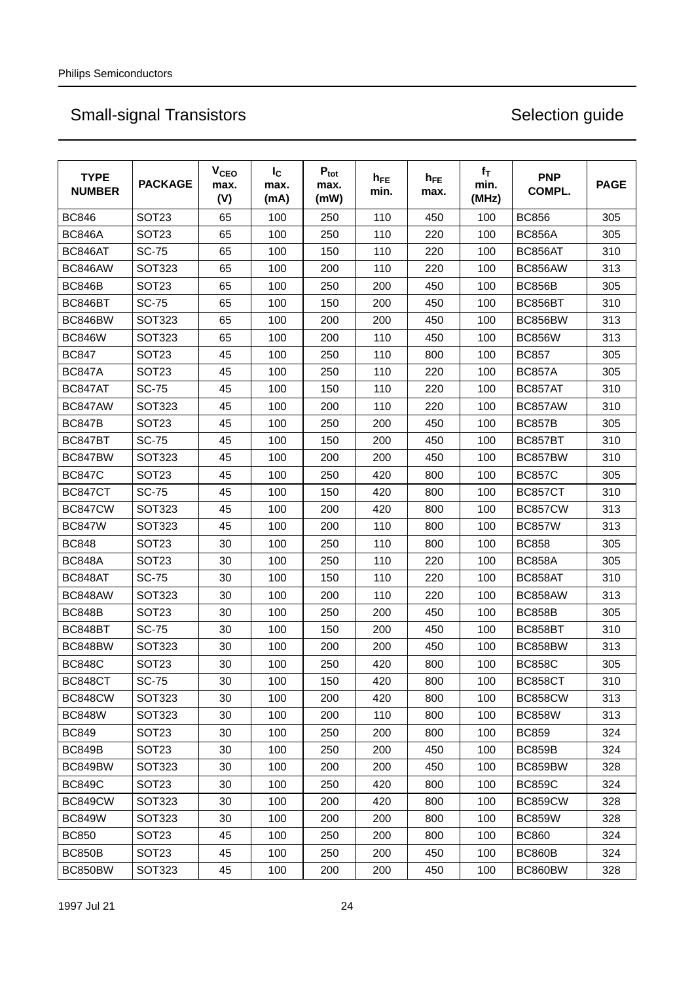| <b>TYPE</b><br><b>NUMBER</b> | <b>PACKAGE</b>    | <b>V<sub>CEO</sub></b><br>max.<br>(V) | $I_{\rm C}$<br>max.<br>(mA) | $P_{\text{tot}}$<br>max.<br>(mW) | $h_{FE}$<br>min. | $h_{FE}$<br>max. | $f_T$<br>min.<br>(MHz) | <b>PNP</b><br>COMPL. | <b>PAGE</b> |
|------------------------------|-------------------|---------------------------------------|-----------------------------|----------------------------------|------------------|------------------|------------------------|----------------------|-------------|
| <b>BC846</b>                 | SOT <sub>23</sub> | 65                                    | 100                         | 250                              | 110              | 450              | 100                    | <b>BC856</b>         | 305         |
| <b>BC846A</b>                | SOT <sub>23</sub> | 65                                    | 100                         | 250                              | 110              | 220              | 100                    | <b>BC856A</b>        | 305         |
| BC846AT                      | <b>SC-75</b>      | 65                                    | 100                         | 150                              | 110              | 220              | 100                    | BC856AT              | 310         |
| BC846AW                      | <b>SOT323</b>     | 65                                    | 100                         | 200                              | 110              | 220              | 100                    | BC856AW              | 313         |
| <b>BC846B</b>                | SOT <sub>23</sub> | 65                                    | 100                         | 250                              | 200              | 450              | 100                    | <b>BC856B</b>        | 305         |
| BC846BT                      | <b>SC-75</b>      | 65                                    | 100                         | 150                              | 200              | 450              | 100                    | BC856BT              | 310         |
| BC846BW                      | <b>SOT323</b>     | 65                                    | 100                         | 200                              | 200              | 450              | 100                    | BC856BW              | 313         |
| <b>BC846W</b>                | <b>SOT323</b>     | 65                                    | 100                         | 200                              | 110              | 450              | 100                    | <b>BC856W</b>        | 313         |
| <b>BC847</b>                 | SOT <sub>23</sub> | 45                                    | 100                         | 250                              | 110              | 800              | 100                    | <b>BC857</b>         | 305         |
| <b>BC847A</b>                | SOT <sub>23</sub> | 45                                    | 100                         | 250                              | 110              | 220              | 100                    | <b>BC857A</b>        | 305         |
| BC847AT                      | <b>SC-75</b>      | 45                                    | 100                         | 150                              | 110              | 220              | 100                    | BC857AT              | 310         |
| BC847AW                      | <b>SOT323</b>     | 45                                    | 100                         | 200                              | 110              | 220              | 100                    | BC857AW              | 310         |
| <b>BC847B</b>                | SOT <sub>23</sub> | 45                                    | 100                         | 250                              | 200              | 450              | 100                    | <b>BC857B</b>        | 305         |
| BC847BT                      | <b>SC-75</b>      | 45                                    | 100                         | 150                              | 200              | 450              | 100                    | BC857BT              | 310         |
| BC847BW                      | <b>SOT323</b>     | 45                                    | 100                         | 200                              | 200              | 450              | 100                    | BC857BW              | 310         |
| <b>BC847C</b>                | <b>SOT23</b>      | 45                                    | 100                         | 250                              | 420              | 800              | 100                    | <b>BC857C</b>        | 305         |
| BC847CT                      | <b>SC-75</b>      | 45                                    | 100                         | 150                              | 420              | 800              | 100                    | <b>BC857CT</b>       | 310         |
| <b>BC847CW</b>               | SOT323            | 45                                    | 100                         | 200                              | 420              | 800              | 100                    | BC857CW              | 313         |
| <b>BC847W</b>                | <b>SOT323</b>     | 45                                    | 100                         | 200                              | 110              | 800              | 100                    | <b>BC857W</b>        | 313         |
| <b>BC848</b>                 | <b>SOT23</b>      | 30                                    | 100                         | 250                              | 110              | 800              | 100                    | <b>BC858</b>         | 305         |
| <b>BC848A</b>                | SOT <sub>23</sub> | 30                                    | 100                         | 250                              | 110              | 220              | 100                    | <b>BC858A</b>        | 305         |
| BC848AT                      | <b>SC-75</b>      | 30                                    | 100                         | 150                              | 110              | 220              | 100                    | BC858AT              | 310         |
| BC848AW                      | <b>SOT323</b>     | 30                                    | 100                         | 200                              | 110              | 220              | 100                    | BC858AW              | 313         |
| <b>BC848B</b>                | SOT <sub>23</sub> | 30                                    | 100                         | 250                              | 200              | 450              | 100                    | <b>BC858B</b>        | 305         |
| BC848BT                      | <b>SC-75</b>      | 30                                    | 100                         | 150                              | 200              | 450              | 100                    | BC858BT              | 310         |
| BC848BW                      | SOT323            | 30                                    | 100                         | 200                              | 200              | 450              | 100                    | BC858BW              | 313         |
| <b>BC848C</b>                | <b>SOT23</b>      | 30                                    | 100                         | 250                              | 420              | 800              | 100                    | <b>BC858C</b>        | 305         |
| BC848CT                      | <b>SC-75</b>      | 30                                    | 100                         | 150                              | 420              | 800              | 100                    | BC858CT              | 310         |
| BC848CW                      | SOT323            | 30                                    | 100                         | 200                              | 420              | 800              | 100                    | <b>BC858CW</b>       | 313         |
| <b>BC848W</b>                | <b>SOT323</b>     | 30                                    | 100                         | 200                              | 110              | 800              | 100                    | <b>BC858W</b>        | 313         |
| <b>BC849</b>                 | SOT <sub>23</sub> | 30                                    | 100                         | 250                              | 200              | 800              | 100                    | <b>BC859</b>         | 324         |
| <b>BC849B</b>                | SOT <sub>23</sub> | 30                                    | 100                         | 250                              | 200              | 450              | 100                    | <b>BC859B</b>        | 324         |
| BC849BW                      | SOT323            | 30                                    | 100                         | 200                              | 200              | 450              | 100                    | BC859BW              | 328         |
| <b>BC849C</b>                | SOT <sub>23</sub> | 30                                    | 100                         | 250                              | 420              | 800              | 100                    | <b>BC859C</b>        | 324         |
| <b>BC849CW</b>               | SOT323            | 30                                    | 100                         | 200                              | 420              | 800              | 100                    | <b>BC859CW</b>       | 328         |
| <b>BC849W</b>                | SOT323            | 30                                    | 100                         | 200                              | 200              | 800              | 100                    | <b>BC859W</b>        | 328         |
| <b>BC850</b>                 | SOT <sub>23</sub> | 45                                    | 100                         | 250                              | 200              | 800              | 100                    | <b>BC860</b>         | 324         |
| <b>BC850B</b>                | SOT <sub>23</sub> | 45                                    | 100                         | 250                              | 200              | 450              | 100                    | <b>BC860B</b>        | 324         |
| BC850BW                      | SOT323            | 45                                    | 100                         | 200                              | 200              | 450              | 100                    | BC860BW              | 328         |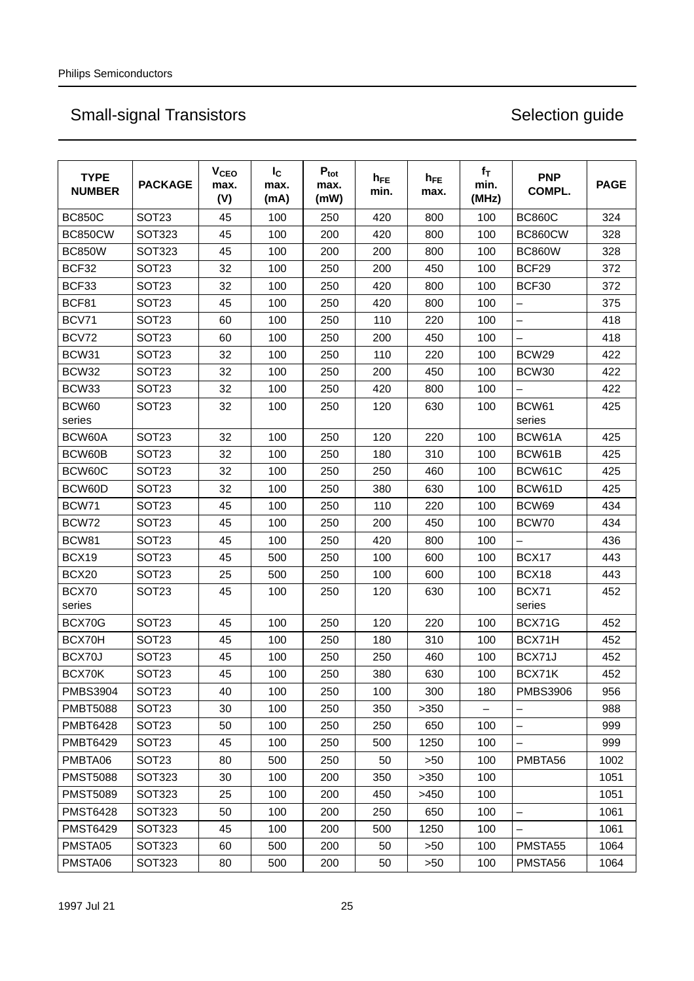| <b>TYPE</b><br><b>NUMBER</b> | <b>PACKAGE</b>    | <b>V<sub>CEO</sub></b><br>max.<br>(V) | $I_{\rm C}$<br>max.<br>(mA) | $P_{\text{tot}}$<br>max.<br>(mW) | $h_{FE}$<br>min. | $h_{FE}$<br>max. | $f_T$<br>min.<br>(MHz) | <b>PNP</b><br>COMPL.     | <b>PAGE</b> |
|------------------------------|-------------------|---------------------------------------|-----------------------------|----------------------------------|------------------|------------------|------------------------|--------------------------|-------------|
| <b>BC850C</b>                | SOT <sub>23</sub> | 45                                    | 100                         | 250                              | 420              | 800              | 100                    | <b>BC860C</b>            | 324         |
| <b>BC850CW</b>               | <b>SOT323</b>     | 45                                    | 100                         | 200                              | 420              | 800              | 100                    | BC860CW                  | 328         |
| <b>BC850W</b>                | <b>SOT323</b>     | 45                                    | 100                         | 200                              | 200              | 800              | 100                    | <b>BC860W</b>            | 328         |
| BCF32                        | SOT <sub>23</sub> | 32                                    | 100                         | 250                              | 200              | 450              | 100                    | BCF29                    | 372         |
| BCF33                        | SOT <sub>23</sub> | 32                                    | 100                         | 250                              | 420              | 800              | 100                    | BCF30                    | 372         |
| BCF81                        | SOT <sub>23</sub> | 45                                    | 100                         | 250                              | 420              | 800              | 100                    | $\overline{\phantom{0}}$ | 375         |
| BCV71                        | SOT <sub>23</sub> | 60                                    | 100                         | 250                              | 110              | 220              | 100                    | $\overline{\phantom{0}}$ | 418         |
| BCV72                        | SOT <sub>23</sub> | 60                                    | 100                         | 250                              | 200              | 450              | 100                    |                          | 418         |
| BCW31                        | SOT <sub>23</sub> | 32                                    | 100                         | 250                              | 110              | 220              | 100                    | BCW29                    | 422         |
| BCW32                        | SOT <sub>23</sub> | 32                                    | 100                         | 250                              | 200              | 450              | 100                    | BCW30                    | 422         |
| BCW33                        | SOT <sub>23</sub> | 32                                    | 100                         | 250                              | 420              | 800              | 100                    |                          | 422         |
| BCW60<br>series              | SOT <sub>23</sub> | 32                                    | 100                         | 250                              | 120              | 630              | 100                    | BCW61<br>series          | 425         |
| BCW60A                       | SOT <sub>23</sub> | 32                                    | 100                         | 250                              | 120              | 220              | 100                    | BCW61A                   | 425         |
| BCW60B                       | SOT <sub>23</sub> | 32                                    | 100                         | 250                              | 180              | 310              | 100                    | BCW61B                   | 425         |
| BCW60C                       | SOT <sub>23</sub> | 32                                    | 100                         | 250                              | 250              | 460              | 100                    | BCW61C                   | 425         |
| BCW60D                       | SOT <sub>23</sub> | 32                                    | 100                         | 250                              | 380              | 630              | 100                    | BCW61D                   | 425         |
| BCW71                        | SOT <sub>23</sub> | 45                                    | 100                         | 250                              | 110              | 220              | 100                    | BCW69                    | 434         |
| BCW72                        | SOT <sub>23</sub> | 45                                    | 100                         | 250                              | 200              | 450              | 100                    | BCW70                    | 434         |
| BCW81                        | SOT <sub>23</sub> | 45                                    | 100                         | 250                              | 420              | 800              | 100                    |                          | 436         |
| BCX19                        | SOT <sub>23</sub> | 45                                    | 500                         | 250                              | 100              | 600              | 100                    | BCX17                    | 443         |
| BCX20                        | SOT <sub>23</sub> | 25                                    | 500                         | 250                              | 100              | 600              | 100                    | BCX18                    | 443         |
| BCX70<br>series              | SOT <sub>23</sub> | 45                                    | 100                         | 250                              | 120              | 630              | 100                    | BCX71<br>series          | 452         |
| BCX70G                       | SOT <sub>23</sub> | 45                                    | 100                         | 250                              | 120              | 220              | 100                    | BCX71G                   | 452         |
| BCX70H                       | SOT <sub>23</sub> | 45                                    | 100                         | 250                              | 180              | 310              | 100                    | BCX71H                   | 452         |
| BCX70J                       | SOT <sub>23</sub> | 45                                    | 100                         | 250                              | 250              | 460              | 100                    | BCX71J                   | 452         |
| BCX70K                       | SOT <sub>23</sub> | 45                                    | 100                         | 250                              | 380              | 630              | 100                    | BCX71K                   | 452         |
| <b>PMBS3904</b>              | SOT <sub>23</sub> | 40                                    | 100                         | 250                              | 100              | 300              | 180                    | <b>PMBS3906</b>          | 956         |
| <b>PMBT5088</b>              | SOT <sub>23</sub> | 30                                    | 100                         | 250                              | 350              | >350             |                        |                          | 988         |
| <b>PMBT6428</b>              | SOT <sub>23</sub> | 50                                    | 100                         | 250                              | 250              | 650              | 100                    | $\overline{\phantom{0}}$ | 999         |
| <b>PMBT6429</b>              | SOT <sub>23</sub> | 45                                    | 100                         | 250                              | 500              | 1250             | 100                    |                          | 999         |
| PMBTA06                      | SOT <sub>23</sub> | 80                                    | 500                         | 250                              | 50               | >50              | 100                    | PMBTA56                  | 1002        |
| <b>PMST5088</b>              | <b>SOT323</b>     | 30                                    | 100                         | 200                              | 350              | >350             | 100                    |                          | 1051        |
| <b>PMST5089</b>              | SOT323            | 25                                    | 100                         | 200                              | 450              | >450             | 100                    |                          | 1051        |
| <b>PMST6428</b>              | <b>SOT323</b>     | 50                                    | 100                         | 200                              | 250              | 650              | 100                    | $\overline{\phantom{0}}$ | 1061        |
| <b>PMST6429</b>              | SOT323            | 45                                    | 100                         | 200                              | 500              | 1250             | 100                    |                          | 1061        |
| PMSTA05                      | SOT323            | 60                                    | 500                         | 200                              | 50               | >50              | 100                    | PMSTA55                  | 1064        |
| PMSTA06                      | <b>SOT323</b>     | 80                                    | 500                         | 200                              | 50               | >50              | 100                    | PMSTA56                  | 1064        |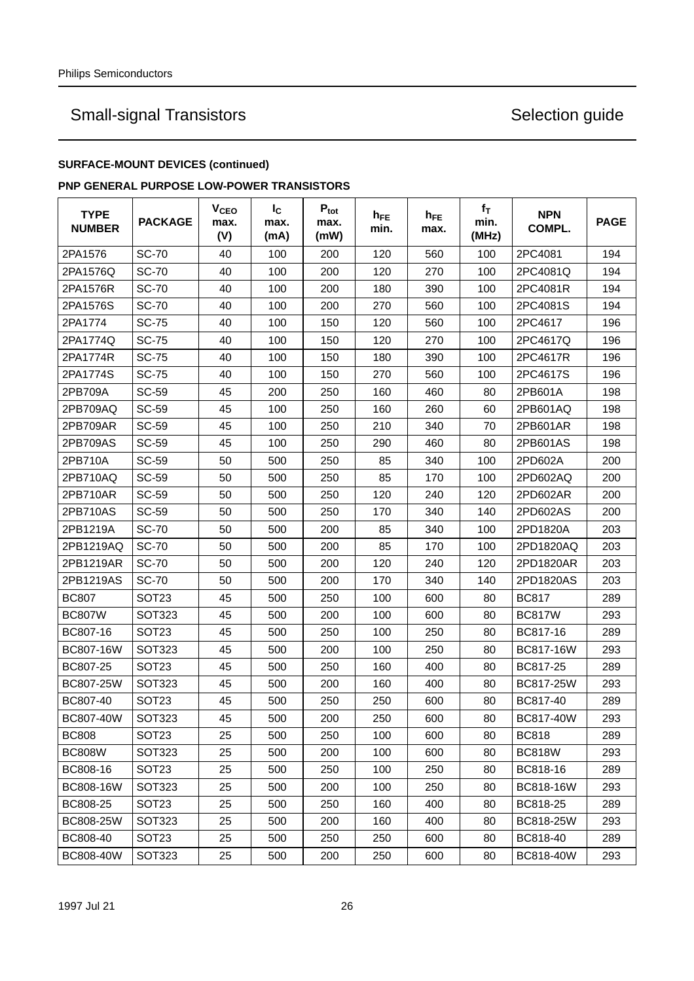## **SURFACE-MOUNT DEVICES (continued)**

### **PNP GENERAL PURPOSE LOW-POWER TRANSISTORS**

| <b>TYPE</b><br><b>NUMBER</b> | <b>PACKAGE</b>    | <b>V<sub>CEO</sub></b><br>max.<br>(V) | $I_{\rm C}$<br>max.<br>(mA) | $P_{\text{tot}}$<br>max.<br>(mW) | h <sub>FE</sub><br>min. | $h_{FE}$<br>max. | $f_T$<br>min.<br>(MHz) | <b>NPN</b><br>COMPL. | <b>PAGE</b> |
|------------------------------|-------------------|---------------------------------------|-----------------------------|----------------------------------|-------------------------|------------------|------------------------|----------------------|-------------|
| 2PA1576                      | <b>SC-70</b>      | 40                                    | 100                         | 200                              | 120                     | 560              | 100                    | 2PC4081              | 194         |
| 2PA1576Q                     | <b>SC-70</b>      | 40                                    | 100                         | 200                              | 120                     | 270              | 100                    | 2PC4081Q             | 194         |
| 2PA1576R                     | <b>SC-70</b>      | 40                                    | 100                         | 200                              | 180                     | 390              | 100                    | 2PC4081R             | 194         |
| 2PA1576S                     | <b>SC-70</b>      | 40                                    | 100                         | 200                              | 270                     | 560              | 100                    | 2PC4081S             | 194         |
| 2PA1774                      | SC-75             | 40                                    | 100                         | 150                              | 120                     | 560              | 100                    | 2PC4617              | 196         |
| 2PA1774Q                     | <b>SC-75</b>      | 40                                    | 100                         | 150                              | 120                     | 270              | 100                    | 2PC4617Q             | 196         |
| 2PA1774R                     | SC-75             | 40                                    | 100                         | 150                              | 180                     | 390              | 100                    | 2PC4617R             | 196         |
| 2PA1774S                     | <b>SC-75</b>      | 40                                    | 100                         | 150                              | 270                     | 560              | 100                    | 2PC4617S             | 196         |
| 2PB709A                      | SC-59             | 45                                    | 200                         | 250                              | 160                     | 460              | 80                     | 2PB601A              | 198         |
| 2PB709AQ                     | SC-59             | 45                                    | 100                         | 250                              | 160                     | 260              | 60                     | 2PB601AQ             | 198         |
| 2PB709AR                     | SC-59             | 45                                    | 100                         | 250                              | 210                     | 340              | 70                     | 2PB601AR             | 198         |
| 2PB709AS                     | <b>SC-59</b>      | 45                                    | 100                         | 250                              | 290                     | 460              | 80                     | 2PB601AS             | 198         |
| 2PB710A                      | SC-59             | 50                                    | 500                         | 250                              | 85                      | 340              | 100                    | 2PD602A              | 200         |
| 2PB710AQ                     | SC-59             | 50                                    | 500                         | 250                              | 85                      | 170              | 100                    | 2PD602AQ             | 200         |
| 2PB710AR                     | SC-59             | 50                                    | 500                         | 250                              | 120                     | 240              | 120                    | 2PD602AR             | 200         |
| 2PB710AS                     | SC-59             | 50                                    | 500                         | 250                              | 170                     | 340              | 140                    | 2PD602AS             | 200         |
| 2PB1219A                     | <b>SC-70</b>      | 50                                    | 500                         | 200                              | 85                      | 340              | 100                    | 2PD1820A             | 203         |
| 2PB1219AQ                    | <b>SC-70</b>      | 50                                    | 500                         | 200                              | 85                      | 170              | 100                    | 2PD1820AQ            | 203         |
| 2PB1219AR                    | <b>SC-70</b>      | 50                                    | 500                         | 200                              | 120                     | 240              | 120                    | 2PD1820AR            | 203         |
| 2PB1219AS                    | <b>SC-70</b>      | 50                                    | 500                         | 200                              | 170                     | 340              | 140                    | 2PD1820AS            | 203         |
| <b>BC807</b>                 | SOT <sub>23</sub> | 45                                    | 500                         | 250                              | 100                     | 600              | 80                     | <b>BC817</b>         | 289         |
| <b>BC807W</b>                | SOT323            | 45                                    | 500                         | 200                              | 100                     | 600              | 80                     | <b>BC817W</b>        | 293         |
| BC807-16                     | SOT <sub>23</sub> | 45                                    | 500                         | 250                              | 100                     | 250              | 80                     | BC817-16             | 289         |
| BC807-16W                    | SOT323            | 45                                    | 500                         | 200                              | 100                     | 250              | 80                     | BC817-16W            | 293         |
| BC807-25                     | SOT <sub>23</sub> | 45                                    | 500                         | 250                              | 160                     | 400              | 80                     | BC817-25             | 289         |
| BC807-25W                    | SOT323            | 45                                    | 500                         | 200                              | 160                     | 400              | 80                     | BC817-25W            | 293         |
| BC807-40                     | SOT <sub>23</sub> | 45                                    | 500                         | 250                              | 250                     | 600              | 80                     | BC817-40             | 289         |
| BC807-40W                    | SOT323            | 45                                    | 500                         | 200                              | 250                     | 600              | 80                     | BC817-40W            | 293         |
| <b>BC808</b>                 | SOT <sub>23</sub> | 25                                    | 500                         | 250                              | 100                     | 600              | 80                     | <b>BC818</b>         | 289         |
| <b>BC808W</b>                | SOT323            | 25                                    | 500                         | 200                              | 100                     | 600              | 80                     | <b>BC818W</b>        | 293         |
| BC808-16                     | SOT <sub>23</sub> | 25                                    | 500                         | 250                              | 100                     | 250              | 80                     | BC818-16             | 289         |
| BC808-16W                    | SOT323            | 25                                    | 500                         | 200                              | 100                     | 250              | 80                     | BC818-16W            | 293         |
| BC808-25                     | SOT <sub>23</sub> | 25                                    | 500                         | 250                              | 160                     | 400              | 80                     | BC818-25             | 289         |
| BC808-25W                    | SOT323            | 25                                    | 500                         | 200                              | 160                     | 400              | 80                     | BC818-25W            | 293         |
| BC808-40                     | SOT <sub>23</sub> | 25                                    | 500                         | 250                              | 250                     | 600              | 80                     | BC818-40             | 289         |
| BC808-40W                    | SOT323            | 25                                    | 500                         | 200                              | 250                     | 600              | 80                     | BC818-40W            | 293         |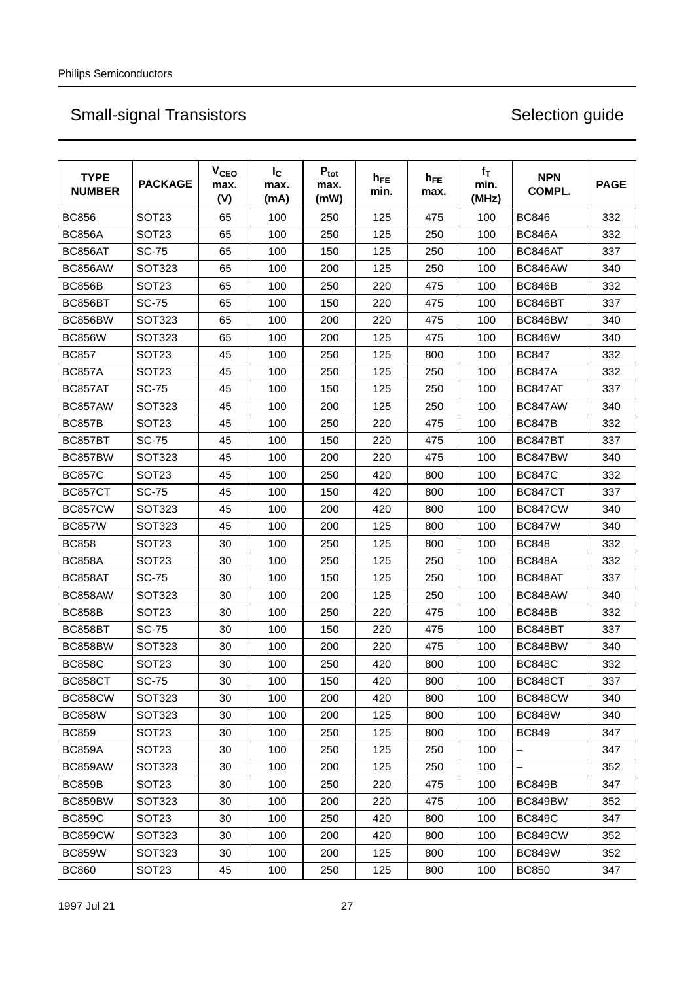| <b>TYPE</b><br><b>NUMBER</b> | <b>PACKAGE</b>    | <b>V<sub>CEO</sub></b><br>max.<br>(V) | $I_{\rm C}$<br>max.<br>(mA) | $P_{\text{tot}}$<br>max.<br>(mW) | $h_{FE}$<br>min. | $h_{FE}$<br>max. | $f_T$<br>min.<br>(MHz) | <b>NPN</b><br>COMPL. | <b>PAGE</b> |
|------------------------------|-------------------|---------------------------------------|-----------------------------|----------------------------------|------------------|------------------|------------------------|----------------------|-------------|
| <b>BC856</b>                 | SOT <sub>23</sub> | 65                                    | 100                         | 250                              | 125              | 475              | 100                    | <b>BC846</b>         | 332         |
| <b>BC856A</b>                | SOT <sub>23</sub> | 65                                    | 100                         | 250                              | 125              | 250              | 100                    | <b>BC846A</b>        | 332         |
| BC856AT                      | <b>SC-75</b>      | 65                                    | 100                         | 150                              | 125              | 250              | 100                    | BC846AT              | 337         |
| BC856AW                      | <b>SOT323</b>     | 65                                    | 100                         | 200                              | 125              | 250              | 100                    | BC846AW              | 340         |
| <b>BC856B</b>                | SOT <sub>23</sub> | 65                                    | 100                         | 250                              | 220              | 475              | 100                    | <b>BC846B</b>        | 332         |
| BC856BT                      | <b>SC-75</b>      | 65                                    | 100                         | 150                              | 220              | 475              | 100                    | BC846BT              | 337         |
| BC856BW                      | SOT323            | 65                                    | 100                         | 200                              | 220              | 475              | 100                    | BC846BW              | 340         |
| <b>BC856W</b>                | <b>SOT323</b>     | 65                                    | 100                         | 200                              | 125              | 475              | 100                    | <b>BC846W</b>        | 340         |
| <b>BC857</b>                 | SOT <sub>23</sub> | 45                                    | 100                         | 250                              | 125              | 800              | 100                    | <b>BC847</b>         | 332         |
| <b>BC857A</b>                | SOT <sub>23</sub> | 45                                    | 100                         | 250                              | 125              | 250              | 100                    | <b>BC847A</b>        | 332         |
| BC857AT                      | <b>SC-75</b>      | 45                                    | 100                         | 150                              | 125              | 250              | 100                    | BC847AT              | 337         |
| BC857AW                      | <b>SOT323</b>     | 45                                    | 100                         | 200                              | 125              | 250              | 100                    | BC847AW              | 340         |
| <b>BC857B</b>                | SOT <sub>23</sub> | 45                                    | 100                         | 250                              | 220              | 475              | 100                    | <b>BC847B</b>        | 332         |
| BC857BT                      | <b>SC-75</b>      | 45                                    | 100                         | 150                              | 220              | 475              | 100                    | BC847BT              | 337         |
| BC857BW                      | <b>SOT323</b>     | 45                                    | 100                         | 200                              | 220              | 475              | 100                    | BC847BW              | 340         |
| <b>BC857C</b>                | SOT <sub>23</sub> | 45                                    | 100                         | 250                              | 420              | 800              | 100                    | <b>BC847C</b>        | 332         |
| BC857CT                      | <b>SC-75</b>      | 45                                    | 100                         | 150                              | 420              | 800              | 100                    | BC847CT              | 337         |
| <b>BC857CW</b>               | SOT323            | 45                                    | 100                         | 200                              | 420              | 800              | 100                    | BC847CW              | 340         |
| <b>BC857W</b>                | <b>SOT323</b>     | 45                                    | 100                         | 200                              | 125              | 800              | 100                    | <b>BC847W</b>        | 340         |
| <b>BC858</b>                 | SOT <sub>23</sub> | 30                                    | 100                         | 250                              | 125              | 800              | 100                    | <b>BC848</b>         | 332         |
| <b>BC858A</b>                | SOT <sub>23</sub> | 30                                    | 100                         | 250                              | 125              | 250              | 100                    | <b>BC848A</b>        | 332         |
| BC858AT                      | <b>SC-75</b>      | 30                                    | 100                         | 150                              | 125              | 250              | 100                    | BC848AT              | 337         |
| BC858AW                      | <b>SOT323</b>     | 30                                    | 100                         | 200                              | 125              | 250              | 100                    | BC848AW              | 340         |
| <b>BC858B</b>                | SOT <sub>23</sub> | 30                                    | 100                         | 250                              | 220              | 475              | 100                    | <b>BC848B</b>        | 332         |
| BC858BT                      | <b>SC-75</b>      | 30                                    | 100                         | 150                              | 220              | 475              | 100                    | BC848BT              | 337         |
| BC858BW                      | <b>SOT323</b>     | 30                                    | 100                         | 200                              | 220              | 475              | 100                    | BC848BW              | 340         |
| <b>BC858C</b>                | SOT <sub>23</sub> | 30                                    | 100                         | 250                              | 420              | 800              | 100                    | <b>BC848C</b>        | 332         |
| BC858CT                      | <b>SC-75</b>      | 30                                    | 100                         | 150                              | 420              | 800              | 100                    | BC848CT              | 337         |
| <b>BC858CW</b>               | SOT323            | 30                                    | 100                         | 200                              | 420              | 800              | 100                    | <b>BC848CW</b>       | 340         |
| <b>BC858W</b>                | <b>SOT323</b>     | 30                                    | 100                         | 200                              | 125              | 800              | 100                    | <b>BC848W</b>        | 340         |
| <b>BC859</b>                 | SOT <sub>23</sub> | 30                                    | 100                         | 250                              | 125              | 800              | 100                    | <b>BC849</b>         | 347         |
| <b>BC859A</b>                | SOT <sub>23</sub> | 30                                    | 100                         | 250                              | 125              | 250              | 100                    |                      | 347         |
| BC859AW                      | SOT323            | 30                                    | 100                         | 200                              | 125              | 250              | 100                    |                      | 352         |
| <b>BC859B</b>                | SOT <sub>23</sub> | 30                                    | 100                         | 250                              | 220              | 475              | 100                    | <b>BC849B</b>        | 347         |
| BC859BW                      | SOT323            | 30                                    | 100                         | 200                              | 220              | 475              | 100                    | BC849BW              | 352         |
| <b>BC859C</b>                | SOT <sub>23</sub> | 30                                    | 100                         | 250                              | 420              | 800              | 100                    | <b>BC849C</b>        | 347         |
| <b>BC859CW</b>               | SOT323            | 30                                    | 100                         | 200                              | 420              | 800              | 100                    | BC849CW              | 352         |
| <b>BC859W</b>                | <b>SOT323</b>     | 30                                    | 100                         | 200                              | 125              | 800              | 100                    | <b>BC849W</b>        | 352         |
| <b>BC860</b>                 | SOT <sub>23</sub> | 45                                    | 100                         | 250                              | 125              | 800              | 100                    | <b>BC850</b>         | 347         |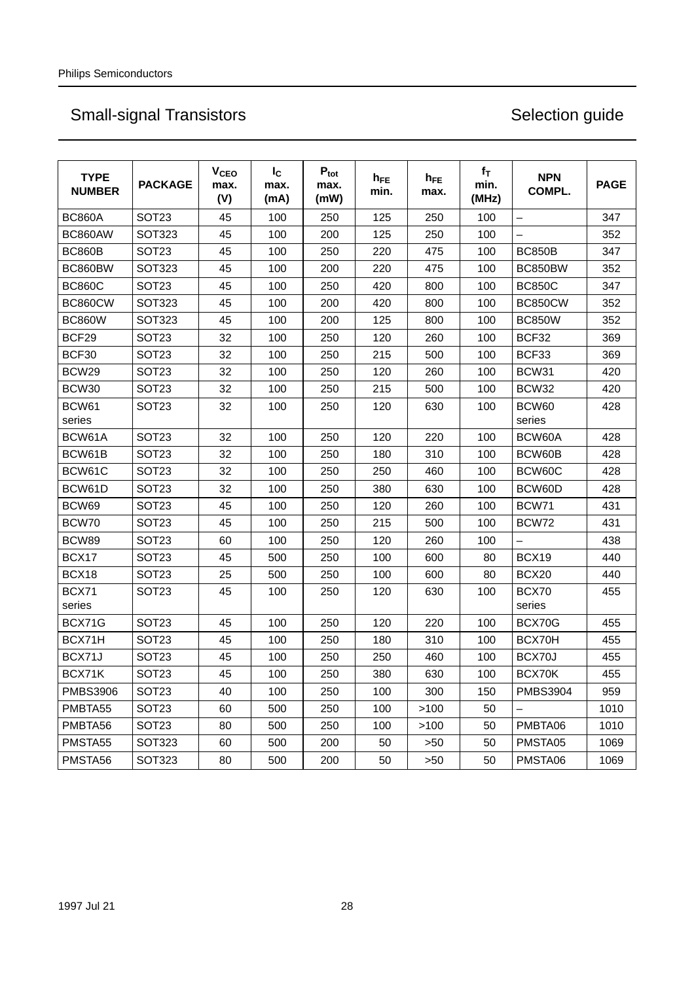| <b>TYPE</b><br><b>NUMBER</b> | <b>PACKAGE</b>    | V <sub>CEO</sub><br>max.<br>(V) | $I_{\rm C}$<br>max.<br>(mA) | $P_{\text{tot}}$<br>max.<br>(mW) | $h_{FE}$<br>min. | $h_{FE}$<br>max. | $f_T$<br>min.<br>(MHz) | <b>NPN</b><br>COMPL. | <b>PAGE</b> |
|------------------------------|-------------------|---------------------------------|-----------------------------|----------------------------------|------------------|------------------|------------------------|----------------------|-------------|
| <b>BC860A</b>                | SOT <sub>23</sub> | 45                              | 100                         | 250                              | 125              | 250              | 100                    | -                    | 347         |
| BC860AW                      | <b>SOT323</b>     | 45                              | 100                         | 200                              | 125              | 250              | 100                    |                      | 352         |
| <b>BC860B</b>                | SOT <sub>23</sub> | 45                              | 100                         | 250                              | 220              | 475              | 100                    | <b>BC850B</b>        | 347         |
| BC860BW                      | <b>SOT323</b>     | 45                              | 100                         | 200                              | 220              | 475              | 100                    | BC850BW              | 352         |
| <b>BC860C</b>                | SOT <sub>23</sub> | 45                              | 100                         | 250                              | 420              | 800              | 100                    | <b>BC850C</b>        | 347         |
| <b>BC860CW</b>               | <b>SOT323</b>     | 45                              | 100                         | 200                              | 420              | 800              | 100                    | <b>BC850CW</b>       | 352         |
| <b>BC860W</b>                | <b>SOT323</b>     | 45                              | 100                         | 200                              | 125              | 800              | 100                    | <b>BC850W</b>        | 352         |
| BCF29                        | SOT <sub>23</sub> | 32                              | 100                         | 250                              | 120              | 260              | 100                    | BCF32                | 369         |
| BCF30                        | SOT <sub>23</sub> | 32                              | 100                         | 250                              | 215              | 500              | 100                    | BCF33                | 369         |
| BCW29                        | SOT <sub>23</sub> | 32                              | 100                         | 250                              | 120              | 260              | 100                    | BCW31                | 420         |
| BCW30                        | SOT <sub>23</sub> | 32                              | 100                         | 250                              | 215              | 500              | 100                    | BCW32                | 420         |
| BCW61<br>series              | SOT <sub>23</sub> | 32                              | 100                         | 250                              | 120              | 630              | 100                    | BCW60<br>series      | 428         |
| BCW61A                       | SOT <sub>23</sub> | 32                              | 100                         | 250                              | 120              | 220              | 100                    | BCW60A               | 428         |
| BCW61B                       | SOT <sub>23</sub> | 32                              | 100                         | 250                              | 180              | 310              | 100                    | BCW60B               | 428         |
| BCW61C                       | SOT <sub>23</sub> | 32                              | 100                         | 250                              | 250              | 460              | 100                    | BCW60C               | 428         |
| BCW61D                       | SOT <sub>23</sub> | 32                              | 100                         | 250                              | 380              | 630              | 100                    | BCW60D               | 428         |
| BCW69                        | SOT <sub>23</sub> | 45                              | 100                         | 250                              | 120              | 260              | 100                    | BCW71                | 431         |
| BCW70                        | SOT <sub>23</sub> | 45                              | 100                         | 250                              | 215              | 500              | 100                    | BCW72                | 431         |
| BCW89                        | SOT <sub>23</sub> | 60                              | 100                         | 250                              | 120              | 260              | 100                    |                      | 438         |
| BCX17                        | SOT <sub>23</sub> | 45                              | 500                         | 250                              | 100              | 600              | 80                     | BCX19                | 440         |
| BCX18                        | SOT <sub>23</sub> | 25                              | 500                         | 250                              | 100              | 600              | 80                     | BCX20                | 440         |
| BCX71<br>series              | SOT <sub>23</sub> | 45                              | 100                         | 250                              | 120              | 630              | 100                    | BCX70<br>series      | 455         |
| BCX71G                       | SOT <sub>23</sub> | 45                              | 100                         | 250                              | 120              | 220              | 100                    | BCX70G               | 455         |
| BCX71H                       | SOT <sub>23</sub> | 45                              | 100                         | 250                              | 180              | 310              | 100                    | BCX70H               | 455         |
| BCX71J                       | SOT <sub>23</sub> | 45                              | 100                         | 250                              | 250              | 460              | 100                    | BCX70J               | 455         |
| BCX71K                       | SOT <sub>23</sub> | 45                              | 100                         | 250                              | 380              | 630              | 100                    | BCX70K               | 455         |
| <b>PMBS3906</b>              | SOT <sub>23</sub> | 40                              | 100                         | 250                              | 100              | 300              | 150                    | <b>PMBS3904</b>      | 959         |
| PMBTA55                      | SOT <sub>23</sub> | 60                              | 500                         | 250                              | 100              | >100             | 50                     |                      | 1010        |
| PMBTA56                      | SOT <sub>23</sub> | 80                              | 500                         | 250                              | 100              | >100             | 50                     | PMBTA06              | 1010        |
| PMSTA55                      | <b>SOT323</b>     | 60                              | 500                         | 200                              | 50               | >50              | 50                     | PMSTA05              | 1069        |
| PMSTA56                      | SOT323            | 80                              | 500                         | 200                              | 50               | >50              | 50                     | PMSTA06              | 1069        |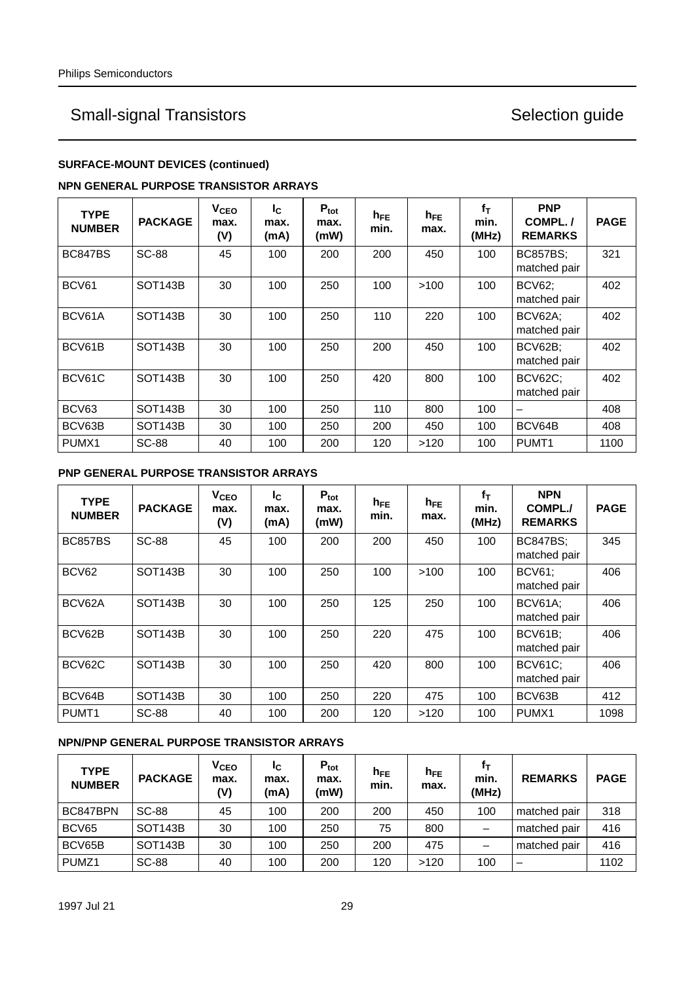### **SURFACE-MOUNT DEVICES (continued)**

### **NPN GENERAL PURPOSE TRANSISTOR ARRAYS**

| <b>TYPE</b><br><b>NUMBER</b> | <b>PACKAGE</b>       | V <sub>CEO</sub><br>max.<br>(V) | $I_{\rm C}$<br>max.<br>(mA) | $P_{\text{tot}}$<br>max.<br>(mW) | $h_{FE}$<br>min. | $h_{FE}$<br>max. | $f_T$<br>min.<br>(MHz) | <b>PNP</b><br>COMPL./<br><b>REMARKS</b> | <b>PAGE</b> |
|------------------------------|----------------------|---------------------------------|-----------------------------|----------------------------------|------------------|------------------|------------------------|-----------------------------------------|-------------|
| <b>BC847BS</b>               | <b>SC-88</b>         | 45                              | 100                         | 200                              | 200              | 450              | 100                    | <b>BC857BS;</b><br>matched pair         | 321         |
| BCV61                        | SOT <sub>143</sub> B | 30                              | 100                         | 250                              | 100              | >100             | 100                    | <b>BCV62;</b><br>matched pair           | 402         |
| BCV61A                       | SOT <sub>143</sub> B | 30                              | 100                         | 250                              | 110              | 220              | 100                    | BCV62A:<br>matched pair                 | 402         |
| BCV61B                       | SOT <sub>143</sub> B | 30                              | 100                         | 250                              | 200              | 450              | 100                    | BCV62B:<br>matched pair                 | 402         |
| BCV61C                       | SOT <sub>143</sub> B | 30                              | 100                         | 250                              | 420              | 800              | 100                    | <b>BCV62C;</b><br>matched pair          | 402         |
| BCV63                        | SOT <sub>143</sub> B | 30                              | 100                         | 250                              | 110              | 800              | 100                    | $\overline{\phantom{0}}$                | 408         |
| BCV63B                       | SOT <sub>143</sub> B | 30                              | 100                         | 250                              | 200              | 450              | 100                    | BCV64B                                  | 408         |
| PUMX <sub>1</sub>            | <b>SC-88</b>         | 40                              | 100                         | 200                              | 120              | >120             | 100                    | PUMT <sub>1</sub>                       | 1100        |

### **PNP GENERAL PURPOSE TRANSISTOR ARRAYS**

| <b>TYPE</b><br><b>NUMBER</b> | <b>PACKAGE</b>       | V <sub>CEO</sub><br>max.<br>(V) | Ιc<br>max.<br>(mA) | $P_{\text{tot}}$<br>max.<br>(mW) | $h_{FE}$<br>min. | $h_{FE}$<br>max. | $f_T$<br>min.<br>(MHz) | <b>NPN</b><br>COMPL./<br><b>REMARKS</b> | <b>PAGE</b> |
|------------------------------|----------------------|---------------------------------|--------------------|----------------------------------|------------------|------------------|------------------------|-----------------------------------------|-------------|
| <b>BC857BS</b>               | <b>SC-88</b>         | 45                              | 100                | 200                              | 200              | 450              | 100                    | <b>BC847BS;</b><br>matched pair         | 345         |
| BCV62                        | <b>SOT143B</b>       | 30                              | 100                | 250                              | 100              | >100             | 100                    | <b>BCV61:</b><br>matched pair           | 406         |
| BCV62A                       | <b>SOT143B</b>       | 30                              | 100                | 250                              | 125              | 250              | 100                    | BCV61A;<br>matched pair                 | 406         |
| BCV62B                       | <b>SOT143B</b>       | 30                              | 100                | 250                              | 220              | 475              | 100                    | <b>BCV61B;</b><br>matched pair          | 406         |
| BCV62C                       | SOT <sub>143</sub> B | 30                              | 100                | 250                              | 420              | 800              | 100                    | <b>BCV61C;</b><br>matched pair          | 406         |
| BCV64B                       | <b>SOT143B</b>       | 30                              | 100                | 250                              | 220              | 475              | 100                    | BCV63B                                  | 412         |
| PUMT <sub>1</sub>            | <b>SC-88</b>         | 40                              | 100                | 200                              | 120              | >120             | 100                    | PUMX1                                   | 1098        |

### **NPN/PNP GENERAL PURPOSE TRANSISTOR ARRAYS**

| <b>TYPE</b><br><b>NUMBER</b> | <b>PACKAGE</b> | <b>V<sub>CEO</sub></b><br>max.<br>(V) | Ιc<br>max.<br>(mA) | $P_{\text{tot}}$<br>max.<br>(mW) | $h_{\mathsf{FE}}$<br>min. | $h_{FE}$<br>max. | Ťτ<br>min.<br>(MHz) | <b>REMARKS</b>           | <b>PAGE</b> |
|------------------------------|----------------|---------------------------------------|--------------------|----------------------------------|---------------------------|------------------|---------------------|--------------------------|-------------|
| BC847BPN                     | <b>SC-88</b>   | 45                                    | 100                | 200                              | 200                       | 450              | 100                 | matched pair             | 318         |
| BCV65                        | <b>SOT143B</b> | 30                                    | 100                | 250                              | 75                        | 800              |                     | matched pair             | 416         |
| BCV65B                       | <b>SOT143B</b> | 30                                    | 100                | 250                              | 200                       | 475              | —                   | matched pair             | 416         |
| PUMZ <sub>1</sub>            | <b>SC-88</b>   | 40                                    | 100                | 200                              | 120                       | >120             | 100                 | $\overline{\phantom{m}}$ | 1102        |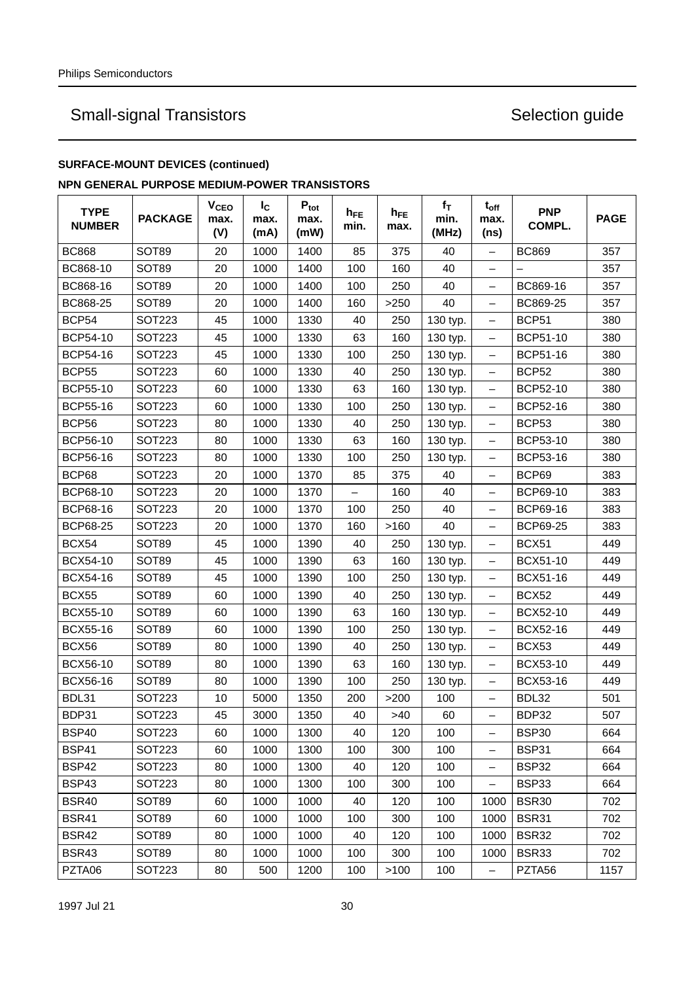### **SURFACE-MOUNT DEVICES (continued)**

### **NPN GENERAL PURPOSE MEDIUM-POWER TRANSISTORS**

| <b>TYPE</b><br><b>NUMBER</b> | <b>PACKAGE</b> | V <sub>CEO</sub><br>max.<br>(V) | $I_{\rm C}$<br>max.<br>(mA) | $P_{\text{tot}}$<br>max.<br>(mW) | $h_{FE}$<br>min. | $h_{FE}$<br>max. | $f_T$<br>min.<br>(MHz) | $t_{off}$<br>max.<br>(ns) | <b>PNP</b><br>COMPL. | <b>PAGE</b> |
|------------------------------|----------------|---------------------------------|-----------------------------|----------------------------------|------------------|------------------|------------------------|---------------------------|----------------------|-------------|
| <b>BC868</b>                 | <b>SOT89</b>   | 20                              | 1000                        | 1400                             | 85               | 375              | 40                     | -                         | <b>BC869</b>         | 357         |
| BC868-10                     | SOT89          | 20                              | 1000                        | 1400                             | 100              | 160              | 40                     |                           |                      | 357         |
| BC868-16                     | SOT89          | 20                              | 1000                        | 1400                             | 100              | 250              | 40                     | $\overline{\phantom{0}}$  | BC869-16             | 357         |
| BC868-25                     | SOT89          | 20                              | 1000                        | 1400                             | 160              | $>250$           | 40                     | -                         | BC869-25             | 357         |
| <b>BCP54</b>                 | SOT223         | 45                              | 1000                        | 1330                             | 40               | 250              | 130 typ.               | -                         | BCP51                | 380         |
| <b>BCP54-10</b>              | SOT223         | 45                              | 1000                        | 1330                             | 63               | 160              | 130 typ.               | -                         | BCP51-10             | 380         |
| <b>BCP54-16</b>              | <b>SOT223</b>  | 45                              | 1000                        | 1330                             | 100              | 250              | 130 typ.               | $\equiv$                  | BCP51-16             | 380         |
| <b>BCP55</b>                 | SOT223         | 60                              | 1000                        | 1330                             | 40               | 250              | 130 typ.               | $\qquad \qquad -$         | BCP <sub>52</sub>    | 380         |
| <b>BCP55-10</b>              | SOT223         | 60                              | 1000                        | 1330                             | 63               | 160              | 130 typ.               | $\qquad \qquad -$         | BCP52-10             | 380         |
| <b>BCP55-16</b>              | <b>SOT223</b>  | 60                              | 1000                        | 1330                             | 100              | 250              | 130 typ.               | -                         | BCP52-16             | 380         |
| BCP56                        | SOT223         | 80                              | 1000                        | 1330                             | 40               | 250              | 130 typ.               | -                         | BCP <sub>53</sub>    | 380         |
| BCP56-10                     | SOT223         | 80                              | 1000                        | 1330                             | 63               | 160              | 130 typ.               | -                         | BCP53-10             | 380         |
| <b>BCP56-16</b>              | SOT223         | 80                              | 1000                        | 1330                             | 100              | 250              | 130 typ.               | -                         | BCP53-16             | 380         |
| BCP68                        | <b>SOT223</b>  | 20                              | 1000                        | 1370                             | 85               | 375              | 40                     | -                         | BCP69                | 383         |
| BCP68-10                     | SOT223         | 20                              | 1000                        | 1370                             |                  | 160              | 40                     | -                         | BCP69-10             | 383         |
| BCP68-16                     | SOT223         | 20                              | 1000                        | 1370                             | 100              | 250              | 40                     | -                         | BCP69-16             | 383         |
| <b>BCP68-25</b>              | SOT223         | 20                              | 1000                        | 1370                             | 160              | >160             | 40                     | -                         | BCP69-25             | 383         |
| <b>BCX54</b>                 | SOT89          | 45                              | 1000                        | 1390                             | 40               | 250              | 130 typ.               | $\qquad \qquad =$         | <b>BCX51</b>         | 449         |
| BCX54-10                     | SOT89          | 45                              | 1000                        | 1390                             | 63               | 160              | 130 typ.               | -                         | BCX51-10             | 449         |
| <b>BCX54-16</b>              | SOT89          | 45                              | 1000                        | 1390                             | 100              | 250              | 130 typ.               | $\qquad \qquad =$         | BCX51-16             | 449         |
| <b>BCX55</b>                 | <b>SOT89</b>   | 60                              | 1000                        | 1390                             | 40               | 250              | 130 typ.               | -                         | <b>BCX52</b>         | 449         |
| <b>BCX55-10</b>              | SOT89          | 60                              | 1000                        | 1390                             | 63               | 160              | 130 typ.               | -                         | BCX52-10             | 449         |
| BCX55-16                     | SOT89          | 60                              | 1000                        | 1390                             | 100              | 250              | 130 typ.               | $\qquad \qquad =$         | BCX52-16             | 449         |
| BCX56                        | SOT89          | 80                              | 1000                        | 1390                             | 40               | 250              | 130 typ.               | —                         | BCX53                | 449         |
| <b>BCX56-10</b>              | <b>SOT89</b>   | 80                              | 1000                        | 1390                             | 63               | 160              | 130 typ.               | $\qquad \qquad -$         | BCX53-10             | 449         |
| <b>BCX56-16</b>              | SOT89          | 80                              | 1000                        | 1390                             | 100              | 250              | 130 typ.               | $\overline{\phantom{0}}$  | BCX53-16             | 449         |
| BDL31                        | SOT223         | 10                              | 5000                        | 1350                             | 200              | $>200$           | 100                    | —                         | BDL32                | 501         |
| BDP31                        | <b>SOT223</b>  | 45                              | 3000                        | 1350                             | 40               | >40              | 60                     | —                         | BDP32                | 507         |
| BSP40                        | SOT223         | 60                              | 1000                        | 1300                             | 40               | 120              | 100                    | -                         | <b>BSP30</b>         | 664         |
| <b>BSP41</b>                 | SOT223         | 60                              | 1000                        | 1300                             | 100              | 300              | 100                    |                           | <b>BSP31</b>         | 664         |
| <b>BSP42</b>                 | SOT223         | 80                              | 1000                        | 1300                             | 40               | 120              | 100                    | $\qquad \qquad -$         | BSP32                | 664         |
| BSP43                        | <b>SOT223</b>  | 80                              | 1000                        | 1300                             | 100              | 300              | 100                    | $\overline{\phantom{0}}$  | BSP33                | 664         |
| <b>BSR40</b>                 | SOT89          | 60                              | 1000                        | 1000                             | 40               | 120              | 100                    | 1000                      | <b>BSR30</b>         | 702         |
| <b>BSR41</b>                 | SOT89          | 60                              | 1000                        | 1000                             | 100              | 300              | 100                    | 1000                      | BSR31                | 702         |
| <b>BSR42</b>                 | SOT89          | 80                              | 1000                        | 1000                             | 40               | 120              | 100                    | 1000                      | BSR32                | 702         |
| <b>BSR43</b>                 | SOT89          | 80                              | 1000                        | 1000                             | 100              | 300              | 100                    | 1000                      | BSR33                | 702         |
| PZTA06                       | <b>SOT223</b>  | 80                              | 500                         | 1200                             | 100              | >100             | 100                    | —                         | PZTA56               | 1157        |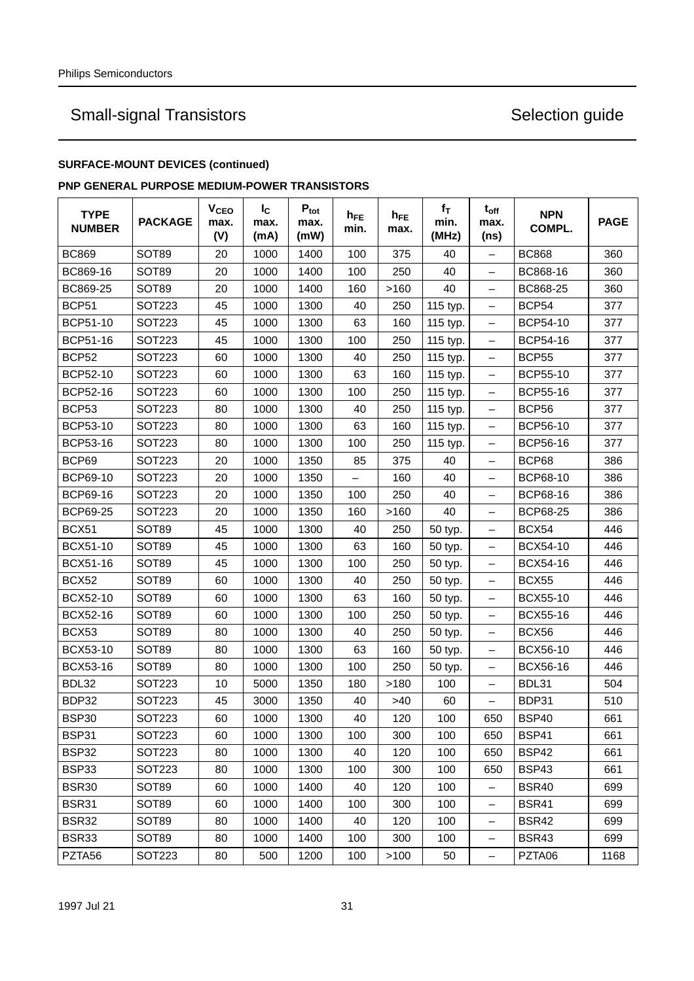## **SURFACE-MOUNT DEVICES (continued)**

### **PNP GENERAL PURPOSE MEDIUM-POWER TRANSISTORS**

| <b>TYPE</b><br><b>NUMBER</b> | <b>PACKAGE</b> | <b>V<sub>CEO</sub></b><br>max.<br>(V) | $I_{\rm C}$<br>max.<br>(mA) | $P_{\text{tot}}$<br>max.<br>(mW) | $h_{FE}$<br>min.         | $h_{FE}$<br>max. | $f_T$<br>min.<br>(MHz) | $t_{off}$<br>max.<br>(ns) | <b>NPN</b><br>COMPL. | <b>PAGE</b> |
|------------------------------|----------------|---------------------------------------|-----------------------------|----------------------------------|--------------------------|------------------|------------------------|---------------------------|----------------------|-------------|
| <b>BC869</b>                 | SOT89          | 20                                    | 1000                        | 1400                             | 100                      | 375              | 40                     | $\overline{\phantom{0}}$  | <b>BC868</b>         | 360         |
| BC869-16                     | <b>SOT89</b>   | 20                                    | 1000                        | 1400                             | 100                      | 250              | 40                     | -                         | BC868-16             | 360         |
| BC869-25                     | <b>SOT89</b>   | 20                                    | 1000                        | 1400                             | 160                      | >160             | 40                     | -                         | BC868-25             | 360         |
| BCP51                        | SOT223         | 45                                    | 1000                        | 1300                             | 40                       | 250              | 115 typ.               | -                         | BCP <sub>54</sub>    | 377         |
| BCP51-10                     | SOT223         | 45                                    | 1000                        | 1300                             | 63                       | 160              | 115 typ.               | -                         | BCP54-10             | 377         |
| <b>BCP51-16</b>              | <b>SOT223</b>  | 45                                    | 1000                        | 1300                             | 100                      | 250              | 115 typ.               | -                         | BCP54-16             | 377         |
| <b>BCP52</b>                 | <b>SOT223</b>  | 60                                    | 1000                        | 1300                             | 40                       | 250              | 115 typ.               | -                         | <b>BCP55</b>         | 377         |
| BCP52-10                     | <b>SOT223</b>  | 60                                    | 1000                        | 1300                             | 63                       | 160              | 115 typ.               | -                         | BCP55-10             | 377         |
| BCP52-16                     | <b>SOT223</b>  | 60                                    | 1000                        | 1300                             | 100                      | 250              | 115 typ.               | -                         | <b>BCP55-16</b>      | 377         |
| BCP53                        | SOT223         | 80                                    | 1000                        | 1300                             | 40                       | 250              | 115 typ.               | -                         | BCP56                | 377         |
| BCP53-10                     | SOT223         | 80                                    | 1000                        | 1300                             | 63                       | 160              | 115 typ.               | -                         | <b>BCP56-10</b>      | 377         |
| BCP53-16                     | <b>SOT223</b>  | 80                                    | 1000                        | 1300                             | 100                      | 250              | 115 typ.               | $\qquad \qquad -$         | BCP56-16             | 377         |
| BCP69                        | <b>SOT223</b>  | 20                                    | 1000                        | 1350                             | 85                       | 375              | 40                     | -                         | BCP68                | 386         |
| BCP69-10                     | <b>SOT223</b>  | 20                                    | 1000                        | 1350                             | $\overline{\phantom{0}}$ | 160              | 40                     | Ξ.                        | BCP68-10             | 386         |
| BCP69-16                     | <b>SOT223</b>  | 20                                    | 1000                        | 1350                             | 100                      | 250              | 40                     | -                         | BCP68-16             | 386         |
| <b>BCP69-25</b>              | <b>SOT223</b>  | 20                                    | 1000                        | 1350                             | 160                      | >160             | 40                     | $\qquad \qquad -$         | <b>BCP68-25</b>      | 386         |
| BCX51                        | SOT89          | 45                                    | 1000                        | 1300                             | 40                       | 250              | 50 typ.                | —                         | <b>BCX54</b>         | 446         |
| BCX51-10                     | <b>SOT89</b>   | 45                                    | 1000                        | 1300                             | 63                       | 160              | 50 typ.                | -                         | BCX54-10             | 446         |
| BCX51-16                     | SOT89          | 45                                    | 1000                        | 1300                             | 100                      | 250              | 50 typ.                | -                         | BCX54-16             | 446         |
| <b>BCX52</b>                 | <b>SOT89</b>   | 60                                    | 1000                        | 1300                             | 40                       | 250              | 50 typ.                | -                         | <b>BCX55</b>         | 446         |
| BCX52-10                     | SOT89          | 60                                    | 1000                        | 1300                             | 63                       | 160              | 50 typ.                | -                         | BCX55-10             | 446         |
| <b>BCX52-16</b>              | SOT89          | 60                                    | 1000                        | 1300                             | 100                      | 250              | 50 typ.                | -                         | <b>BCX55-16</b>      | 446         |
| BCX53                        | SOT89          | 80                                    | 1000                        | 1300                             | 40                       | 250              | 50 typ.                | -                         | BCX56                | 446         |
| <b>BCX53-10</b>              | SOT89          | 80                                    | 1000                        | 1300                             | 63                       | 160              | 50 typ.                | $\qquad \qquad =$         | <b>BCX56-10</b>      | 446         |
| BCX53-16                     | SOT89          | 80                                    | 1000                        | 1300                             | 100                      | 250              | 50 typ.                | $\overline{\phantom{0}}$  | BCX56-16             | 446         |
| BDL32                        | <b>SOT223</b>  | 10                                    | 5000                        | 1350                             | 180                      | >180             | 100                    | -                         | BDL31                | 504         |
| BDP32                        | SOT223         | 45                                    | 3000                        | 1350                             | 40                       | >40              | 60                     | -                         | BDP31                | 510         |
| <b>BSP30</b>                 | SOT223         | 60                                    | 1000                        | 1300                             | 40                       | 120              | 100                    | 650                       | BSP40                | 661         |
| BSP31                        | <b>SOT223</b>  | 60                                    | 1000                        | 1300                             | 100                      | 300              | 100                    | 650                       | BSP41                | 661         |
| <b>BSP32</b>                 | SOT223         | 80                                    | 1000                        | 1300                             | 40                       | 120              | 100                    | 650                       | BSP42                | 661         |
| BSP33                        | <b>SOT223</b>  | 80                                    | 1000                        | 1300                             | 100                      | 300              | 100                    | 650                       | <b>BSP43</b>         | 661         |
| <b>BSR30</b>                 | SOT89          | 60                                    | 1000                        | 1400                             | 40                       | 120              | 100                    |                           | BSR40                | 699         |
| <b>BSR31</b>                 | SOT89          | 60                                    | 1000                        | 1400                             | 100                      | 300              | 100                    | -                         | <b>BSR41</b>         | 699         |
| <b>BSR32</b>                 | SOT89          | 80                                    | 1000                        | 1400                             | 40                       | 120              | 100                    | -                         | <b>BSR42</b>         | 699         |
| <b>BSR33</b>                 | SOT89          | 80                                    | 1000                        | 1400                             | 100                      | 300              | 100                    | -                         | BSR43                | 699         |
| PZTA56                       | SOT223         | 80                                    | 500                         | 1200                             | 100                      | >100             | 50                     | $\qquad \qquad -$         | PZTA06               | 1168        |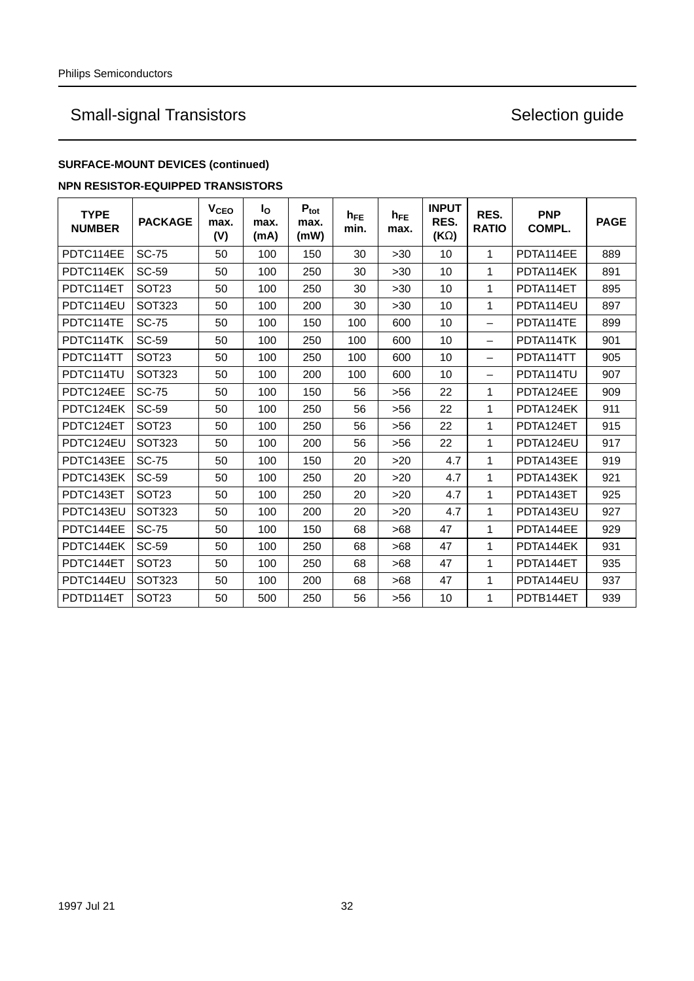## **SURFACE-MOUNT DEVICES (continued)**

### **NPN RESISTOR-EQUIPPED TRANSISTORS**

| <b>TYPE</b><br><b>NUMBER</b> | <b>PACKAGE</b>    | <b>V<sub>CEO</sub></b><br>max.<br>(V) | $I_{\Omega}$<br>max.<br>(mA) | $P_{\text{tot}}$<br>max.<br>(mW) | $h_{FE}$<br>min. | $h_{FE}$<br>max. | <b>INPUT</b><br>RES.<br>$(K\Omega)$ | RES.<br><b>RATIO</b>     | <b>PNP</b><br>COMPL. | <b>PAGE</b> |
|------------------------------|-------------------|---------------------------------------|------------------------------|----------------------------------|------------------|------------------|-------------------------------------|--------------------------|----------------------|-------------|
| PDTC114EE                    | <b>SC-75</b>      | 50                                    | 100                          | 150                              | 30               | $>30$            | 10                                  | 1                        | PDTA114EE            | 889         |
| PDTC114EK                    | <b>SC-59</b>      | 50                                    | 100                          | 250                              | 30               | >30              | 10                                  | $\mathbf{1}$             | PDTA114EK            | 891         |
| PDTC114ET                    | SOT <sub>23</sub> | 50                                    | 100                          | 250                              | 30               | >30              | 10                                  | 1                        | PDTA114ET            | 895         |
| PDTC114EU                    | <b>SOT323</b>     | 50                                    | 100                          | 200                              | 30               | >30              | 10                                  | 1                        | PDTA114EU            | 897         |
| PDTC114TE                    | <b>SC-75</b>      | 50                                    | 100                          | 150                              | 100              | 600              | 10                                  | $\overline{\phantom{0}}$ | PDTA114TE            | 899         |
| PDTC114TK                    | <b>SC-59</b>      | 50                                    | 100                          | 250                              | 100              | 600              | 10                                  | $\overline{\phantom{0}}$ | PDTA114TK            | 901         |
| PDTC114TT                    | <b>SOT23</b>      | 50                                    | 100                          | 250                              | 100              | 600              | 10                                  | $\overline{\phantom{0}}$ | PDTA114TT            | 905         |
| PDTC114TU                    | <b>SOT323</b>     | 50                                    | 100                          | 200                              | 100              | 600              | 10                                  | $\equiv$                 | PDTA114TU            | 907         |
| PDTC124EE                    | <b>SC-75</b>      | 50                                    | 100                          | 150                              | 56               | >56              | 22                                  | 1                        | PDTA124EE            | 909         |
| PDTC124EK                    | <b>SC-59</b>      | 50                                    | 100                          | 250                              | 56               | $>56$            | 22                                  | $\mathbf{1}$             | PDTA124EK            | 911         |
| PDTC124ET                    | SOT <sub>23</sub> | 50                                    | 100                          | 250                              | 56               | >56              | 22                                  | 1                        | PDTA124ET            | 915         |
| PDTC124EU                    | <b>SOT323</b>     | 50                                    | 100                          | 200                              | 56               | >56              | 22                                  | 1                        | PDTA124EU            | 917         |
| PDTC143EE                    | <b>SC-75</b>      | 50                                    | 100                          | 150                              | 20               | >20              | 4.7                                 | 1                        | PDTA143EE            | 919         |
| PDTC143EK                    | <b>SC-59</b>      | 50                                    | 100                          | 250                              | 20               | >20              | 4.7                                 | 1                        | PDTA143EK            | 921         |
| PDTC143ET                    | SOT <sub>23</sub> | 50                                    | 100                          | 250                              | 20               | >20              | 4.7                                 | 1                        | PDTA143ET            | 925         |
| PDTC143EU                    | SOT323            | 50                                    | 100                          | 200                              | 20               | >20              | 4.7                                 | $\mathbf{1}$             | PDTA143EU            | 927         |
| PDTC144EE                    | <b>SC-75</b>      | 50                                    | 100                          | 150                              | 68               | >68              | 47                                  | $\mathbf{1}$             | PDTA144EE            | 929         |
| PDTC144EK                    | <b>SC-59</b>      | 50                                    | 100                          | 250                              | 68               | >68              | 47                                  | 1                        | PDTA144EK            | 931         |
| PDTC144ET                    | <b>SOT23</b>      | 50                                    | 100                          | 250                              | 68               | >68              | 47                                  | 1                        | PDTA144ET            | 935         |
| PDTC144EU                    | <b>SOT323</b>     | 50                                    | 100                          | 200                              | 68               | >68              | 47                                  | 1                        | PDTA144EU            | 937         |
| PDTD114ET                    | SOT <sub>23</sub> | 50                                    | 500                          | 250                              | 56               | >56              | 10                                  | 1                        | PDTB144ET            | 939         |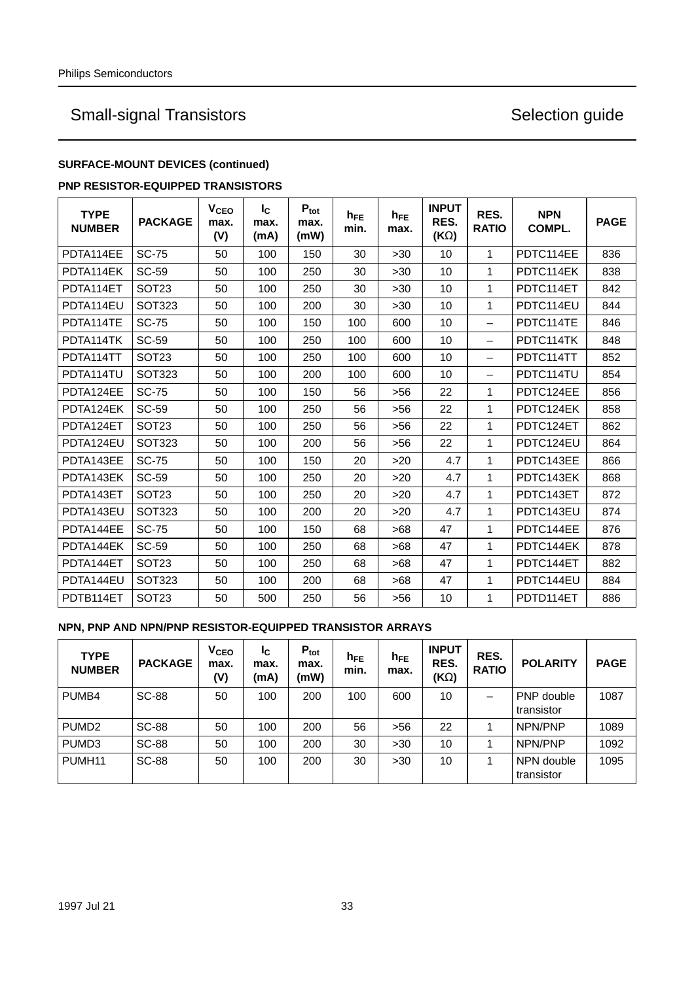### **SURFACE-MOUNT DEVICES (continued)**

### **PNP RESISTOR-EQUIPPED TRANSISTORS**

| <b>TYPE</b><br><b>NUMBER</b> | <b>PACKAGE</b>    | V <sub>CEO</sub><br>max.<br>(V) | $I_{\rm C}$<br>max.<br>(mA) | $P_{\text{tot}}$<br>max.<br>(mW) | $h_{FE}$<br>min. | $h_{FE}$<br>max. | <b>INPUT</b><br>RES.<br>$(K\Omega)$ | RES.<br><b>RATIO</b>     | <b>NPN</b><br>COMPL. | <b>PAGE</b> |
|------------------------------|-------------------|---------------------------------|-----------------------------|----------------------------------|------------------|------------------|-------------------------------------|--------------------------|----------------------|-------------|
| PDTA114EE                    | <b>SC-75</b>      | 50                              | 100                         | 150                              | 30               | $>30$            | 10                                  | 1                        | PDTC114EE            | 836         |
| PDTA114EK                    | <b>SC-59</b>      | 50                              | 100                         | 250                              | 30               | >30              | 10                                  | 1                        | PDTC114EK            | 838         |
| PDTA114ET                    | <b>SOT23</b>      | 50                              | 100                         | 250                              | 30               | >30              | 10                                  | 1                        | PDTC114ET            | 842         |
| PDTA114EU                    | <b>SOT323</b>     | 50                              | 100                         | 200                              | 30               | $>30$            | 10                                  | 1                        | PDTC114EU            | 844         |
| PDTA114TE                    | <b>SC-75</b>      | 50                              | 100                         | 150                              | 100              | 600              | 10                                  | $\overline{\phantom{0}}$ | PDTC114TE            | 846         |
| PDTA114TK                    | <b>SC-59</b>      | 50                              | 100                         | 250                              | 100              | 600              | 10                                  | $\overline{\phantom{0}}$ | PDTC114TK            | 848         |
| PDTA114TT                    | SOT <sub>23</sub> | 50                              | 100                         | 250                              | 100              | 600              | 10                                  | $\equiv$                 | PDTC114TT            | 852         |
| PDTA114TU                    | <b>SOT323</b>     | 50                              | 100                         | 200                              | 100              | 600              | 10                                  | $\equiv$                 | PDTC114TU            | 854         |
| PDTA124EE                    | <b>SC-75</b>      | 50                              | 100                         | 150                              | 56               | $>56$            | 22                                  | 1                        | PDTC124EE            | 856         |
| PDTA124EK                    | <b>SC-59</b>      | 50                              | 100                         | 250                              | 56               | >56              | 22                                  | $\mathbf{1}$             | PDTC124EK            | 858         |
| PDTA124ET                    | SOT <sub>23</sub> | 50                              | 100                         | 250                              | 56               | >56              | 22                                  | 1                        | PDTC124ET            | 862         |
| PDTA124EU                    | <b>SOT323</b>     | 50                              | 100                         | 200                              | 56               | $>56$            | 22                                  | 1                        | PDTC124EU            | 864         |
| PDTA143EE                    | <b>SC-75</b>      | 50                              | 100                         | 150                              | 20               | >20              | 4.7                                 | $\mathbf{1}$             | PDTC143EE            | 866         |
| PDTA143EK                    | <b>SC-59</b>      | 50                              | 100                         | 250                              | 20               | $>20$            | 4.7                                 | $\mathbf{1}$             | PDTC143EK            | 868         |
| PDTA143ET                    | SOT <sub>23</sub> | 50                              | 100                         | 250                              | 20               | $>20$            | 4.7                                 | $\mathbf{1}$             | PDTC143ET            | 872         |
| PDTA143EU                    | <b>SOT323</b>     | 50                              | 100                         | 200                              | 20               | >20              | 4.7                                 | 1                        | PDTC143EU            | 874         |
| PDTA144EE                    | <b>SC-75</b>      | 50                              | 100                         | 150                              | 68               | >68              | 47                                  | $\mathbf{1}$             | PDTC144EE            | 876         |
| PDTA144EK                    | SC-59             | 50                              | 100                         | 250                              | 68               | >68              | 47                                  | 1                        | PDTC144EK            | 878         |
| PDTA144ET                    | SOT <sub>23</sub> | 50                              | 100                         | 250                              | 68               | >68              | 47                                  | 1                        | PDTC144ET            | 882         |
| PDTA144EU                    | <b>SOT323</b>     | 50                              | 100                         | 200                              | 68               | >68              | 47                                  | 1                        | PDTC144EU            | 884         |
| PDTB114ET                    | <b>SOT23</b>      | 50                              | 500                         | 250                              | 56               | $>56$            | 10                                  | 1                        | PDTD114ET            | 886         |

### **NPN, PNP AND NPN/PNP RESISTOR-EQUIPPED TRANSISTOR ARRAYS**

| <b>TYPE</b><br><b>NUMBER</b> | <b>PACKAGE</b> | V <sub>CEO</sub><br>max.<br>(V) | I <sub>C</sub><br>max.<br>(mA) | $P_{\text{tot}}$<br>max.<br>(mW) | $h_{FE}$<br>min. | $h_{FE}$<br>max. | <b>INPUT</b><br>RES.<br>(ΚΩ) | RES.<br><b>RATIO</b> | <b>POLARITY</b>          | <b>PAGE</b> |
|------------------------------|----------------|---------------------------------|--------------------------------|----------------------------------|------------------|------------------|------------------------------|----------------------|--------------------------|-------------|
| PUMB4                        | <b>SC-88</b>   | 50                              | 100                            | 200                              | 100              | 600              | 10                           | -                    | PNP double<br>transistor | 1087        |
| PUMD <sub>2</sub>            | <b>SC-88</b>   | 50                              | 100                            | 200                              | 56               | $>56$            | 22                           |                      | NPN/PNP                  | 1089        |
| PUMD <sub>3</sub>            | <b>SC-88</b>   | 50                              | 100                            | 200                              | 30               | $>30$            | 10                           |                      | NPN/PNP                  | 1092        |
| PUMH <sub>11</sub>           | <b>SC-88</b>   | 50                              | 100                            | 200                              | 30               | >30              | 10                           |                      | NPN double<br>transistor | 1095        |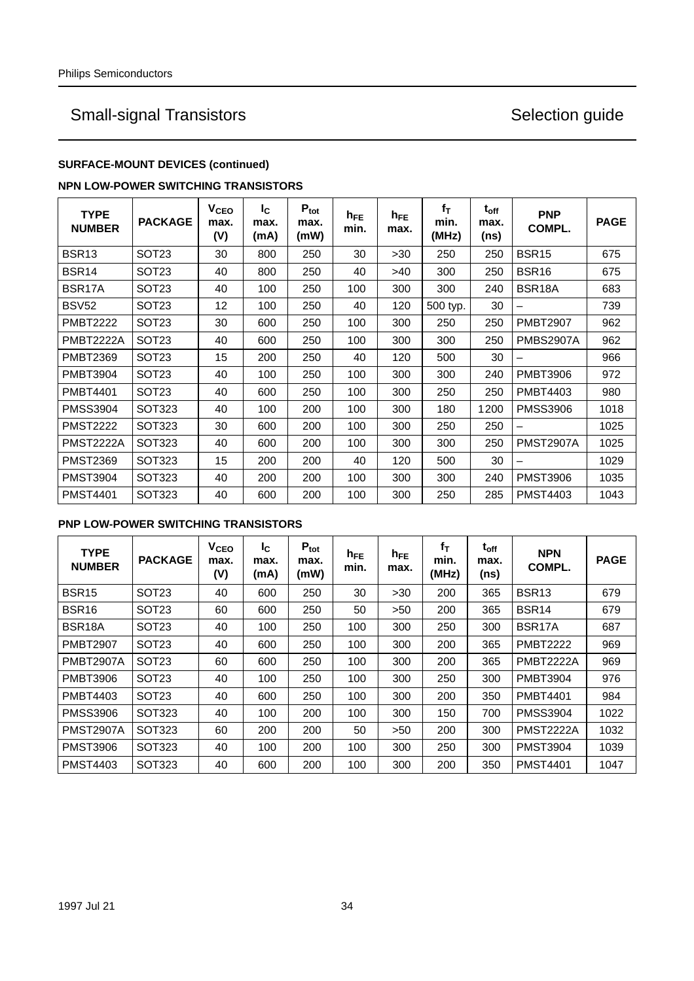### **SURFACE-MOUNT DEVICES (continued)**

### **NPN LOW-POWER SWITCHING TRANSISTORS**

| <b>TYPE</b><br><b>NUMBER</b> | <b>PACKAGE</b>    | V <sub>CEO</sub><br>max.<br>(V) | Ic.<br>max.<br>(mA) | $P_{\text{tot}}$<br>max.<br>(mW) | $h_{FE}$<br>min. | $h_{FE}$<br>max. | $f_T$<br>min.<br>(MHz) | $t_{off}$<br>max.<br>(ns) | <b>PNP</b><br>COMPL. | <b>PAGE</b> |
|------------------------------|-------------------|---------------------------------|---------------------|----------------------------------|------------------|------------------|------------------------|---------------------------|----------------------|-------------|
| BSR <sub>13</sub>            | SOT <sub>23</sub> | 30                              | 800                 | 250                              | 30               | >30              | 250                    | 250                       | <b>BSR15</b>         | 675         |
| BSR <sub>14</sub>            | SOT <sub>23</sub> | 40                              | 800                 | 250                              | 40               | >40              | 300                    | 250                       | BSR <sub>16</sub>    | 675         |
| BSR <sub>17</sub> A          | <b>SOT23</b>      | 40                              | 100                 | 250                              | 100              | 300              | 300                    | 240                       | BSR18A               | 683         |
| <b>BSV52</b>                 | <b>SOT23</b>      | 12                              | 100                 | 250                              | 40               | 120              | 500 typ.               | 30                        |                      | 739         |
| <b>PMBT2222</b>              | <b>SOT23</b>      | 30                              | 600                 | 250                              | 100              | 300              | 250                    | 250                       | <b>PMBT2907</b>      | 962         |
| PMBT2222A                    | SOT <sub>23</sub> | 40                              | 600                 | 250                              | 100              | 300              | 300                    | 250                       | <b>PMBS2907A</b>     | 962         |
| <b>PMBT2369</b>              | <b>SOT23</b>      | 15                              | 200                 | 250                              | 40               | 120              | 500                    | 30                        |                      | 966         |
| <b>PMBT3904</b>              | <b>SOT23</b>      | 40                              | 100                 | 250                              | 100              | 300              | 300                    | 240                       | <b>PMBT3906</b>      | 972         |
| <b>PMBT4401</b>              | SOT <sub>23</sub> | 40                              | 600                 | 250                              | 100              | 300              | 250                    | 250                       | <b>PMBT4403</b>      | 980         |
| <b>PMSS3904</b>              | SOT323            | 40                              | 100                 | 200                              | 100              | 300              | 180                    | 1200                      | <b>PMSS3906</b>      | 1018        |
| <b>PMST2222</b>              | SOT323            | 30                              | 600                 | 200                              | 100              | 300              | 250                    | 250                       |                      | 1025        |
| <b>PMST2222A</b>             | <b>SOT323</b>     | 40                              | 600                 | 200                              | 100              | 300              | 300                    | 250                       | <b>PMST2907A</b>     | 1025        |
| <b>PMST2369</b>              | SOT323            | 15                              | 200                 | 200                              | 40               | 120              | 500                    | 30                        |                      | 1029        |
| <b>PMST3904</b>              | <b>SOT323</b>     | 40                              | 200                 | 200                              | 100              | 300              | 300                    | 240                       | <b>PMST3906</b>      | 1035        |
| <b>PMST4401</b>              | <b>SOT323</b>     | 40                              | 600                 | 200                              | 100              | 300              | 250                    | 285                       | <b>PMST4403</b>      | 1043        |

### **PNP LOW-POWER SWITCHING TRANSISTORS**

| <b>TYPE</b><br><b>NUMBER</b> | <b>PACKAGE</b>    | V <sub>CEO</sub><br>max.<br>(V) | Ic.<br>max.<br>(mA) | $P_{\text{tot}}$<br>max.<br>(mW) | $h_{FE}$<br>min. | $h_{FE}$<br>max. | fτ<br>min.<br>(MHz) | $t_{off}$<br>max.<br>(ns) | <b>NPN</b><br>COMPL. | <b>PAGE</b> |
|------------------------------|-------------------|---------------------------------|---------------------|----------------------------------|------------------|------------------|---------------------|---------------------------|----------------------|-------------|
| BSR <sub>15</sub>            | SOT <sub>23</sub> | 40                              | 600                 | 250                              | 30               | $>30$            | 200                 | 365                       | BSR <sub>13</sub>    | 679         |
| <b>BSR16</b>                 | SOT23             | 60                              | 600                 | 250                              | 50               | >50              | 200                 | 365                       | <b>BSR14</b>         | 679         |
| BSR18A                       | SOT <sub>23</sub> | 40                              | 100                 | 250                              | 100              | 300              | 250                 | 300                       | BSR17A               | 687         |
| <b>PMBT2907</b>              | SOT <sub>23</sub> | 40                              | 600                 | 250                              | 100              | 300              | 200                 | 365                       | <b>PMBT2222</b>      | 969         |
| <b>PMBT2907A</b>             | SOT <sub>23</sub> | 60                              | 600                 | 250                              | 100              | 300              | 200                 | 365                       | <b>PMBT2222A</b>     | 969         |
| <b>PMBT3906</b>              | SOT <sub>23</sub> | 40                              | 100                 | 250                              | 100              | 300              | 250                 | 300                       | PMBT3904             | 976         |
| PMBT4403                     | SOT <sub>23</sub> | 40                              | 600                 | 250                              | 100              | 300              | 200                 | 350                       | <b>PMBT4401</b>      | 984         |
| <b>PMSS3906</b>              | <b>SOT323</b>     | 40                              | 100                 | 200                              | 100              | 300              | 150                 | 700                       | <b>PMSS3904</b>      | 1022        |
| PMST2907A                    | <b>SOT323</b>     | 60                              | 200                 | 200                              | 50               | >50              | 200                 | 300                       | <b>PMST2222A</b>     | 1032        |
| <b>PMST3906</b>              | SOT323            | 40                              | 100                 | 200                              | 100              | 300              | 250                 | 300                       | <b>PMST3904</b>      | 1039        |
| <b>PMST4403</b>              | SOT323            | 40                              | 600                 | 200                              | 100              | 300              | 200                 | 350                       | <b>PMST4401</b>      | 1047        |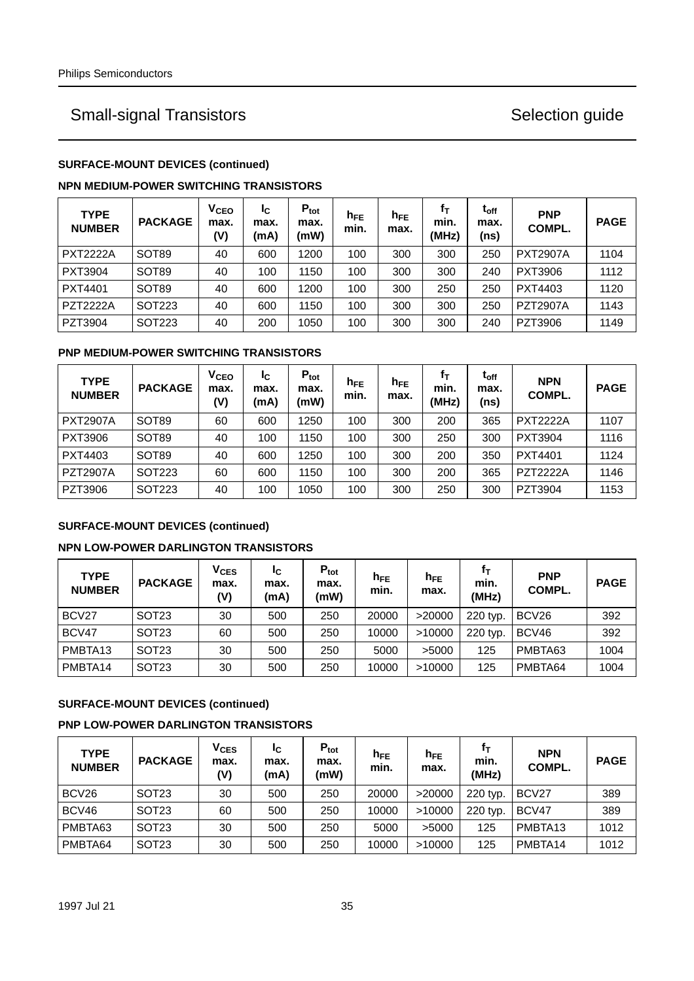### **SURFACE-MOUNT DEVICES (continued)**

### **NPN MEDIUM-POWER SWITCHING TRANSISTORS**

| <b>TYPE</b><br><b>NUMBER</b> | <b>PACKAGE</b> | $\mathsf{v}_{\mathsf{ceo}}$<br>max.<br>(V) | Ic.<br>max.<br>(mA) | $P_{\text{tot}}$<br>max.<br>(mW) | $h_{FE}$<br>min. | $h_{FE}$<br>max. | fт<br>min.<br>(MHz) | $\mathsf{t}_{\mathsf{off}}$<br>max.<br>(ns) | <b>PNP</b><br>COMPL. | <b>PAGE</b> |
|------------------------------|----------------|--------------------------------------------|---------------------|----------------------------------|------------------|------------------|---------------------|---------------------------------------------|----------------------|-------------|
| <b>PXT2222A</b>              | <b>SOT89</b>   | 40                                         | 600                 | 1200                             | 100              | 300              | 300                 | 250                                         | <b>PXT2907A</b>      | 1104        |
| <b>PXT3904</b>               | <b>SOT89</b>   | 40                                         | 100                 | 1150                             | 100              | 300              | 300                 | 240                                         | <b>PXT3906</b>       | 1112        |
| PXT4401                      | <b>SOT89</b>   | 40                                         | 600                 | 1200                             | 100              | 300              | 250                 | 250                                         | PXT4403              | 1120        |
| <b>PZT2222A</b>              | SOT223         | 40                                         | 600                 | 1150                             | 100              | 300              | 300                 | 250                                         | <b>PZT2907A</b>      | 1143        |
| PZT3904                      | SOT223         | 40                                         | 200                 | 1050                             | 100              | 300              | 300                 | 240                                         | PZT3906              | 1149        |

### **PNP MEDIUM-POWER SWITCHING TRANSISTORS**

| <b>TYPE</b><br><b>NUMBER</b> | <b>PACKAGE</b> | <b>V<sub>CEO</sub></b><br>max.<br>(V) | IC.<br>max.<br>(mA) | $P_{\text{tot}}$<br>max.<br>(mW) | $h_{FE}$<br>min. | $h_{FE}$<br>max. | fт<br>min.<br>(MHz) | t <sub>off</sub><br>max.<br>(ns) | <b>NPN</b><br>COMPL. | <b>PAGE</b> |
|------------------------------|----------------|---------------------------------------|---------------------|----------------------------------|------------------|------------------|---------------------|----------------------------------|----------------------|-------------|
| <b>PXT2907A</b>              | <b>SOT89</b>   | 60                                    | 600                 | 1250                             | 100              | 300              | 200                 | 365                              | <b>PXT2222A</b>      | 1107        |
| <b>PXT3906</b>               | <b>SOT89</b>   | 40                                    | 100                 | 1150                             | 100              | 300              | 250                 | 300                              | <b>PXT3904</b>       | 1116        |
| PXT4403                      | <b>SOT89</b>   | 40                                    | 600                 | 1250                             | 100              | 300              | 200                 | 350                              | PXT4401              | 1124        |
| <b>PZT2907A</b>              | SOT223         | 60                                    | 600                 | 1150                             | 100              | 300              | 200                 | 365                              | <b>PZT2222A</b>      | 1146        |
| PZT3906                      | SOT223         | 40                                    | 100                 | 1050                             | 100              | 300              | 250                 | 300                              | PZT3904              | 1153        |

## **SURFACE-MOUNT DEVICES (continued)**

## **NPN LOW-POWER DARLINGTON TRANSISTORS**

| <b>TYPE</b><br><b>NUMBER</b> | <b>PACKAGE</b>    | <b>V<sub>CES</sub></b><br>max.<br>(V) | Ιc<br>max.<br>(mA) | $P_{\text{tot}}$<br>max.<br>(mW) | $h_{FE}$<br>min. | $h_{FE}$<br>max. | tт<br>min.<br>(MHz) | <b>PNP</b><br>COMPL. | <b>PAGE</b> |
|------------------------------|-------------------|---------------------------------------|--------------------|----------------------------------|------------------|------------------|---------------------|----------------------|-------------|
| BCV27                        | SOT <sub>23</sub> | 30                                    | 500                | 250                              | 20000            | >20000           | 220 typ.            | BCV26                | 392         |
| BCV47                        | SOT <sub>23</sub> | 60                                    | 500                | 250                              | 10000            | >10000           | 220 typ.            | BCV46                | 392         |
| PMBTA13                      | SOT <sub>23</sub> | 30                                    | 500                | 250                              | 5000             | >5000            | 125                 | PMBTA63              | 1004        |
| PMBTA14                      | SOT <sub>23</sub> | 30                                    | 500                | 250                              | 10000            | >10000           | 125                 | PMBTA64              | 1004        |

### **SURFACE-MOUNT DEVICES (continued)**

## **PNP LOW-POWER DARLINGTON TRANSISTORS**

| <b>TYPE</b><br><b>NUMBER</b> | <b>PACKAGE</b>    | $\mathsf{v}_{\mathsf{CES}}$<br>max.<br>(V) | Ιc<br>max.<br>(mA) | $P_{\text{tot}}$<br>max.<br>(mW) | ${\sf h}_{\sf FE}$<br>min. | $h_{FE}$<br>max. | tт<br>min.<br>(MHz) | <b>NPN</b><br>COMPL. | <b>PAGE</b> |
|------------------------------|-------------------|--------------------------------------------|--------------------|----------------------------------|----------------------------|------------------|---------------------|----------------------|-------------|
| BCV <sub>26</sub>            | SOT <sub>23</sub> | 30                                         | 500                | 250                              | 20000                      | >20000           | 220 typ.            | BCV27                | 389         |
| BCV46                        | SOT <sub>23</sub> | 60                                         | 500                | 250                              | 10000                      | >10000           | 220 typ.            | BCV47                | 389         |
| PMBTA63                      | SOT <sub>23</sub> | 30                                         | 500                | 250                              | 5000                       | >5000            | 125                 | PMBTA13              | 1012        |
| PMBTA64                      | SOT <sub>23</sub> | 30                                         | 500                | 250                              | 10000                      | >10000           | 125                 | PMBTA14              | 1012        |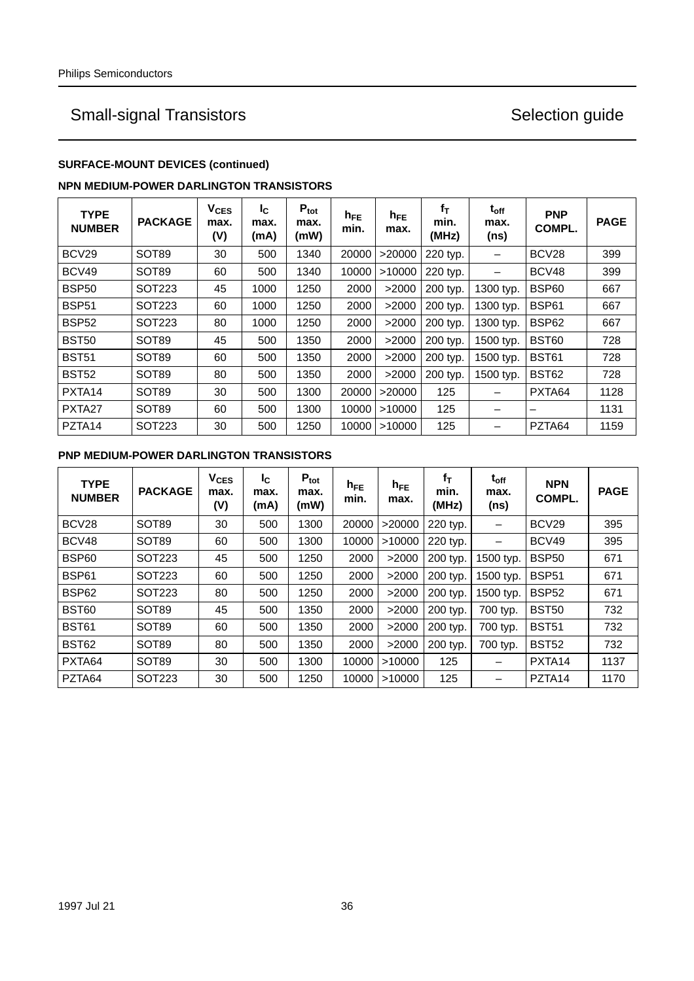### **SURFACE-MOUNT DEVICES (continued)**

### **NPN MEDIUM-POWER DARLINGTON TRANSISTORS**

| <b>TYPE</b><br><b>NUMBER</b> | <b>PACKAGE</b>    | <b>V<sub>CES</sub></b><br>max.<br>(V) | Ic.<br>max.<br>(mA) | $P_{\text{tot}}$<br>max.<br>(mW) | $h_{FE}$<br>min. | $h_{FE}$<br>max. | $f_T$<br>min.<br>(MHz) | $t_{\rm off}$<br>max.<br>(ns) | <b>PNP</b><br>COMPL. | <b>PAGE</b> |
|------------------------------|-------------------|---------------------------------------|---------------------|----------------------------------|------------------|------------------|------------------------|-------------------------------|----------------------|-------------|
| BCV <sub>29</sub>            | <b>SOT89</b>      | 30                                    | 500                 | 1340                             | 20000            | >20000           | 220 typ.               |                               | BCV <sub>28</sub>    | 399         |
| BCV49                        | SOT <sub>89</sub> | 60                                    | 500                 | 1340                             | 10000            | >10000           | 220 typ.               |                               | BCV48                | 399         |
| <b>BSP50</b>                 | SOT223            | 45                                    | 1000                | 1250                             | 2000             | >2000            | 200 typ.               | 1300 typ.                     | <b>BSP60</b>         | 667         |
| <b>BSP51</b>                 | SOT223            | 60                                    | 1000                | 1250                             | 2000             | >2000            | 200 typ.               | 1300 typ.                     | BSP61                | 667         |
| <b>BSP52</b>                 | SOT223            | 80                                    | 1000                | 1250                             | 2000             | >2000            | 200 typ.               | 1300 typ.                     | <b>BSP62</b>         | 667         |
| <b>BST50</b>                 | SOT <sub>89</sub> | 45                                    | 500                 | 1350                             | 2000             | >2000            | 200 typ.               | 1500 typ.                     | BST60                | 728         |
| <b>BST51</b>                 | SOT <sub>89</sub> | 60                                    | 500                 | 1350                             | 2000             | >2000            | 200 typ.               | 1500 typ.                     | BST <sub>61</sub>    | 728         |
| <b>BST52</b>                 | SOT <sub>89</sub> | 80                                    | 500                 | 1350                             | 2000             | >2000            | 200 typ.               | 1500 typ.                     | <b>BST62</b>         | 728         |
| PXTA <sub>14</sub>           | SOT <sub>89</sub> | 30                                    | 500                 | 1300                             | 20000            | >20000           | 125                    |                               | PXTA64               | 1128        |
| PXTA <sub>27</sub>           | SOT <sub>89</sub> | 60                                    | 500                 | 1300                             | 10000            | >10000           | 125                    |                               | –                    | 1131        |
| PZTA <sub>14</sub>           | SOT223            | 30                                    | 500                 | 1250                             | 10000            | >10000           | 125                    |                               | PZTA64               | 1159        |

### **PNP MEDIUM-POWER DARLINGTON TRANSISTORS**

| <b>TYPE</b><br><b>NUMBER</b> | <b>PACKAGE</b>    | <b>V<sub>CES</sub></b><br>max.<br>(V) | Ic.<br>max.<br>(mA) | $P_{\text{tot}}$<br>max.<br>(mW) | $h_{FE}$<br>min. | $h_{FE}$<br>max. | fт<br>min.<br>(MHz) | t <sub>off</sub><br>max.<br>(ns) | <b>NPN</b><br>COMPL. | <b>PAGE</b> |
|------------------------------|-------------------|---------------------------------------|---------------------|----------------------------------|------------------|------------------|---------------------|----------------------------------|----------------------|-------------|
| BCV28                        | <b>SOT89</b>      | 30                                    | 500                 | 1300                             | 20000            | >20000           | 220 typ.            |                                  | BCV29                | 395         |
| BCV48                        | SOT <sub>89</sub> | 60                                    | 500                 | 1300                             | 10000            | >10000           | 220 typ.            |                                  | BCV49                | 395         |
| <b>BSP60</b>                 | SOT223            | 45                                    | 500                 | 1250                             | 2000             | >2000            | 200 typ.            | 1500 typ.                        | <b>BSP50</b>         | 671         |
| <b>BSP61</b>                 | SOT223            | 60                                    | 500                 | 1250                             | 2000             | >2000            | 200 typ.            | 1500 typ.                        | <b>BSP51</b>         | 671         |
| <b>BSP62</b>                 | SOT223            | 80                                    | 500                 | 1250                             | 2000             | >2000            | 200 typ.            | 1500 typ.                        | <b>BSP52</b>         | 671         |
| BST60                        | SOT <sub>89</sub> | 45                                    | 500                 | 1350                             | 2000             | >2000            | 200 typ.            | 700 typ.                         | <b>BST50</b>         | 732         |
| <b>BST61</b>                 | SOT <sub>89</sub> | 60                                    | 500                 | 1350                             | 2000             | >2000            | 200 typ.            | 700 typ.                         | <b>BST51</b>         | 732         |
| BST62                        | SOT <sub>89</sub> | 80                                    | 500                 | 1350                             | 2000             | >2000            | 200 typ.            | 700 typ.                         | <b>BST52</b>         | 732         |
| PXTA64                       | SOT <sub>89</sub> | 30                                    | 500                 | 1300                             | 10000            | >10000           | 125                 | $\overline{\phantom{0}}$         | PXTA <sub>14</sub>   | 1137        |
| PZTA64                       | SOT223            | 30                                    | 500                 | 1250                             | 10000            | >10000           | 125                 |                                  | PZTA <sub>14</sub>   | 1170        |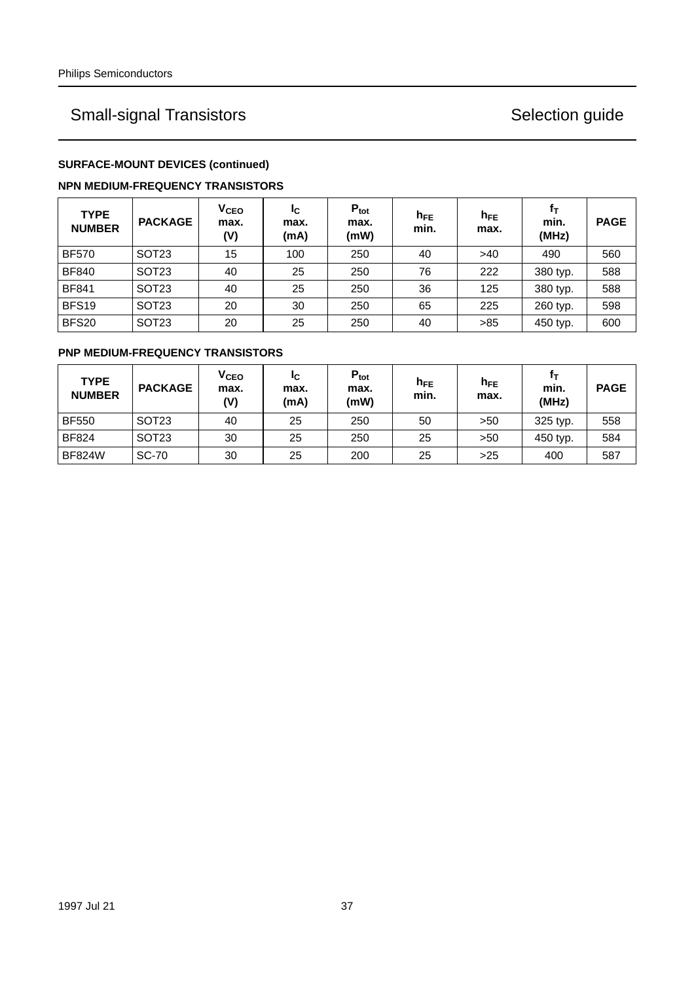### **SURFACE-MOUNT DEVICES (continued)**

### **NPN MEDIUM-FREQUENCY TRANSISTORS**

| <b>TYPE</b><br><b>NUMBER</b> | <b>PACKAGE</b>    | V <sub>CEO</sub><br>max.<br>(V) | I <sub>C</sub><br>max.<br>(mA) | $P_{\text{tot}}$<br>max.<br>(mW) | $h_{FE}$<br>min. | $h_{FE}$<br>max. | fт<br>min.<br>(MHz) | <b>PAGE</b> |
|------------------------------|-------------------|---------------------------------|--------------------------------|----------------------------------|------------------|------------------|---------------------|-------------|
| <b>BF570</b>                 | SOT <sub>23</sub> | 15                              | 100                            | 250                              | 40               | >40              | 490                 | 560         |
| <b>BF840</b>                 | <b>SOT23</b>      | 40                              | 25                             | 250                              | 76               | 222              | 380 typ.            | 588         |
| <b>BF841</b>                 | <b>SOT23</b>      | 40                              | 25                             | 250                              | 36               | 125              | 380 typ.            | 588         |
| BFS <sub>19</sub>            | <b>SOT23</b>      | 20                              | 30                             | 250                              | 65               | 225              | 260 typ.            | 598         |
| <b>BFS20</b>                 | <b>SOT23</b>      | 20                              | 25                             | 250                              | 40               | >85              | 450 typ.            | 600         |

## **PNP MEDIUM-FREQUENCY TRANSISTORS**

| <b>TYPE</b><br><b>NUMBER</b> | <b>PACKAGE</b>    | <b>V<sub>CEO</sub></b><br>max.<br>(V) | Ιc<br>max.<br>(mA) | $P_{\text{tot}}$<br>max.<br>(mW) | $h_{FE}$<br>min. | $h_{FE}$<br>max. | fт<br>min.<br>(MHz) | <b>PAGE</b> |
|------------------------------|-------------------|---------------------------------------|--------------------|----------------------------------|------------------|------------------|---------------------|-------------|
| <b>BF550</b>                 | SOT <sub>23</sub> | 40                                    | 25                 | 250                              | 50               | >50              | 325 typ.            | 558         |
| <b>BF824</b>                 | SOT <sub>23</sub> | 30                                    | 25                 | 250                              | 25               | >50              | 450 typ.            | 584         |
| <b>BF824W</b>                | <b>SC-70</b>      | 30                                    | 25                 | 200                              | 25               | >25              | 400                 | 587         |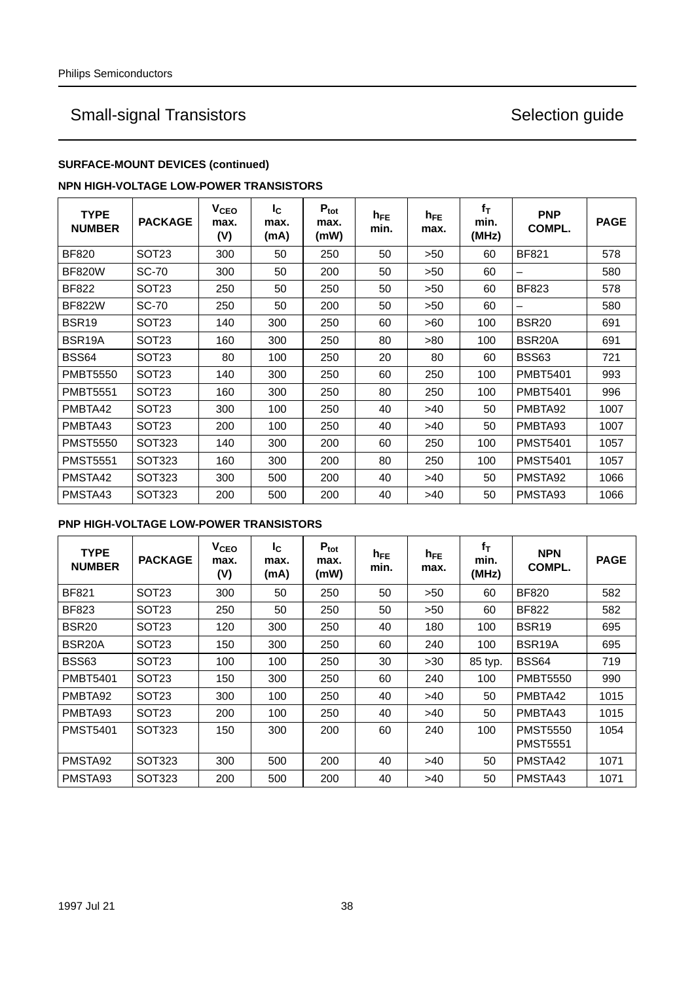### **SURFACE-MOUNT DEVICES (continued)**

### **NPN HIGH-VOLTAGE LOW-POWER TRANSISTORS**

| <b>TYPE</b><br><b>NUMBER</b> | <b>PACKAGE</b>    | V <sub>CEO</sub><br>max.<br>(V) | $I_{\rm C}$<br>max.<br>(mA) | $P_{\text{tot}}$<br>max.<br>(mW) | $h_{FE}$<br>min. | $h_{FE}$<br>max. | $f_T$<br>min.<br>(MHz) | <b>PNP</b><br>COMPL. | <b>PAGE</b> |
|------------------------------|-------------------|---------------------------------|-----------------------------|----------------------------------|------------------|------------------|------------------------|----------------------|-------------|
| <b>BF820</b>                 | <b>SOT23</b>      | 300                             | 50                          | 250                              | 50               | >50              | 60                     | <b>BF821</b>         | 578         |
| <b>BF820W</b>                | <b>SC-70</b>      | 300                             | 50                          | 200                              | 50               | >50              | 60                     | -                    | 580         |
| <b>BF822</b>                 | <b>SOT23</b>      | 250                             | 50                          | 250                              | 50               | >50              | 60                     | <b>BF823</b>         | 578         |
| <b>BF822W</b>                | <b>SC-70</b>      | 250                             | 50                          | 200                              | 50               | >50              | 60                     | —                    | 580         |
| BSR <sub>19</sub>            | SOT23             | 140                             | 300                         | 250                              | 60               | >60              | 100                    | BSR <sub>20</sub>    | 691         |
| BSR <sub>19</sub> A          | SOT23             | 160                             | 300                         | 250                              | 80               | >80              | 100                    | BSR <sub>20</sub> A  | 691         |
| <b>BSS64</b>                 | SOT <sub>23</sub> | 80                              | 100                         | 250                              | 20               | 80               | 60                     | BSS63                | 721         |
| <b>PMBT5550</b>              | SOT23             | 140                             | 300                         | 250                              | 60               | 250              | 100                    | <b>PMBT5401</b>      | 993         |
| <b>PMBT5551</b>              | SOT <sub>23</sub> | 160                             | 300                         | 250                              | 80               | 250              | 100                    | <b>PMBT5401</b>      | 996         |
| PMBTA42                      | SOT <sub>23</sub> | 300                             | 100                         | 250                              | 40               | >40              | 50                     | PMBTA92              | 1007        |
| PMBTA43                      | SOT <sub>23</sub> | 200                             | 100                         | 250                              | 40               | >40              | 50                     | PMBTA93              | 1007        |
| <b>PMST5550</b>              | <b>SOT323</b>     | 140                             | 300                         | 200                              | 60               | 250              | 100                    | <b>PMST5401</b>      | 1057        |
| <b>PMST5551</b>              | <b>SOT323</b>     | 160                             | 300                         | 200                              | 80               | 250              | 100                    | <b>PMST5401</b>      | 1057        |
| PMSTA42                      | SOT323            | 300                             | 500                         | 200                              | 40               | >40              | 50                     | PMSTA92              | 1066        |
| PMSTA43                      | <b>SOT323</b>     | 200                             | 500                         | 200                              | 40               | >40              | 50                     | PMSTA93              | 1066        |

### **PNP HIGH-VOLTAGE LOW-POWER TRANSISTORS**

| <b>TYPE</b><br><b>NUMBER</b> | <b>PACKAGE</b>    | V <sub>CEO</sub><br>max.<br>(V) | I <sub>C</sub><br>max.<br>(mA) | $P_{\text{tot}}$<br>max.<br>(mW) | $h_{FE}$<br>min. | $h_{FE}$<br>max. | $f_T$<br>min.<br>(MHz) | <b>NPN</b><br>COMPL.               | <b>PAGE</b> |
|------------------------------|-------------------|---------------------------------|--------------------------------|----------------------------------|------------------|------------------|------------------------|------------------------------------|-------------|
| <b>BF821</b>                 | <b>SOT23</b>      | 300                             | 50                             | 250                              | 50               | >50              | 60                     | <b>BF820</b>                       | 582         |
| <b>BF823</b>                 | SOT <sub>23</sub> | 250                             | 50                             | 250                              | 50               | >50              | 60                     | <b>BF822</b>                       | 582         |
| <b>BSR20</b>                 | SOT <sub>23</sub> | 120                             | 300                            | 250                              | 40               | 180              | 100                    | BSR <sub>19</sub>                  | 695         |
| BSR <sub>20</sub> A          | SOT <sub>23</sub> | 150                             | 300                            | 250                              | 60               | 240              | 100                    | BSR19A                             | 695         |
| <b>BSS63</b>                 | <b>SOT23</b>      | 100                             | 100                            | 250                              | 30               | >30              | 85 typ.                | <b>BSS64</b>                       | 719         |
| <b>PMBT5401</b>              | <b>SOT23</b>      | 150                             | 300                            | 250                              | 60               | 240              | 100                    | <b>PMBT5550</b>                    | 990         |
| PMBTA92                      | SOT <sub>23</sub> | 300                             | 100                            | 250                              | 40               | >40              | 50                     | PMBTA42                            | 1015        |
| PMBTA93                      | SOT <sub>23</sub> | 200                             | 100                            | 250                              | 40               | >40              | 50                     | PMBTA43                            | 1015        |
| <b>PMST5401</b>              | SOT323            | 150                             | 300                            | 200                              | 60               | 240              | 100                    | <b>PMST5550</b><br><b>PMST5551</b> | 1054        |
| PMSTA92                      | SOT323            | 300                             | 500                            | 200                              | 40               | >40              | 50                     | PMSTA42                            | 1071        |
| PMSTA93                      | <b>SOT323</b>     | 200                             | 500                            | 200                              | 40               | >40              | 50                     | PMSTA43                            | 1071        |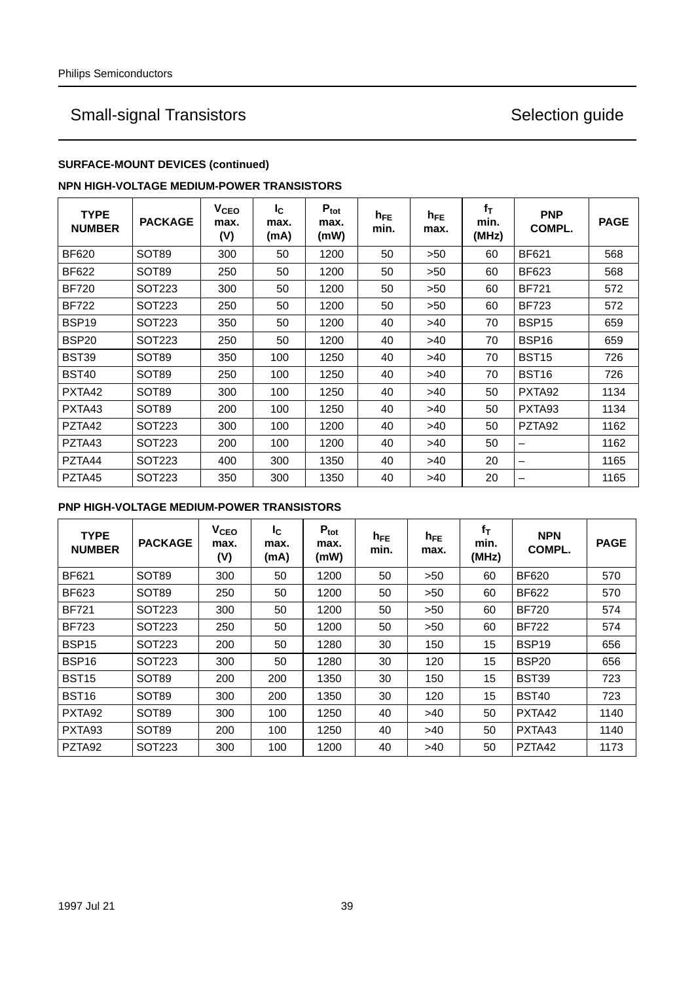## **SURFACE-MOUNT DEVICES (continued)**

### **NPN HIGH-VOLTAGE MEDIUM-POWER TRANSISTORS**

| <b>TYPE</b><br><b>NUMBER</b> | <b>PACKAGE</b>    | $V_{\texttt{CEO}}$<br>max.<br>(V) | $I_{\rm C}$<br>max.<br>(mA) | $P_{\text{tot}}$<br>max.<br>(mW) | $h_{FE}$<br>min. | $h_{FE}$<br>max. | $f_T$<br>min.<br>(MHz) | <b>PNP</b><br>COMPL. | <b>PAGE</b> |
|------------------------------|-------------------|-----------------------------------|-----------------------------|----------------------------------|------------------|------------------|------------------------|----------------------|-------------|
| <b>BF620</b>                 | SOT <sub>89</sub> | 300                               | 50                          | 1200                             | 50               | >50              | 60                     | <b>BF621</b>         | 568         |
| <b>BF622</b>                 | <b>SOT89</b>      | 250                               | 50                          | 1200                             | 50               | >50              | 60                     | BF623                | 568         |
| <b>BF720</b>                 | SOT223            | 300                               | 50                          | 1200                             | 50               | >50              | 60                     | <b>BF721</b>         | 572         |
| <b>BF722</b>                 | SOT223            | 250                               | 50                          | 1200                             | 50               | >50              | 60                     | <b>BF723</b>         | 572         |
| <b>BSP19</b>                 | SOT223            | 350                               | 50                          | 1200                             | 40               | >40              | 70                     | BSP <sub>15</sub>    | 659         |
| BSP <sub>20</sub>            | SOT223            | 250                               | 50                          | 1200                             | 40               | >40              | 70                     | BSP16                | 659         |
| <b>BST39</b>                 | SOT <sub>89</sub> | 350                               | 100                         | 1250                             | 40               | >40              | 70                     | <b>BST15</b>         | 726         |
| <b>BST40</b>                 | SOT <sub>89</sub> | 250                               | 100                         | 1250                             | 40               | >40              | 70                     | <b>BST16</b>         | 726         |
| PXTA42                       | <b>SOT89</b>      | 300                               | 100                         | 1250                             | 40               | >40              | 50                     | PXTA <sub>92</sub>   | 1134        |
| PXTA43                       | SOT <sub>89</sub> | 200                               | 100                         | 1250                             | 40               | >40              | 50                     | PXTA93               | 1134        |
| PZTA42                       | SOT223            | 300                               | 100                         | 1200                             | 40               | >40              | 50                     | PZTA <sub>92</sub>   | 1162        |
| PZTA43                       | SOT223            | 200                               | 100                         | 1200                             | 40               | >40              | 50                     | -                    | 1162        |
| PZTA44                       | SOT223            | 400                               | 300                         | 1350                             | 40               | >40              | 20                     | -                    | 1165        |
| PZTA45                       | SOT223            | 350                               | 300                         | 1350                             | 40               | >40              | 20                     | —                    | 1165        |

### **PNP HIGH-VOLTAGE MEDIUM-POWER TRANSISTORS**

| <b>TYPE</b><br><b>NUMBER</b> | <b>PACKAGE</b>    | <b>V<sub>CEO</sub></b><br>max.<br>(V) | I <sub>C</sub><br>max.<br>(mA) | $P_{\text{tot}}$<br>max.<br>(mW) | $h_{FE}$<br>min. | $h_{FE}$<br>max. | $f_T$<br>min.<br>(MHz) | <b>NPN</b><br>COMPL. | <b>PAGE</b> |
|------------------------------|-------------------|---------------------------------------|--------------------------------|----------------------------------|------------------|------------------|------------------------|----------------------|-------------|
| <b>BF621</b>                 | SOT89             | 300                                   | 50                             | 1200                             | 50               | >50              | 60                     | <b>BF620</b>         | 570         |
| <b>BF623</b>                 | SOT <sub>89</sub> | 250                                   | 50                             | 1200                             | 50               | >50              | 60                     | <b>BF622</b>         | 570         |
| <b>BF721</b>                 | SOT223            | 300                                   | 50                             | 1200                             | 50               | >50              | 60                     | <b>BF720</b>         | 574         |
| <b>BF723</b>                 | SOT223            | 250                                   | 50                             | 1200                             | 50               | >50              | 60                     | <b>BF722</b>         | 574         |
| <b>BSP15</b>                 | SOT223            | 200                                   | 50                             | 1280                             | 30               | 150              | 15                     | BSP <sub>19</sub>    | 656         |
| BSP <sub>16</sub>            | SOT223            | 300                                   | 50                             | 1280                             | 30               | 120              | 15                     | <b>BSP20</b>         | 656         |
| <b>BST15</b>                 | <b>SOT89</b>      | 200                                   | 200                            | 1350                             | 30               | 150              | 15                     | <b>BST39</b>         | 723         |
| BST <sub>16</sub>            | SOT <sub>89</sub> | 300                                   | 200                            | 1350                             | 30               | 120              | 15                     | <b>BST40</b>         | 723         |
| PXTA <sub>92</sub>           | <b>SOT89</b>      | 300                                   | 100                            | 1250                             | 40               | >40              | 50                     | PXTA42               | 1140        |
| PXTA <sub>93</sub>           | <b>SOT89</b>      | 200                                   | 100                            | 1250                             | 40               | >40              | 50                     | PXTA43               | 1140        |
| PZTA92                       | SOT223            | 300                                   | 100                            | 1200                             | 40               | >40              | 50                     | PZTA42               | 1173        |